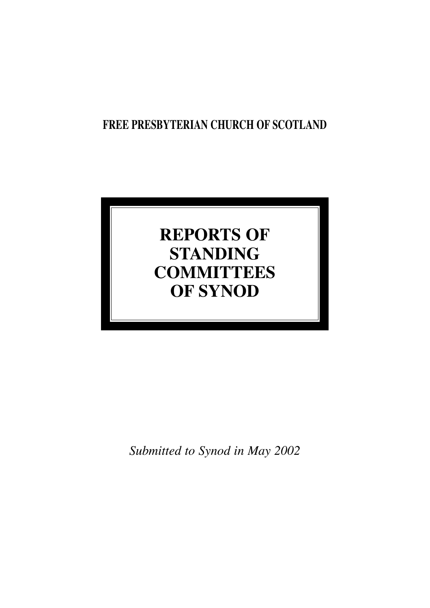## **FREE PRESBYTERIAN CHURCH OF SCOTLAND**

# **REPORTS OF STANDING COMMITTEES OF SYNOD**

*Submitted to Synod in May 2002*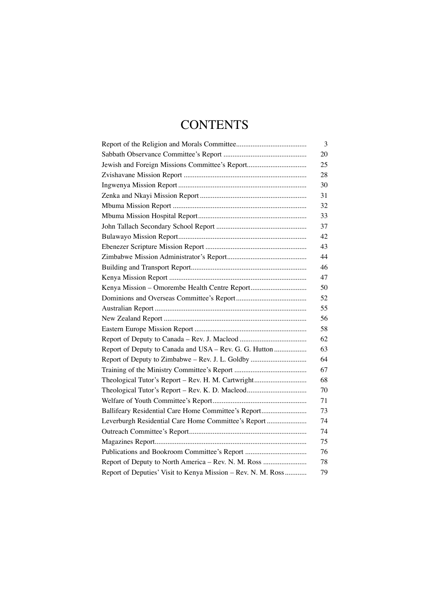## **CONTENTS**

|                                                              | 3  |
|--------------------------------------------------------------|----|
|                                                              | 20 |
| Jewish and Foreign Missions Committee's Report               | 25 |
|                                                              | 28 |
|                                                              | 30 |
|                                                              | 31 |
|                                                              | 32 |
|                                                              | 33 |
|                                                              | 37 |
|                                                              | 42 |
|                                                              | 43 |
|                                                              | 44 |
|                                                              | 46 |
|                                                              | 47 |
| Kenya Mission - Omorembe Health Centre Report                | 50 |
|                                                              | 52 |
|                                                              | 55 |
|                                                              | 56 |
|                                                              | 58 |
|                                                              | 62 |
| Report of Deputy to Canada and USA - Rev. G. G. Hutton       | 63 |
| Report of Deputy to Zimbabwe - Rev. J. L. Goldby             | 64 |
|                                                              | 67 |
| Theological Tutor's Report - Rev. H. M. Cartwright           | 68 |
| Theological Tutor's Report - Rev. K. D. Macleod              | 70 |
|                                                              | 71 |
| Ballifeary Residential Care Home Committee's Report          | 73 |
| Leverburgh Residential Care Home Committee's Report          | 74 |
|                                                              | 74 |
|                                                              | 75 |
|                                                              | 76 |
| Report of Deputy to North America - Rev. N. M. Ross          | 78 |
| Report of Deputies' Visit to Kenya Mission - Rev. N. M. Ross | 79 |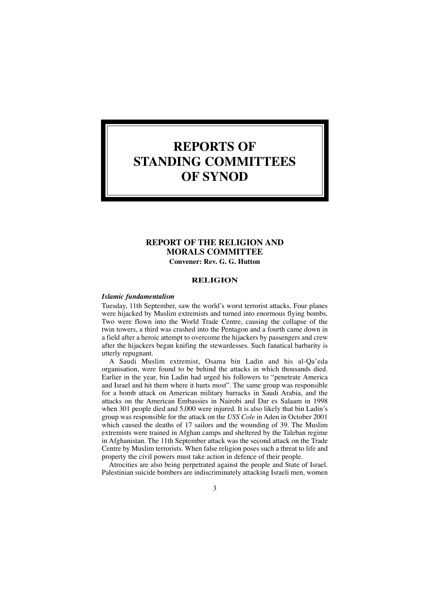## **REPORTS OF STANDING COMMITTEES OF SYNOD**

## **REPORT OF THE RELIGION AND MORALS COMMITTEE Convener: Rev. G. G. Hutton**

#### **RELIGION**

#### *Islamic fundamentalism*

Tuesday, 11th September, saw the world's worst terrorist attacks. Four planes were hijacked by Muslim extremists and turned into enormous flying bombs. Two were flown into the World Trade Centre, causing the collapse of the twin towers, a third was crashed into the Pentagon and a fourth came down in a field after a heroic attempt to overcome the hijackers by passengers and crew after the hijackers began knifing the stewardesses. Such fanatical barbarity is utterly repugnant.

A Saudi Muslim extremist, Osama bin Ladin and his al-Qa'eda organisation, were found to be behind the attacks in which thousands died. Earlier in the year, bin Ladin had urged his followers to "penetrate America and Israel and hit them where it hurts most". The same group was responsible for a bomb attack on American military barracks in Saudi Arabia, and the attacks on the American Embassies in Nairobi and Dar es Salaam in 1998 when 301 people died and 5,000 were injured. It is also likely that bin Ladin's group was responsible for the attack on the *USS Cole* in Aden in October 2001 which caused the deaths of 17 sailors and the wounding of 39. The Muslim extremists were trained in Afghan camps and sheltered by the Taleban regime in Afghanistan. The 11th September attack was the second attack on the Trade Centre by Muslim terrorists. When false religion poses such a threat to life and property the civil powers must take action in defence of their people.

Atrocities are also being perpetrated against the people and State of Israel. Palestinian suicide bombers are indiscriminately attacking Israeli men, women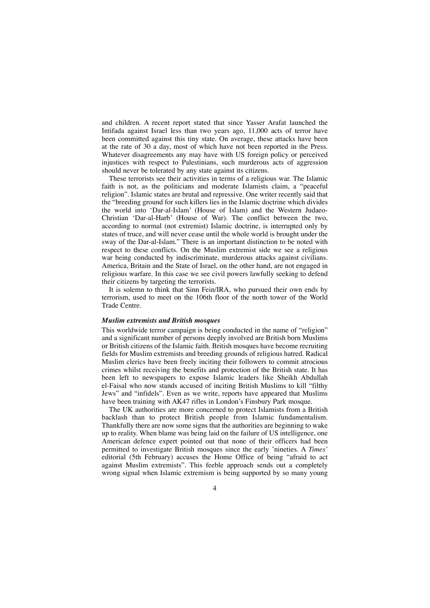and children. A recent report stated that since Yasser Arafat launched the Intifada against Israel less than two years ago, 11,000 acts of terror have been committed against this tiny state. On average, these attacks have been at the rate of 30 a day, most of which have not been reported in the Press. Whatever disagreements any may have with US foreign policy or perceived injustices with respect to Palestinians, such murderous acts of aggression should never be tolerated by any state against its citizens.

These terrorists see their activities in terms of a religious war. The Islamic faith is not, as the politicians and moderate Islamists claim, a "peaceful religion". Islamic states are brutal and repressive. One writer recently said that the "breeding ground for such killers lies in the Islamic doctrine which divides the world into 'Dar-al-Islam' (House of Islam) and the Western Judaeo-Christian 'Dar-al-Harb' (House of War). The conflict between the two, according to normal (not extremist) Islamic doctrine, is interrupted only by states of truce, and will never cease until the whole world is brought under the sway of the Dar-al-Islam." There is an important distinction to be noted with respect to these conflicts. On the Muslim extremist side we see a religious war being conducted by indiscriminate, murderous attacks against civilians. America, Britain and the State of Israel, on the other hand, are not engaged in religious warfare. In this case we see civil powers lawfully seeking to defend their citizens by targeting the terrorists.

It is solemn to think that Sinn Fein/IRA, who pursued their own ends by terrorism, used to meet on the 106th floor of the north tower of the World Trade Centre.

#### *Muslim extremists and British mosques*

This worldwide terror campaign is being conducted in the name of "religion" and a significant number of persons deeply involved are British born Muslims or British citizens of the Islamic faith. British mosques have become recruiting fields for Muslim extremists and breeding grounds of religious hatred. Radical Muslim clerics have been freely inciting their followers to commit atrocious crimes whilst receiving the benefits and protection of the British state. It has been left to newspapers to expose Islamic leaders like Sheikh Abdullah el-Faisal who now stands accused of inciting British Muslims to kill "filthy Jews" and "infidels". Even as we write, reports have appeared that Muslims have been training with AK47 rifles in London's Finsbury Park mosque.

The UK authorities are more concerned to protect Islamists from a British backlash than to protect British people from Islamic fundamentalism. Thankfully there are now some signs that the authorities are beginning to wake up to reality. When blame was being laid on the failure of US intelligence, one American defence expert pointed out that none of their officers had been permitted to investigate British mosques since the early 'nineties. A *Times'* editorial (5th February) accuses the Home Office of being "afraid to act against Muslim extremists". This feeble approach sends out a completely wrong signal when Islamic extremism is being supported by so many young

#### $\Delta$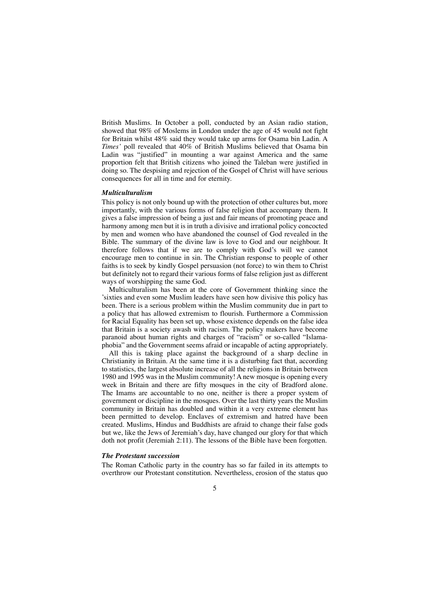British Muslims. In October a poll, conducted by an Asian radio station, showed that 98% of Moslems in London under the age of 45 would not fight for Britain whilst 48% said they would take up arms for Osama bin Ladin. A *Times'* poll revealed that 40% of British Muslims believed that Osama bin Ladin was "justified" in mounting a war against America and the same proportion felt that British citizens who joined the Taleban were justified in doing so. The despising and rejection of the Gospel of Christ will have serious consequences for all in time and for eternity.

#### *Multiculturalism*

This policy is not only bound up with the protection of other cultures but, more importantly, with the various forms of false religion that accompany them. It gives a false impression of being a just and fair means of promoting peace and harmony among men but it is in truth a divisive and irrational policy concocted by men and women who have abandoned the counsel of God revealed in the Bible. The summary of the divine law is love to God and our neighbour. It therefore follows that if we are to comply with God's will we cannot encourage men to continue in sin. The Christian response to people of other faiths is to seek by kindly Gospel persuasion (not force) to win them to Christ but definitely not to regard their various forms of false religion just as different ways of worshipping the same God.

Multiculturalism has been at the core of Government thinking since the 'sixties and even some Muslim leaders have seen how divisive this policy has been. There is a serious problem within the Muslim community due in part to a policy that has allowed extremism to flourish. Furthermore a Commission for Racial Equality has been set up, whose existence depends on the false idea that Britain is a society awash with racism. The policy makers have become paranoid about human rights and charges of "racism" or so-called "Islamaphobia" and the Government seems afraid or incapable of acting appropriately.

All this is taking place against the background of a sharp decline in Christianity in Britain. At the same time it is a disturbing fact that, according to statistics, the largest absolute increase of all the religions in Britain between 1980 and 1995 was in the Muslim community! A new mosque is opening every week in Britain and there are fifty mosques in the city of Bradford alone. The Imams are accountable to no one, neither is there a proper system of government or discipline in the mosques. Over the last thirty years the Muslim community in Britain has doubled and within it a very extreme element has been permitted to develop. Enclaves of extremism and hatred have been created. Muslims, Hindus and Buddhists are afraid to change their false gods but we, like the Jews of Jeremiah's day, have changed our glory for that which doth not profit (Jeremiah 2:11). The lessons of the Bible have been forgotten.

#### *The Protestant succession*

The Roman Catholic party in the country has so far failed in its attempts to overthrow our Protestant constitution. Nevertheless, erosion of the status quo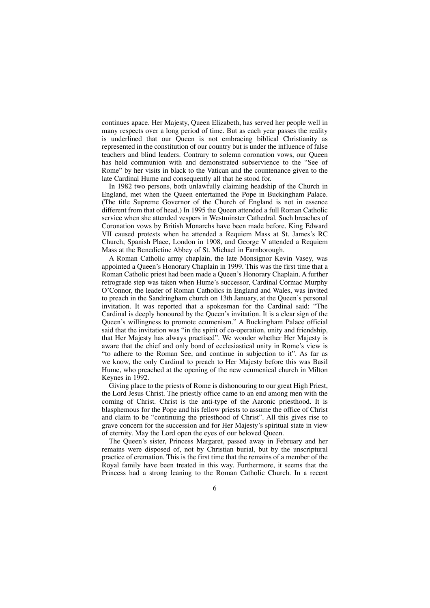continues apace. Her Majesty, Queen Elizabeth, has served her people well in many respects over a long period of time. But as each year passes the reality is underlined that our Queen is not embracing biblical Christianity as represented in the constitution of our country but is under the influence of false teachers and blind leaders. Contrary to solemn coronation vows, our Queen has held communion with and demonstrated subservience to the "See of Rome" by her visits in black to the Vatican and the countenance given to the late Cardinal Hume and consequently all that he stood for.

In 1982 two persons, both unlawfully claiming headship of the Church in England, met when the Queen entertained the Pope in Buckingham Palace. (The title Supreme Governor of the Church of England is not in essence different from that of head.) In 1995 the Queen attended a full Roman Catholic service when she attended vespers in Westminster Cathedral. Such breaches of Coronation vows by British Monarchs have been made before. King Edward VII caused protests when he attended a Requiem Mass at St. James's RC Church, Spanish Place, London in 1908, and George V attended a Requiem Mass at the Benedictine Abbey of St. Michael in Farnborough.

A Roman Catholic army chaplain, the late Monsignor Kevin Vasey, was appointed a Queen's Honorary Chaplain in 1999. This was the first time that a Roman Catholic priest had been made a Queen's Honorary Chaplain. A further retrograde step was taken when Hume's successor, Cardinal Cormac Murphy O'Connor, the leader of Roman Catholics in England and Wales, was invited to preach in the Sandringham church on 13th January, at the Queen's personal invitation. It was reported that a spokesman for the Cardinal said: "The Cardinal is deeply honoured by the Queen's invitation. It is a clear sign of the Queen's willingness to promote ecumenism." A Buckingham Palace official said that the invitation was "in the spirit of co-operation, unity and friendship, that Her Majesty has always practised". We wonder whether Her Majesty is aware that the chief and only bond of ecclesiastical unity in Rome's view is "to adhere to the Roman See, and continue in subjection to it". As far as we know, the only Cardinal to preach to Her Majesty before this was Basil Hume, who preached at the opening of the new ecumenical church in Milton Keynes in 1992.

Giving place to the priests of Rome is dishonouring to our great High Priest, the Lord Jesus Christ. The priestly office came to an end among men with the coming of Christ. Christ is the anti-type of the Aaronic priesthood. It is blasphemous for the Pope and his fellow priests to assume the office of Christ and claim to be "continuing the priesthood of Christ". All this gives rise to grave concern for the succession and for Her Majesty's spiritual state in view of eternity. May the Lord open the eyes of our beloved Queen.

The Queen's sister, Princess Margaret, passed away in February and her remains were disposed of, not by Christian burial, but by the unscriptural practice of cremation. This is the first time that the remains of a member of the Royal family have been treated in this way. Furthermore, it seems that the Princess had a strong leaning to the Roman Catholic Church. In a recent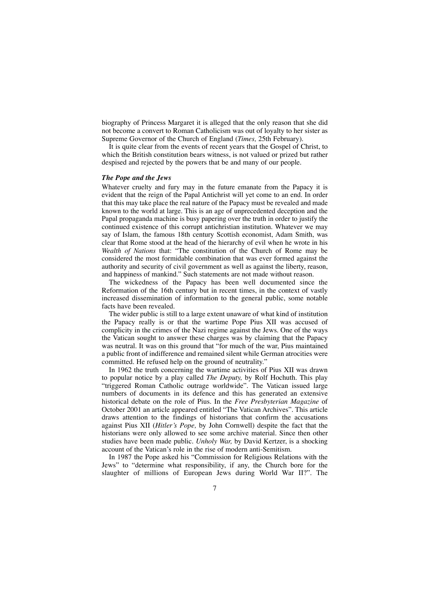biography of Princess Margaret it is alleged that the only reason that she did not become a convert to Roman Catholicism was out of loyalty to her sister as Supreme Governor of the Church of England (*Times,* 25th February).

It is quite clear from the events of recent years that the Gospel of Christ, to which the British constitution bears witness, is not valued or prized but rather despised and rejected by the powers that be and many of our people.

#### *The Pope and the Jews*

Whatever cruelty and fury may in the future emanate from the Papacy it is evident that the reign of the Papal Antichrist will yet come to an end. In order that this may take place the real nature of the Papacy must be revealed and made known to the world at large. This is an age of unprecedented deception and the Papal propaganda machine is busy papering over the truth in order to justify the continued existence of this corrupt antichristian institution. Whatever we may say of Islam, the famous 18th century Scottish economist, Adam Smith, was clear that Rome stood at the head of the hierarchy of evil when he wrote in his *Wealth of Nations* that: "The constitution of the Church of Rome may be considered the most formidable combination that was ever formed against the authority and security of civil government as well as against the liberty, reason, and happiness of mankind." Such statements are not made without reason.

The wickedness of the Papacy has been well documented since the Reformation of the 16th century but in recent times, in the context of vastly increased dissemination of information to the general public, some notable facts have been revealed.

The wider public is still to a large extent unaware of what kind of institution the Papacy really is or that the wartime Pope Pius XII was accused of complicity in the crimes of the Nazi regime against the Jews. One of the ways the Vatican sought to answer these charges was by claiming that the Papacy was neutral. It was on this ground that "for much of the war, Pius maintained a public front of indifference and remained silent while German atrocities were committed. He refused help on the ground of neutrality."

In 1962 the truth concerning the wartime activities of Pius XII was drawn to popular notice by a play called *The Deputy,* by Rolf Hochuth. This play "triggered Roman Catholic outrage worldwide". The Vatican issued large numbers of documents in its defence and this has generated an extensive historical debate on the role of Pius. In the *Free Presbyterian Magazine* of October 2001 an article appeared entitled "The Vatican Archives". This article draws attention to the findings of historians that confirm the accusations against Pius XII (*Hitler's Pope,* by John Cornwell) despite the fact that the historians were only allowed to see some archive material. Since then other studies have been made public. *Unholy War,* by David Kertzer, is a shocking account of the Vatican's role in the rise of modern anti-Semitism.

In 1987 the Pope asked his "Commission for Religious Relations with the Jews" to "determine what responsibility, if any, the Church bore for the slaughter of millions of European Jews during World War II?". The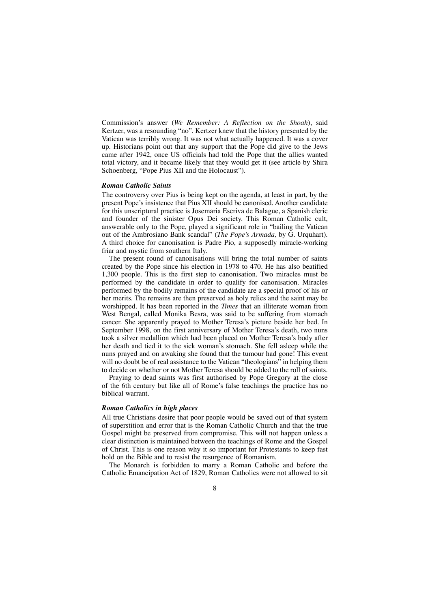Commission's answer (*We Remember: A Reflection on the Shoah*), said Kertzer, was a resounding "no". Kertzer knew that the history presented by the Vatican was terribly wrong. It was not what actually happened. It was a cover up. Historians point out that any support that the Pope did give to the Jews came after 1942, once US officials had told the Pope that the allies wanted total victory, and it became likely that they would get it (see article by Shira Schoenberg, "Pope Pius XII and the Holocaust").

#### *Roman Catholic Saints*

The controversy over Pius is being kept on the agenda, at least in part, by the present Pope's insistence that Pius XII should be canonised. Another candidate for this unscriptural practice is Josemaria Escriva de Balague, a Spanish cleric and founder of the sinister Opus Dei society. This Roman Catholic cult, answerable only to the Pope, played a significant role in "bailing the Vatican out of the Ambrosiano Bank scandal" (*The Pope's Armada,* by G. Urquhart). A third choice for canonisation is Padre Pio, a supposedly miracle-working friar and mystic from southern Italy.

The present round of canonisations will bring the total number of saints created by the Pope since his election in 1978 to 470. He has also beatified 1,300 people. This is the first step to canonisation. Two miracles must be performed by the candidate in order to qualify for canonisation. Miracles performed by the bodily remains of the candidate are a special proof of his or her merits. The remains are then preserved as holy relics and the saint may be worshipped. It has been reported in the *Times* that an illiterate woman from West Bengal, called Monika Besra, was said to be suffering from stomach cancer. She apparently prayed to Mother Teresa's picture beside her bed. In September 1998, on the first anniversary of Mother Teresa's death, two nuns took a silver medallion which had been placed on Mother Teresa's body after her death and tied it to the sick woman's stomach. She fell asleep while the nuns prayed and on awaking she found that the tumour had gone! This event will no doubt be of real assistance to the Vatican "theologians" in helping them to decide on whether or not Mother Teresa should be added to the roll of saints.

Praying to dead saints was first authorised by Pope Gregory at the close of the 6th century but like all of Rome's false teachings the practice has no biblical warrant.

#### *Roman Catholics in high places*

All true Christians desire that poor people would be saved out of that system of superstition and error that is the Roman Catholic Church and that the true Gospel might be preserved from compromise. This will not happen unless a clear distinction is maintained between the teachings of Rome and the Gospel of Christ. This is one reason why it so important for Protestants to keep fast hold on the Bible and to resist the resurgence of Romanism.

The Monarch is forbidden to marry a Roman Catholic and before the Catholic Emancipation Act of 1829, Roman Catholics were not allowed to sit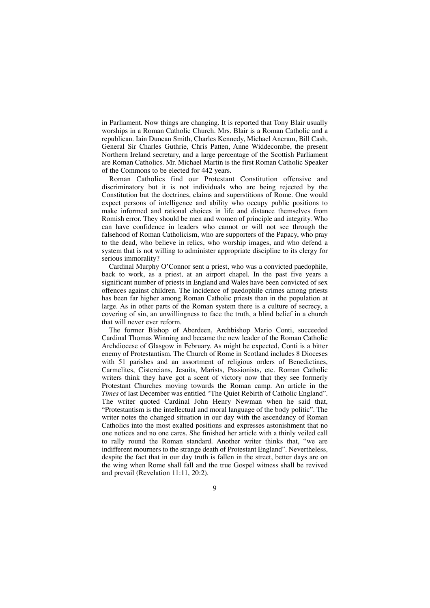in Parliament. Now things are changing. It is reported that Tony Blair usually worships in a Roman Catholic Church. Mrs. Blair is a Roman Catholic and a republican. Iain Duncan Smith, Charles Kennedy, Michael Ancram, Bill Cash, General Sir Charles Guthrie, Chris Patten, Anne Widdecombe, the present Northern Ireland secretary, and a large percentage of the Scottish Parliament are Roman Catholics. Mr. Michael Martin is the first Roman Catholic Speaker of the Commons to be elected for 442 years.

Roman Catholics find our Protestant Constitution offensive and discriminatory but it is not individuals who are being rejected by the Constitution but the doctrines, claims and superstitions of Rome. One would expect persons of intelligence and ability who occupy public positions to make informed and rational choices in life and distance themselves from Romish error. They should be men and women of principle and integrity. Who can have confidence in leaders who cannot or will not see through the falsehood of Roman Catholicism, who are supporters of the Papacy, who pray to the dead, who believe in relics, who worship images, and who defend a system that is not willing to administer appropriate discipline to its clergy for serious immorality?

Cardinal Murphy O'Connor sent a priest, who was a convicted paedophile, back to work, as a priest, at an airport chapel. In the past five years a significant number of priests in England and Wales have been convicted of sex offences against children. The incidence of paedophile crimes among priests has been far higher among Roman Catholic priests than in the population at large. As in other parts of the Roman system there is a culture of secrecy, a covering of sin, an unwillingness to face the truth, a blind belief in a church that will never ever reform.

The former Bishop of Aberdeen, Archbishop Mario Conti, succeeded Cardinal Thomas Winning and became the new leader of the Roman Catholic Archdiocese of Glasgow in February. As might be expected, Conti is a bitter enemy of Protestantism. The Church of Rome in Scotland includes 8 Dioceses with 51 parishes and an assortment of religious orders of Benedictines, Carmelites, Cistercians, Jesuits, Marists, Passionists, etc. Roman Catholic writers think they have got a scent of victory now that they see formerly Protestant Churches moving towards the Roman camp. An article in the *Times* of last December was entitled "The Quiet Rebirth of Catholic England". The writer quoted Cardinal John Henry Newman when he said that, "Protestantism is the intellectual and moral language of the body politic". The writer notes the changed situation in our day with the ascendancy of Roman Catholics into the most exalted positions and expresses astonishment that no one notices and no one cares. She finished her article with a thinly veiled call to rally round the Roman standard. Another writer thinks that, "we are indifferent mourners to the strange death of Protestant England". Nevertheless, despite the fact that in our day truth is fallen in the street, better days are on the wing when Rome shall fall and the true Gospel witness shall be revived and prevail (Revelation 11:11, 20:2).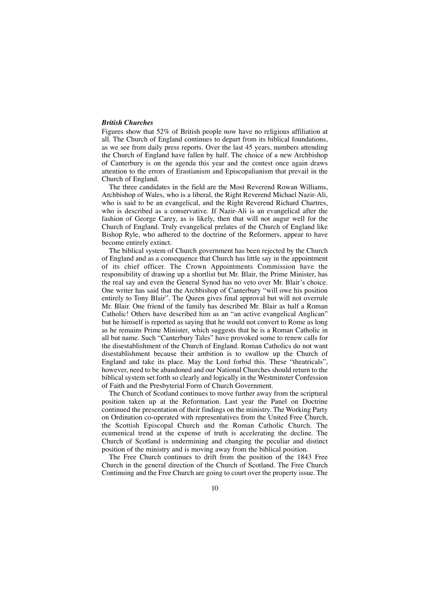#### *British Churches*

Figures show that 52% of British people now have no religious affiliation at all. The Church of England continues to depart from its biblical foundations, as we see from daily press reports. Over the last 45 years, numbers attending the Church of England have fallen by half. The choice of a new Archbishop of Canterbury is on the agenda this year and the contest once again draws attention to the errors of Erastianism and Episcopalianism that prevail in the Church of England.

The three candidates in the field are the Most Reverend Rowan Williams, Archbishop of Wales, who is a liberal, the Right Reverend Michael Nazir-Ali, who is said to be an evangelical, and the Right Reverend Richard Chartres, who is described as a conservative. If Nazir-Ali is an evangelical after the fashion of George Carey, as is likely, then that will not augur well for the Church of England. Truly evangelical prelates of the Church of England like Bishop Ryle, who adhered to the doctrine of the Reformers, appear to have become entirely extinct.

The biblical system of Church government has been rejected by the Church of England and as a consequence that Church has little say in the appointment of its chief officer. The Crown Appointments Commission have the responsibility of drawing up a shortlist but Mr. Blair, the Prime Minister, has the real say and even the General Synod has no veto over Mr. Blair's choice. One writer has said that the Archbishop of Canterbury "will owe his position entirely to Tony Blair". The Queen gives final approval but will not overrule Mr. Blair. One friend of the family has described Mr. Blair as half a Roman Catholic! Others have described him as an "an active evangelical Anglican" but he himself is reported as saying that he would not convert to Rome as long as he remains Prime Minister, which suggests that he is a Roman Catholic in all but name. Such "Canterbury Tales" have provoked some to renew calls for the disestablishment of the Church of England. Roman Catholics do not want disestablishment because their ambition is to swallow up the Church of England and take its place. May the Lord forbid this. These "theatricals", however, need to be abandoned and our National Churches should return to the biblical system set forth so clearly and logically in the Westminster Confession of Faith and the Presbyterial Form of Church Government.

The Church of Scotland continues to move further away from the scriptural position taken up at the Reformation. Last year the Panel on Doctrine continued the presentation of their findings on the ministry. The Working Party on Ordination co-operated with representatives from the United Free Church, the Scottish Episcopal Church and the Roman Catholic Church. The ecumenical trend at the expense of truth is accelerating the decline. The Church of Scotland is undermining and changing the peculiar and distinct position of the ministry and is moving away from the biblical position.

The Free Church continues to drift from the position of the 1843 Free Church in the general direction of the Church of Scotland. The Free Church Continuing and the Free Church are going to court over the property issue. The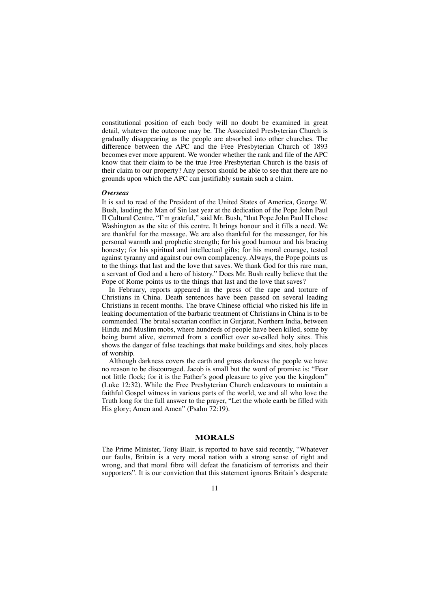constitutional position of each body will no doubt be examined in great detail, whatever the outcome may be. The Associated Presbyterian Church is gradually disappearing as the people are absorbed into other churches. The difference between the APC and the Free Presbyterian Church of 1893 becomes ever more apparent. We wonder whether the rank and file of the APC know that their claim to be the true Free Presbyterian Church is the basis of their claim to our property? Any person should be able to see that there are no grounds upon which the APC can justifiably sustain such a claim.

#### *Overseas*

It is sad to read of the President of the United States of America, George W. Bush, lauding the Man of Sin last year at the dedication of the Pope John Paul II Cultural Centre. "I'm grateful," said Mr. Bush, "that Pope John Paul II chose Washington as the site of this centre. It brings honour and it fills a need. We are thankful for the message. We are also thankful for the messenger, for his personal warmth and prophetic strength; for his good humour and his bracing honesty; for his spiritual and intellectual gifts; for his moral courage, tested against tyranny and against our own complacency. Always, the Pope points us to the things that last and the love that saves. We thank God for this rare man, a servant of God and a hero of history." Does Mr. Bush really believe that the Pope of Rome points us to the things that last and the love that saves?

In February, reports appeared in the press of the rape and torture of Christians in China. Death sentences have been passed on several leading Christians in recent months. The brave Chinese official who risked his life in leaking documentation of the barbaric treatment of Christians in China is to be commended. The brutal sectarian conflict in Gurjarat, Northern India, between Hindu and Muslim mobs, where hundreds of people have been killed, some by being burnt alive, stemmed from a conflict over so-called holy sites. This shows the danger of false teachings that make buildings and sites, holy places of worship.

Although darkness covers the earth and gross darkness the people we have no reason to be discouraged. Jacob is small but the word of promise is: "Fear not little flock; for it is the Father's good pleasure to give you the kingdom" (Luke 12:32). While the Free Presbyterian Church endeavours to maintain a faithful Gospel witness in various parts of the world, we and all who love the Truth long for the full answer to the prayer, "Let the whole earth be filled with His glory; Amen and Amen" (Psalm 72:19).

#### **MORALS**

The Prime Minister, Tony Blair, is reported to have said recently, "Whatever our faults, Britain is a very moral nation with a strong sense of right and wrong, and that moral fibre will defeat the fanaticism of terrorists and their supporters". It is our conviction that this statement ignores Britain's desperate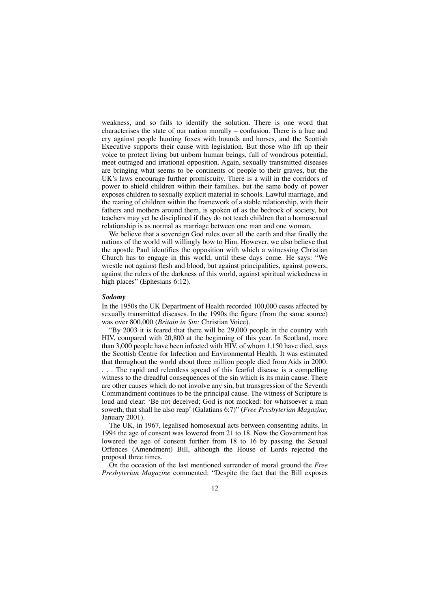weakness, and so fails to identify the solution. There is one word that characterises the state of our nation morally – confusion. There is a hue and cry against people hunting foxes with hounds and horses, and the Scottish Executive supports their cause with legislation. But those who lift up their voice to protect living but unborn human beings, full of wondrous potential, meet outraged and irrational opposition. Again, sexually transmitted diseases are bringing what seems to be continents of people to their graves, but the UK's laws encourage further promiscuity. There is a will in the corridors of power to shield children within their families, but the same body of power exposes children to sexually explicit material in schools. Lawful marriage, and the rearing of children within the framework of a stable relationship, with their fathers and mothers around them, is spoken of as the bedrock of society, but teachers may yet be disciplined if they do not teach children that a homosexual relationship is as normal as marriage between one man and one woman.

We believe that a sovereign God rules over all the earth and that finally the nations of the world will willingly bow to Him. However, we also believe that the apostle Paul identifies the opposition with which a witnessing Christian Church has to engage in this world, until these days come. He says: "We wrestle not against flesh and blood, but against principalities, against powers, against the rulers of the darkness of this world, against spiritual wickedness in high places" (Ephesians 6:12).

#### *Sodomy*

In the 1950s the UK Department of Health recorded 100,000 cases affected by sexually transmitted diseases. In the 1990s the figure (from the same source) was over 800,000 (*Britain in Sin:* Christian Voice).

"By 2003 it is feared that there will be 29,000 people in the country with HIV, compared with 20,800 at the beginning of this year. In Scotland, more than 3,000 people have been infected with HIV, of whom 1,150 have died, says the Scottish Centre for Infection and Environmental Health. It was estimated that throughout the world about three million people died from Aids in 2000. . . . The rapid and relentless spread of this fearful disease is a compelling witness to the dreadful consequences of the sin which is its main cause. There are other causes which do not involve any sin, but transgression of the Seventh Commandment continues to be the principal cause. The witness of Scripture is loud and clear: 'Be not deceived; God is not mocked: for whatsoever a man soweth, that shall he also reap' (Galatians 6:7)" (*Free Presbyterian Magazine,* January 2001).

The UK, in 1967, legalised homosexual acts between consenting adults. In 1994 the age of consent was lowered from 21 to 18. Now the Government has lowered the age of consent further from 18 to 16 by passing the Sexual Offences (Amendment) Bill, although the House of Lords rejected the proposal three times.

On the occasion of the last mentioned surrender of moral ground the *Free Presbyterian Magazine* commented: "Despite the fact that the Bill exposes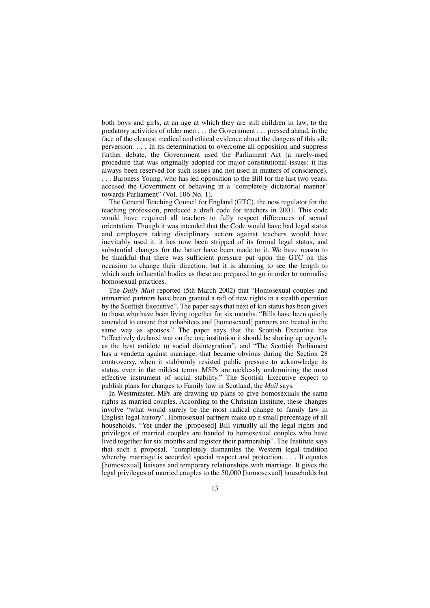both boys and girls, at an age at which they are still children in law, to the predatory activities of older men . . . the Government . . . pressed ahead, in the face of the clearest medical and ethical evidence about the dangers of this vile perversion. . . . In its determination to overcome all opposition and suppress further debate, the Government used the Parliament Act (a rarely-used procedure that was originally adopted for major constitutional issues; it has always been reserved for such issues and not used in matters of conscience). . . . Baroness Young, who has led opposition to the Bill for the last two years, accused the Government of behaving in a 'completely dictatorial manner' towards Parliament" (Vol. 106 No. 1).

The General Teaching Council for England (GTC), the new regulator for the teaching profession, produced a draft code for teachers in 2001. This code would have required all teachers to fully respect differences of sexual orientation. Though it was intended that the Code would have had legal status and employers taking disciplinary action against teachers would have inevitably used it, it has now been stripped of its formal legal status, and substantial changes for the better have been made to it. We have reason to be thankful that there was sufficient pressure put upon the GTC on this occasion to change their direction, but it is alarming to see the length to which such influential bodies as these are prepared to go in order to normalise homosexual practices.

The *Daily Mail* reported (5th March 2002) that "Homosexual couples and unmarried partners have been granted a raft of new rights in a stealth operation by the Scottish Executive". The paper says that next of kin status has been given to those who have been living together for six months. "Bills have been quietly amended to ensure that cohabitees and [homosexual] partners are treated in the same way as spouses." The paper says that the Scottish Executive has "effectively declared war on the one institution it should be shoring up urgently as the best antidote to social disintegration", and "The Scottish Parliament has a vendetta against marriage: that became obvious during the Section 28 controversy, when it stubbornly resisted public pressure to acknowledge its status, even in the mildest terms. MSPs are recklessly undermining the most effective instrument of social stability." The Scottish Executive expect to publish plans for changes to Family law in Scotland, the *Mail* says.

In Westminster, MPs are drawing up plans to give homosexuals the same rights as married couples. According to the Christian Institute, these changes involve "what would surely be the most radical change to family law in English legal history". Homosexual partners make up a small percentage of all households, "Yet under the [proposed] Bill virtually all the legal rights and privileges of married couples are handed to homosexual couples who have lived together for six months and register their partnership". The Institute says that such a proposal, "completely dismantles the Western legal tradition whereby marriage is accorded special respect and protection. . . . It equates [homosexual] liaisons and temporary relationships with marriage. It gives the legal privileges of married couples to the 50,000 [homosexual] households but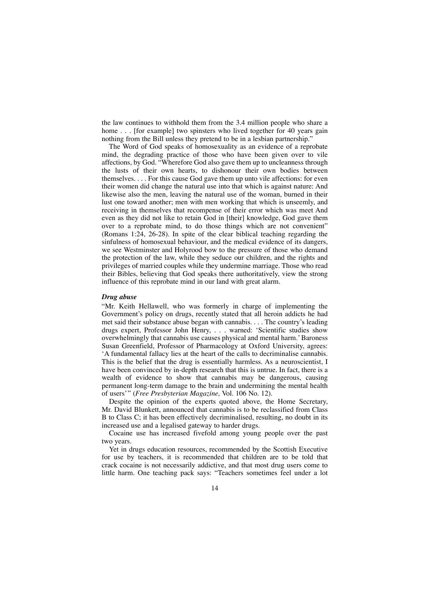the law continues to withhold them from the 3.4 million people who share a home . . . [for example] two spinsters who lived together for 40 years gain nothing from the Bill unless they pretend to be in a lesbian partnership."

The Word of God speaks of homosexuality as an evidence of a reprobate mind, the degrading practice of those who have been given over to vile affections, by God. "Wherefore God also gave them up to uncleanness through the lusts of their own hearts, to dishonour their own bodies between themselves. . . . For this cause God gave them up unto vile affections: for even their women did change the natural use into that which is against nature: And likewise also the men, leaving the natural use of the woman, burned in their lust one toward another; men with men working that which is unseemly, and receiving in themselves that recompense of their error which was meet And even as they did not like to retain God in [their] knowledge, God gave them over to a reprobate mind, to do those things which are not convenient" (Romans 1:24, 26-28). In spite of the clear biblical teaching regarding the sinfulness of homosexual behaviour, and the medical evidence of its dangers, we see Westminster and Holyrood bow to the pressure of those who demand the protection of the law, while they seduce our children, and the rights and privileges of married couples while they undermine marriage. Those who read their Bibles, believing that God speaks there authoritatively, view the strong influence of this reprobate mind in our land with great alarm.

#### *Drug abuse*

"Mr. Keith Hellawell, who was formerly in charge of implementing the Government's policy on drugs, recently stated that all heroin addicts he had met said their substance abuse began with cannabis. . . . The country's leading drugs expert, Professor John Henry, . . . warned: 'Scientific studies show overwhelmingly that cannabis use causes physical and mental harm.'Baroness Susan Greenfield, Professor of Pharmacology at Oxford University, agrees: 'A fundamental fallacy lies at the heart of the calls to decriminalise cannabis. This is the belief that the drug is essentially harmless. As a neuroscientist, I have been convinced by in-depth research that this is untrue. In fact, there is a wealth of evidence to show that cannabis may be dangerous, causing permanent long-term damage to the brain and undermining the mental health of users'" (*Free Presbyterian Magazine,* Vol. 106 No. 12).

Despite the opinion of the experts quoted above, the Home Secretary, Mr. David Blunkett, announced that cannabis is to be reclassified from Class B to Class C; it has been effectively decriminalised, resulting, no doubt in its increased use and a legalised gateway to harder drugs.

Cocaine use has increased fivefold among young people over the past two years.

Yet in drugs education resources, recommended by the Scottish Executive for use by teachers, it is recommended that children are to be told that crack cocaine is not necessarily addictive, and that most drug users come to little harm. One teaching pack says: "Teachers sometimes feel under a lot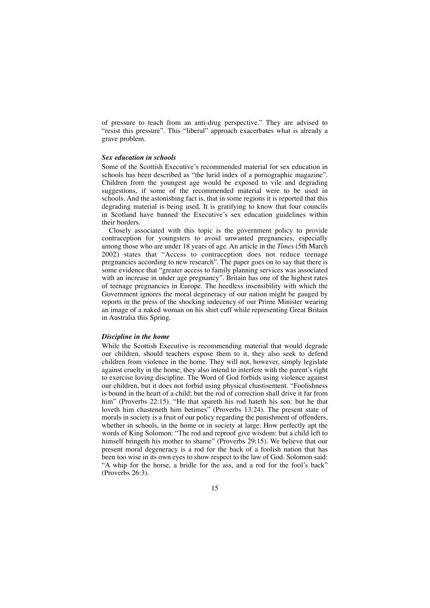of pressure to teach from an anti-drug perspective." They are advised to "resist this pressure". This "liberal" approach exacerbates what is already a grave problem.

#### *Sex education in schools*

Some of the Scottish Executive's recommended material for sex education in schools has been described as "the lurid index of a pornographic magazine". Children from the youngest age would be exposed to vile and degrading suggestions, if some of the recommended material were to be used in schools. And the astonishing fact is, that in some regions it is reported that this degrading material is being used. It is gratifying to know that four councils in Scotland have banned the Executive's sex education guidelines within their borders.

Closely associated with this topic is the government policy to provide contraception for youngsters to avoid unwanted pregnancies, especially among those who are under 18 years of age. An article in the *Times* (5th March 2002) states that "Access to contraception does not reduce teenage pregnancies according to new research". The paper goes on to say that there is some evidence that "greater access to family planning services was associated with an increase in under age pregnancy". Britain has one of the highest rates of teenage pregnancies in Europe. The heedless insensibility with which the Government ignores the moral degeneracy of our nation might be gauged by reports in the press of the shocking indecency of our Prime Minister wearing an image of a naked woman on his shirt cuff while representing Great Britain in Australia this Spring.

#### *Discipline in the home*

While the Scottish Executive is recommending material that would degrade our children, should teachers expose them to it, they also seek to defend children from violence in the home. They will not, however, simply legislate against cruelty in the home, they also intend to interfere with the parent's right to exercise loving discipline. The Word of God forbids using violence against our children, but it does not forbid using physical chastisement. "Foolishness is bound in the heart of a child; but the rod of correction shall drive it far from him" (Proverbs 22:15). "He that spareth his rod hateth his son: but he that loveth him chasteneth him betimes" (Proverbs 13:24). The present state of morals in society is a fruit of our policy regarding the punishment of offenders, whether in schools, in the home or in society at large. How perfectly apt the words of King Solomon: "The rod and reproof give wisdom: but a child left to himself bringeth his mother to shame" (Proverbs 29:15). We believe that our present moral degeneracy is a rod for the back of a foolish nation that has been too wise in its own eyes to show respect to the law of God. Solomon said: "A whip for the horse, a bridle for the ass, and a rod for the fool's back" (Proverbs 26:3).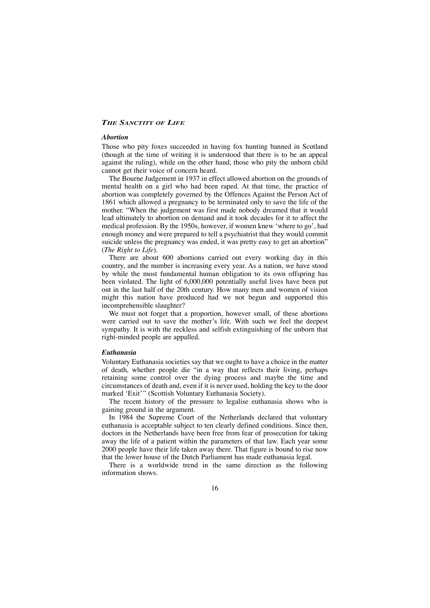### *THE SANCTITY OF LIFE*

#### *Abortion*

Those who pity foxes succeeded in having fox hunting banned in Scotland (though at the time of writing it is understood that there is to be an appeal against the ruling), while on the other hand, those who pity the unborn child cannot get their voice of concern heard.

The Bourne Judgement in 1937 in effect allowed abortion on the grounds of mental health on a girl who had been raped. At that time, the practice of abortion was completely governed by the Offences Against the Person Act of 1861 which allowed a pregnancy to be terminated only to save the life of the mother. "When the judgement was first made nobody dreamed that it would lead ultimately to abortion on demand and it took decades for it to affect the medical profession. By the 1950s, however, if women knew 'where to go', had enough money and were prepared to tell a psychiatrist that they would commit suicide unless the pregnancy was ended, it was pretty easy to get an abortion" (*The Right to Life*).

There are about 600 abortions carried out every working day in this country, and the number is increasing every year. As a nation, we have stood by while the most fundamental human obligation to its own offspring has been violated. The light of 6,000,000 potentially useful lives have been put out in the last half of the 20th century. How many men and women of vision might this nation have produced had we not begun and supported this incomprehensible slaughter?

We must not forget that a proportion, however small, of these abortions were carried out to save the mother's life. With such we feel the deepest sympathy. It is with the reckless and selfish extinguishing of the unborn that right-minded people are appalled.

#### *Euthanasia*

Voluntary Euthanasia societies say that we ought to have a choice in the matter of death, whether people die "in a way that reflects their living, perhaps retaining some control over the dying process and maybe the time and circumstances of death and, even if it is never used, holding the key to the door marked 'Exit'" (Scottish Voluntary Euthanasia Society).

The recent history of the pressure to legalise euthanasia shows who is gaining ground in the argument.

In 1984 the Supreme Court of the Netherlands declared that voluntary euthanasia is acceptable subject to ten clearly defined conditions. Since then, doctors in the Netherlands have been free from fear of prosecution for taking away the life of a patient within the parameters of that law. Each year some 2000 people have their life taken away there. That figure is bound to rise now that the lower house of the Dutch Parliament has made euthanasia legal.

There is a worldwide trend in the same direction as the following information shows.

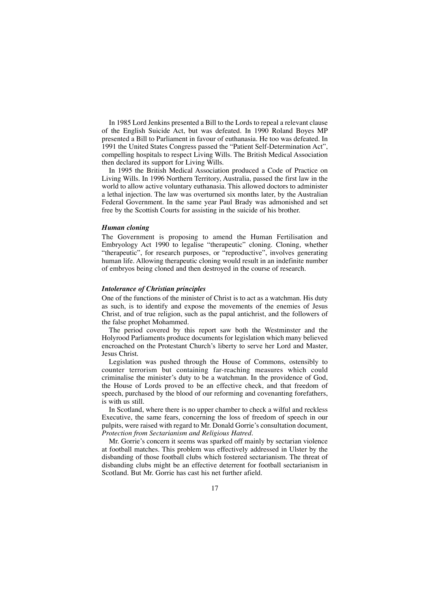In 1985 Lord Jenkins presented a Bill to the Lords to repeal a relevant clause of the English Suicide Act, but was defeated. In 1990 Roland Boyes MP presented a Bill to Parliament in favour of euthanasia. He too was defeated. In 1991 the United States Congress passed the "Patient Self-Determination Act", compelling hospitals to respect Living Wills. The British Medical Association then declared its support for Living Wills.

In 1995 the British Medical Association produced a Code of Practice on Living Wills. In 1996 Northern Territory, Australia, passed the first law in the world to allow active voluntary euthanasia. This allowed doctors to administer a lethal injection. The law was overturned six months later, by the Australian Federal Government. In the same year Paul Brady was admonished and set free by the Scottish Courts for assisting in the suicide of his brother.

#### *Human cloning*

The Government is proposing to amend the Human Fertilisation and Embryology Act 1990 to legalise "therapeutic" cloning. Cloning, whether "therapeutic", for research purposes, or "reproductive", involves generating human life. Allowing therapeutic cloning would result in an indefinite number of embryos being cloned and then destroyed in the course of research.

#### *Intolerance of Christian principles*

One of the functions of the minister of Christ is to act as a watchman. His duty as such, is to identify and expose the movements of the enemies of Jesus Christ, and of true religion, such as the papal antichrist, and the followers of the false prophet Mohammed.

The period covered by this report saw both the Westminster and the Holyrood Parliaments produce documents for legislation which many believed encroached on the Protestant Church's liberty to serve her Lord and Master, Jesus Christ.

Legislation was pushed through the House of Commons, ostensibly to counter terrorism but containing far-reaching measures which could criminalise the minister's duty to be a watchman. In the providence of God, the House of Lords proved to be an effective check, and that freedom of speech, purchased by the blood of our reforming and covenanting forefathers, is with us still.

In Scotland, where there is no upper chamber to check a wilful and reckless Executive, the same fears, concerning the loss of freedom of speech in our pulpits, were raised with regard to Mr. Donald Gorrie's consultation document, *Protection from Sectarianism and Religious Hatred.*

Mr. Gorrie's concern it seems was sparked off mainly by sectarian violence at football matches. This problem was effectively addressed in Ulster by the disbanding of those football clubs which fostered sectarianism. The threat of disbanding clubs might be an effective deterrent for football sectarianism in Scotland. But Mr. Gorrie has cast his net further afield.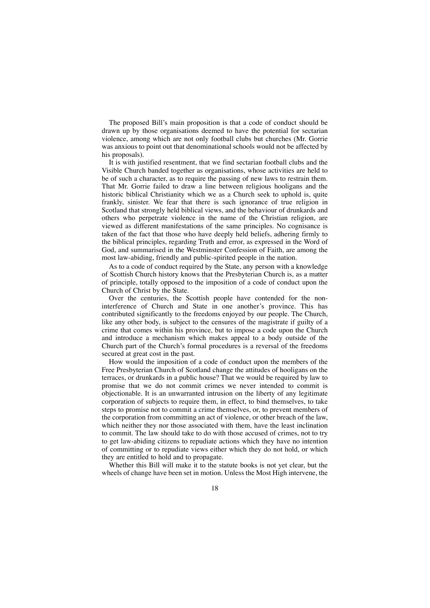The proposed Bill's main proposition is that a code of conduct should be drawn up by those organisations deemed to have the potential for sectarian violence, among which are not only football clubs but churches (Mr. Gorrie was anxious to point out that denominational schools would not be affected by his proposals).

It is with justified resentment, that we find sectarian football clubs and the Visible Church banded together as organisations, whose activities are held to be of such a character, as to require the passing of new laws to restrain them. That Mr. Gorrie failed to draw a line between religious hooligans and the historic biblical Christianity which we as a Church seek to uphold is, quite frankly, sinister. We fear that there is such ignorance of true religion in Scotland that strongly held biblical views, and the behaviour of drunkards and others who perpetrate violence in the name of the Christian religion, are viewed as different manifestations of the same principles. No cognisance is taken of the fact that those who have deeply held beliefs, adhering firmly to the biblical principles, regarding Truth and error, as expressed in the Word of God, and summarised in the Westminster Confession of Faith, are among the most law-abiding, friendly and public-spirited people in the nation.

As to a code of conduct required by the State, any person with a knowledge of Scottish Church history knows that the Presbyterian Church is, as a matter of principle, totally opposed to the imposition of a code of conduct upon the Church of Christ by the State.

Over the centuries, the Scottish people have contended for the noninterference of Church and State in one another's province. This has contributed significantly to the freedoms enjoyed by our people. The Church, like any other body, is subject to the censures of the magistrate if guilty of a crime that comes within his province, but to impose a code upon the Church and introduce a mechanism which makes appeal to a body outside of the Church part of the Church's formal procedures is a reversal of the freedoms secured at great cost in the past.

How would the imposition of a code of conduct upon the members of the Free Presbyterian Church of Scotland change the attitudes of hooligans on the terraces, or drunkards in a public house? That we would be required by law to promise that we do not commit crimes we never intended to commit is objectionable. It is an unwarranted intrusion on the liberty of any legitimate corporation of subjects to require them, in effect, to bind themselves, to take steps to promise not to commit a crime themselves, or, to prevent members of the corporation from committing an act of violence, or other breach of the law, which neither they nor those associated with them, have the least inclination to commit. The law should take to do with those accused of crimes, not to try to get law-abiding citizens to repudiate actions which they have no intention of committing or to repudiate views either which they do not hold, or which they are entitled to hold and to propagate.

Whether this Bill will make it to the statute books is not yet clear, but the wheels of change have been set in motion. Unless the Most High intervene, the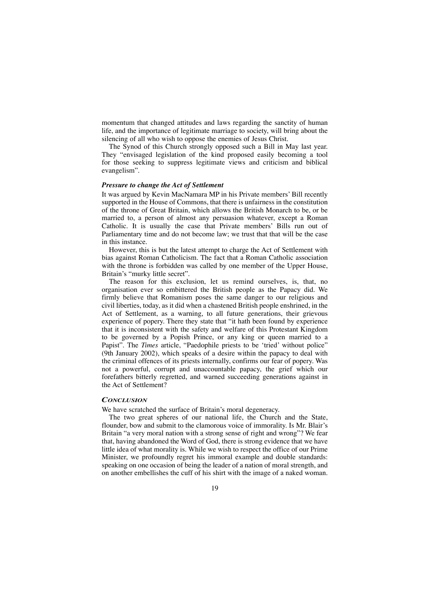momentum that changed attitudes and laws regarding the sanctity of human life, and the importance of legitimate marriage to society, will bring about the silencing of all who wish to oppose the enemies of Jesus Christ.

The Synod of this Church strongly opposed such a Bill in May last year. They "envisaged legislation of the kind proposed easily becoming a tool for those seeking to suppress legitimate views and criticism and biblical evangelism".

#### *Pressure to change the Act of Settlement*

It was argued by Kevin MacNamara MP in his Private members' Bill recently supported in the House of Commons, that there is unfairness in the constitution of the throne of Great Britain, which allows the British Monarch to be, or be married to, a person of almost any persuasion whatever, except a Roman Catholic. It is usually the case that Private members' Bills run out of Parliamentary time and do not become law; we trust that that will be the case in this instance.

However, this is but the latest attempt to charge the Act of Settlement with bias against Roman Catholicism. The fact that a Roman Catholic association with the throne is forbidden was called by one member of the Upper House, Britain's "murky little secret".

The reason for this exclusion, let us remind ourselves, is, that, no organisation ever so embittered the British people as the Papacy did. We firmly believe that Romanism poses the same danger to our religious and civil liberties, today, as it did when a chastened British people enshrined, in the Act of Settlement, as a warning, to all future generations, their grievous experience of popery. There they state that "it hath been found by experience that it is inconsistent with the safety and welfare of this Protestant Kingdom to be governed by a Popish Prince, or any king or queen married to a Papist". The *Times* article, "Paedophile priests to be 'tried' without police" (9th January 2002), which speaks of a desire within the papacy to deal with the criminal offences of its priests internally, confirms our fear of popery. Was not a powerful, corrupt and unaccountable papacy, the grief which our forefathers bitterly regretted, and warned succeeding generations against in the Act of Settlement?

#### *CONCLUSION*

We have scratched the surface of Britain's moral degeneracy.

The two great spheres of our national life, the Church and the State, flounder, bow and submit to the clamorous voice of immorality. Is Mr. Blair's Britain "a very moral nation with a strong sense of right and wrong"? We fear that, having abandoned the Word of God, there is strong evidence that we have little idea of what morality is. While we wish to respect the office of our Prime Minister, we profoundly regret his immoral example and double standards: speaking on one occasion of being the leader of a nation of moral strength, and on another embellishes the cuff of his shirt with the image of a naked woman.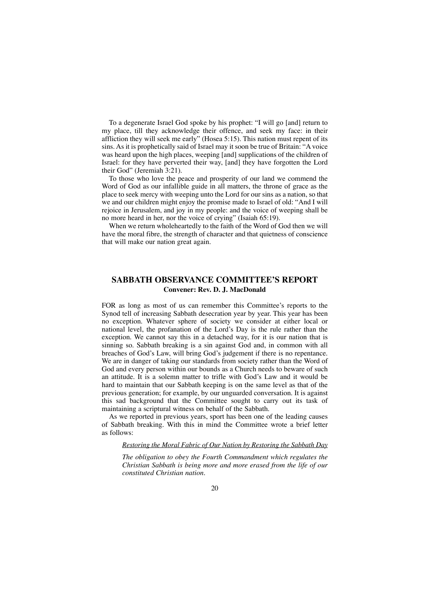To a degenerate Israel God spoke by his prophet: "I will go [and] return to my place, till they acknowledge their offence, and seek my face: in their affliction they will seek me early" (Hosea 5:15). This nation must repent of its sins. As it is prophetically said of Israel may it soon be true of Britain: "A voice was heard upon the high places, weeping [and] supplications of the children of Israel: for they have perverted their way, [and] they have forgotten the Lord their God" (Jeremiah 3:21).

To those who love the peace and prosperity of our land we commend the Word of God as our infallible guide in all matters, the throne of grace as the place to seek mercy with weeping unto the Lord for our sins as a nation, so that we and our children might enjoy the promise made to Israel of old: "And I will rejoice in Jerusalem, and joy in my people: and the voice of weeping shall be no more heard in her, nor the voice of crying" (Isaiah 65:19).

When we return wholeheartedly to the faith of the Word of God then we will have the moral fibre, the strength of character and that quietness of conscience that will make our nation great again.

## **SABBATH OBSERVANCE COMMITTEE'S REPORT Convener: Rev. D. J. MacDonald**

FOR as long as most of us can remember this Committee's reports to the Synod tell of increasing Sabbath desecration year by year. This year has been no exception. Whatever sphere of society we consider at either local or national level, the profanation of the Lord's Day is the rule rather than the exception. We cannot say this in a detached way, for it is our nation that is sinning so. Sabbath breaking is a sin against God and, in common with all breaches of God's Law, will bring God's judgement if there is no repentance. We are in danger of taking our standards from society rather than the Word of God and every person within our bounds as a Church needs to beware of such an attitude. It is a solemn matter to trifle with God's Law and it would be hard to maintain that our Sabbath keeping is on the same level as that of the previous generation; for example, by our unguarded conversation. It is against this sad background that the Committee sought to carry out its task of maintaining a scriptural witness on behalf of the Sabbath.

As we reported in previous years, sport has been one of the leading causes of Sabbath breaking. With this in mind the Committee wrote a brief letter as follows:

*Restoring the Moral Fabric of Our Nation by Restoring the Sabbath Day*

*The obligation to obey the Fourth Commandment which regulates the Christian Sabbath is being more and more erased from the life of our constituted Christian nation.*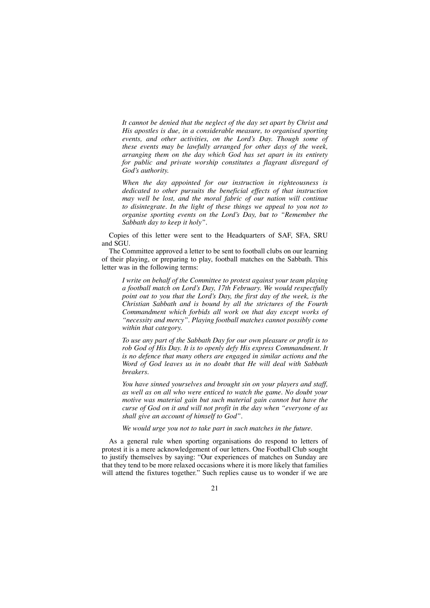*It cannot be denied that the neglect of the day set apart by Christ and His apostles is due, in a considerable measure, to organised sporting events, and other activities, on the Lord's Day. Though some of these events may be lawfully arranged for other days of the week, arranging them on the day which God has set apart in its entirety for public and private worship constitutes a flagrant disregard of God's authority.*

*When the day appointed for our instruction in righteousness is dedicated to other pursuits the beneficial effects of that instruction may well be lost, and the moral fabric of our nation will continue to disintegrate. In the light of these things we appeal to you not to organise sporting events on the Lord's Day, but to "Remember the Sabbath day to keep it holy".*

Copies of this letter were sent to the Headquarters of SAF, SFA, SRU and SGU.

The Committee approved a letter to be sent to football clubs on our learning of their playing, or preparing to play, football matches on the Sabbath. This letter was in the following terms:

*I write on behalf of the Committee to protest against your team playing a football match on Lord's Day, 17th February. We would respectfully point out to you that the Lord's Day, the first day of the week, is the Christian Sabbath and is bound by all the strictures of the Fourth Commandment which forbids all work on that day except works of "necessity and mercy". Playing football matches cannot possibly come within that category.*

*To use any part of the Sabbath Day for our own pleasure or profit is to rob God of His Day. It is to openly defy His express Commandment. It is no defence that many others are engaged in similar actions and the Word of God leaves us in no doubt that He will deal with Sabbath breakers.*

*You have sinned yourselves and brought sin on your players and staff, as well as on all who were enticed to watch the game. No doubt your motive was material gain but such material gain cannot but have the curse of God on it and will not profit in the day when "everyone of us shall give an account of himself to God".*

*We would urge you not to take part in such matches in the future.*

As a general rule when sporting organisations do respond to letters of protest it is a mere acknowledgement of our letters. One Football Club sought to justify themselves by saying: "Our experiences of matches on Sunday are that they tend to be more relaxed occasions where it is more likely that families will attend the fixtures together." Such replies cause us to wonder if we are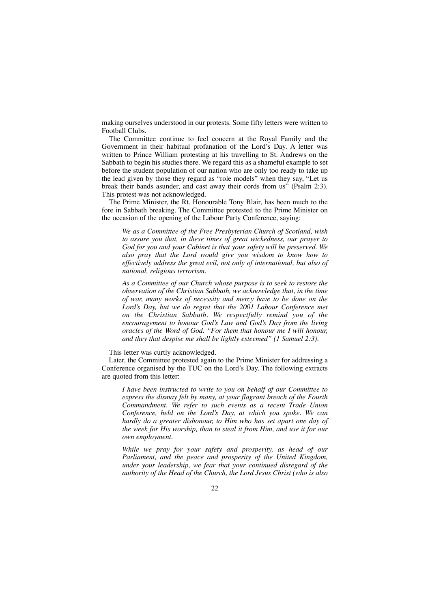making ourselves understood in our protests. Some fifty letters were written to Football Clubs.

The Committee continue to feel concern at the Royal Family and the Government in their habitual profanation of the Lord's Day. A letter was written to Prince William protesting at his travelling to St. Andrews on the Sabbath to begin his studies there. We regard this as a shameful example to set before the student population of our nation who are only too ready to take up the lead given by those they regard as "role models" when they say, "Let us break their bands asunder, and cast away their cords from us" (Psalm 2:3). This protest was not acknowledged.

The Prime Minister, the Rt. Honourable Tony Blair, has been much to the fore in Sabbath breaking. The Committee protested to the Prime Minister on the occasion of the opening of the Labour Party Conference, saying:

*We as a Committee of the Free Presbyterian Church of Scotland, wish to assure you that, in these times of great wickedness, our prayer to God for you and your Cabinet is that your safety will be preserved. We also pray that the Lord would give you wisdom to know how to effectively address the great evil, not only of international, but also of national, religious terrorism.*

*As a Committee of our Church whose purpose is to seek to restore the observation of the Christian Sabbath, we acknowledge that, in the time of war, many works of necessity and mercy have to be done on the Lord's Day, but we do regret that the 2001 Labour Conference met on the Christian Sabbath. We respectfully remind you of the encouragement to honour God's Law and God's Day from the living oracles of the Word of God. "For them that honour me I will honour, and they that despise me shall be lightly esteemed" (1 Samuel 2:3).*

This letter was curtly acknowledged.

Later, the Committee protested again to the Prime Minister for addressing a Conference organised by the TUC on the Lord's Day. The following extracts are quoted from this letter:

*I have been instructed to write to you on behalf of our Committee to express the dismay felt by many, at your flagrant breach of the Fourth Commandment. We refer to such events as a recent Trade Union Conference, held on the Lord's Day, at which you spoke. We can hardly do a greater dishonour, to Him who has set apart one day of the week for His worship, than to steal it from Him, and use it for our own employment.*

*While we pray for your safety and prosperity, as head of our Parliament, and the peace and prosperity of the United Kingdom, under your leadership, we fear that your continued disregard of the authority of the Head of the Church, the Lord Jesus Christ (who is also*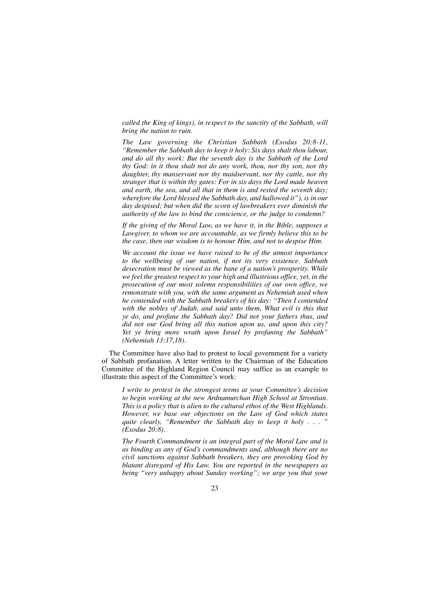*called the King of kings), in respect to the sanctity of the Sabbath, will bring the nation to ruin.*

*The Law governing the Christian Sabbath (Exodus 20:8-11, "Remember the Sabbath day to keep it holy: Six days shalt thou labour, and do all thy work: But the seventh day is the Sabbath of the Lord thy God: in it thou shalt not do any work, thou, nor thy son, nor thy daughter, thy manservant nor thy maidservant, nor thy cattle, nor thy stranger that is within thy gates: For in six days the Lord made heaven and earth, the sea, and all that in them is and rested the seventh day; wherefore the Lord blessed the Sabbath day, and hallowed it"), is in our day despised; but when did the scorn of lawbreakers ever diminish the authority of the law to bind the conscience, or the judge to condemn?*

*If the giving of the Moral Law, as we have it, in the Bible, supposes a Lawgiver, to whom we are accountable, as we firmly believe this to be the case, then our wisdom is to honour Him, and not to despise Him.* 

*We account the issue we have raised to be of the utmost importance to the wellbeing of our nation, if not its very existence. Sabbath desecration must be viewed as the bane of a nation's prosperity. While we feel the greatest respect to your high and illustrious office, yet, in the prosecution of our most solemn responsibilities of our own office, we remonstrate with you, with the same argument as Nehemiah used when he contended with the Sabbath breakers of his day: "Then I contended with the nobles of Judah, and said unto them, What evil is this that ye do, and profane the Sabbath day? Did not your fathers thus, and did not our God bring all this nation upon us, and upon this city? Yet ye bring more wrath upon Israel by profaning the Sabbath" (Nehemiah 13:17,18).*

The Committee have also had to protest to local government for a variety of Sabbath profanation. A letter written to the Chairman of the Education Committee of the Highland Region Council may suffice as an example to illustrate this aspect of the Committee's work:

*I write to protest in the strongest terms at your Committee's decision to begin working at the new Ardnamurchan High School at Strontian. This is a policy that is alien to the cultural ethos of the West Highlands. However, we base our objections on the Law of God which states quite clearly, "Remember the Sabbath day to keep it holy ... (Exodus 20:8).*

*The Fourth Commandment is an integral part of the Moral Law and is as binding as any of God's commandments and, although there are no civil sanctions against Sabbath breakers, they are provoking God by blatant disregard of His Law. You are reported in the newspapers as being "very unhappy about Sunday working"; we urge you that your*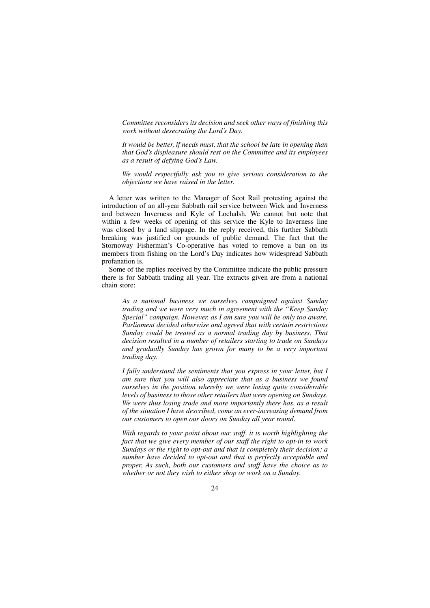*Committee reconsiders its decision and seek other ways of finishing this work without desecrating the Lord's Day.*

*It would be better, if needs must, that the school be late in opening than that God's displeasure should rest on the Committee and its employees as a result of defying God's Law.*

*We would respectfully ask you to give serious consideration to the objections we have raised in the letter.*

A letter was written to the Manager of Scot Rail protesting against the introduction of an all-year Sabbath rail service between Wick and Inverness and between Inverness and Kyle of Lochalsh. We cannot but note that within a few weeks of opening of this service the Kyle to Inverness line was closed by a land slippage. In the reply received, this further Sabbath breaking was justified on grounds of public demand. The fact that the Stornoway Fisherman's Co-operative has voted to remove a ban on its members from fishing on the Lord's Day indicates how widespread Sabbath profanation is.

Some of the replies received by the Committee indicate the public pressure there is for Sabbath trading all year. The extracts given are from a national chain store:

*As a national business we ourselves campaigned against Sunday trading and we were very much in agreement with the "Keep Sunday Special" campaign. However, as I am sure you will be only too aware, Parliament decided otherwise and agreed that with certain restrictions Sunday could be treated as a normal trading day by business. That decision resulted in a number of retailers starting to trade on Sundays and gradually Sunday has grown for many to be a very important trading day.*

*I fully understand the sentiments that you express in your letter, but I am sure that you will also appreciate that as a business we found ourselves in the position whereby we were losing quite considerable levels of business to those other retailers that were opening on Sundays. We were thus losing trade and more importantly there has, as a result of the situation I have described, come an ever-increasing demand from our customers to open our doors on Sunday all year round.*

*With regards to your point about our staff, it is worth highlighting the fact that we give every member of our staff the right to opt-in to work Sundays or the right to opt-out and that is completely their decision; a number have decided to opt-out and that is perfectly acceptable and proper. As such, both our customers and staff have the choice as to whether or not they wish to either shop or work on a Sunday.*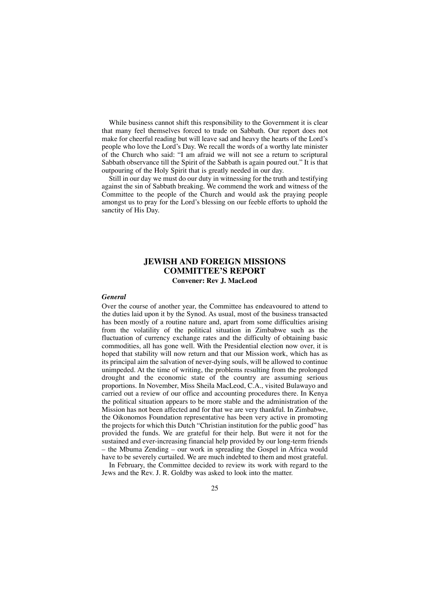While business cannot shift this responsibility to the Government it is clear that many feel themselves forced to trade on Sabbath. Our report does not make for cheerful reading but will leave sad and heavy the hearts of the Lord's people who love the Lord's Day. We recall the words of a worthy late minister of the Church who said: "I am afraid we will not see a return to scriptural Sabbath observance till the Spirit of the Sabbath is again poured out." It is that outpouring of the Holy Spirit that is greatly needed in our day.

Still in our day we must do our duty in witnessing for the truth and testifying against the sin of Sabbath breaking. We commend the work and witness of the Committee to the people of the Church and would ask the praying people amongst us to pray for the Lord's blessing on our feeble efforts to uphold the sanctity of His Day.

## **JEWISH AND FOREIGN MISSIONS COMMITTEE'S REPORT Convener: Rev J. MacLeod**

#### *General*

Over the course of another year, the Committee has endeavoured to attend to the duties laid upon it by the Synod. As usual, most of the business transacted has been mostly of a routine nature and, apart from some difficulties arising from the volatility of the political situation in Zimbabwe such as the fluctuation of currency exchange rates and the difficulty of obtaining basic commodities, all has gone well. With the Presidential election now over, it is hoped that stability will now return and that our Mission work, which has as its principal aim the salvation of never-dying souls, will be allowed to continue unimpeded. At the time of writing, the problems resulting from the prolonged drought and the economic state of the country are assuming serious proportions. In November, Miss Sheila MacLeod, C.A., visited Bulawayo and carried out a review of our office and accounting procedures there. In Kenya the political situation appears to be more stable and the administration of the Mission has not been affected and for that we are very thankful. In Zimbabwe, the Oikonomos Foundation representative has been very active in promoting the projects for which this Dutch "Christian institution for the public good" has provided the funds. We are grateful for their help. But were it not for the sustained and ever-increasing financial help provided by our long-term friends – the Mbuma Zending – our work in spreading the Gospel in Africa would have to be severely curtailed. We are much indebted to them and most grateful.

In February, the Committee decided to review its work with regard to the Jews and the Rev. J. R. Goldby was asked to look into the matter.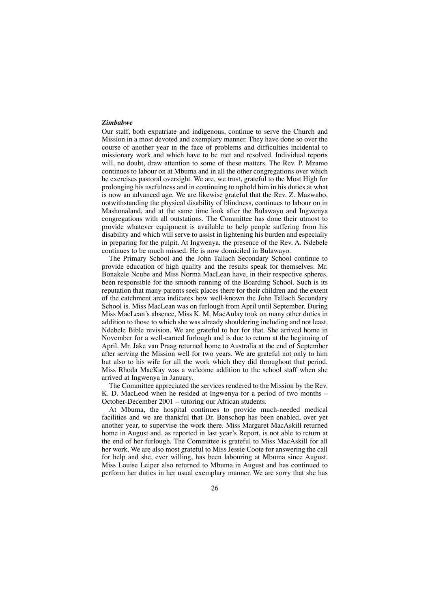#### *Zimbabwe*

Our staff, both expatriate and indigenous, continue to serve the Church and Mission in a most devoted and exemplary manner. They have done so over the course of another year in the face of problems and difficulties incidental to missionary work and which have to be met and resolved. Individual reports will, no doubt, draw attention to some of these matters. The Rev. P. Mzamo continues to labour on at Mbuma and in all the other congregations over which he exercises pastoral oversight. We are, we trust, grateful to the Most High for prolonging his usefulness and in continuing to uphold him in his duties at what is now an advanced age. We are likewise grateful that the Rev. Z. Mazwabo, notwithstanding the physical disability of blindness, continues to labour on in Mashonaland, and at the same time look after the Bulawayo and Ingwenya congregations with all outstations. The Committee has done their utmost to provide whatever equipment is available to help people suffering from his disability and which will serve to assist in lightening his burden and especially in preparing for the pulpit. At Ingwenya, the presence of the Rev. A. Ndebele continues to be much missed. He is now domiciled in Bulawayo.

The Primary School and the John Tallach Secondary School continue to provide education of high quality and the results speak for themselves. Mr. Bonakele Ncube and Miss Norma MacLean have, in their respective spheres, been responsible for the smooth running of the Boarding School. Such is its reputation that many parents seek places there for their children and the extent of the catchment area indicates how well-known the John Tallach Secondary School is. Miss MacLean was on furlough from April until September. During Miss MacLean's absence, Miss K. M. MacAulay took on many other duties in addition to those to which she was already shouldering including and not least, Ndebele Bible revision. We are grateful to her for that. She arrived home in November for a well-earned furlough and is due to return at the beginning of April. Mr. Jake van Praag returned home to Australia at the end of September after serving the Mission well for two years. We are grateful not only to him but also to his wife for all the work which they did throughout that period. Miss Rhoda MacKay was a welcome addition to the school staff when she arrived at Ingwenya in January.

The Committee appreciated the services rendered to the Mission by the Rev. K. D. MacLeod when he resided at Ingwenya for a period of two months – October-December 2001 – tutoring our African students.

At Mbuma, the hospital continues to provide much-needed medical facilities and we are thankful that Dr. Benschop has been enabled, over yet another year, to supervise the work there. Miss Margaret MacAskill returned home in August and, as reported in last year's Report, is not able to return at the end of her furlough. The Committee is grateful to Miss MacAskill for all her work. We are also most grateful to Miss Jessie Coote for answering the call for help and she, ever willing, has been labouring at Mbuma since August. Miss Louise Leiper also returned to Mbuma in August and has continued to perform her duties in her usual exemplary manner. We are sorry that she has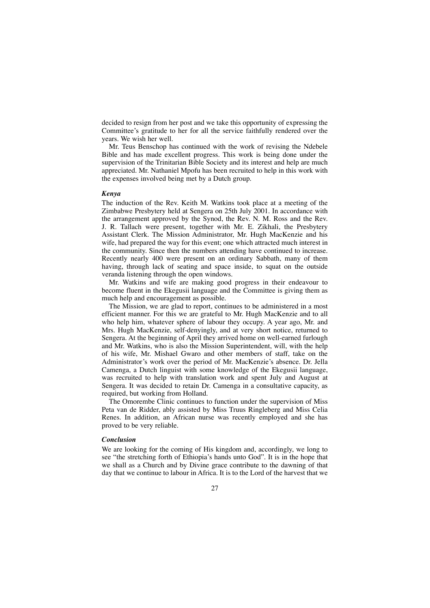decided to resign from her post and we take this opportunity of expressing the Committee's gratitude to her for all the service faithfully rendered over the years. We wish her well.

Mr. Teus Benschop has continued with the work of revising the Ndebele Bible and has made excellent progress. This work is being done under the supervision of the Trinitarian Bible Society and its interest and help are much appreciated. Mr. Nathaniel Mpofu has been recruited to help in this work with the expenses involved being met by a Dutch group.

#### *Kenya*

The induction of the Rev. Keith M. Watkins took place at a meeting of the Zimbabwe Presbytery held at Sengera on 25th July 2001. In accordance with the arrangement approved by the Synod, the Rev. N. M. Ross and the Rev. J. R. Tallach were present, together with Mr. E. Zikhali, the Presbytery Assistant Clerk. The Mission Administrator, Mr. Hugh MacKenzie and his wife, had prepared the way for this event; one which attracted much interest in the community. Since then the numbers attending have continued to increase. Recently nearly 400 were present on an ordinary Sabbath, many of them having, through lack of seating and space inside, to squat on the outside veranda listening through the open windows.

Mr. Watkins and wife are making good progress in their endeavour to become fluent in the Ekegusii language and the Committee is giving them as much help and encouragement as possible.

The Mission, we are glad to report, continues to be administered in a most efficient manner. For this we are grateful to Mr. Hugh MacKenzie and to all who help him, whatever sphere of labour they occupy. A year ago, Mr. and Mrs. Hugh MacKenzie, self-denyingly, and at very short notice, returned to Sengera. At the beginning of April they arrived home on well-earned furlough and Mr. Watkins, who is also the Mission Superintendent, will, with the help of his wife, Mr. Mishael Gwaro and other members of staff, take on the Administrator's work over the period of Mr. MacKenzie's absence. Dr. Jella Camenga, a Dutch linguist with some knowledge of the Ekegusii language, was recruited to help with translation work and spent July and August at Sengera. It was decided to retain Dr. Camenga in a consultative capacity, as required, but working from Holland.

The Omorembe Clinic continues to function under the supervision of Miss Peta van de Ridder, ably assisted by Miss Truus Ringleberg and Miss Celia Renes. In addition, an African nurse was recently employed and she has proved to be very reliable.

#### *Conclusion*

We are looking for the coming of His kingdom and, accordingly, we long to see "the stretching forth of Ethiopia's hands unto God". It is in the hope that we shall as a Church and by Divine grace contribute to the dawning of that day that we continue to labour in Africa. It is to the Lord of the harvest that we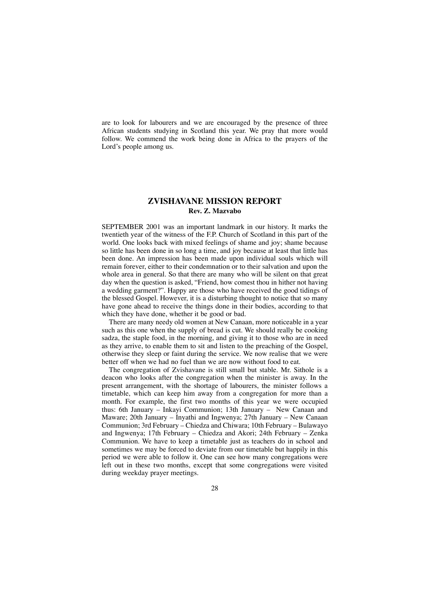are to look for labourers and we are encouraged by the presence of three African students studying in Scotland this year. We pray that more would follow. We commend the work being done in Africa to the prayers of the Lord's people among us.

## **ZVISHAVANE MISSION REPORT Rev. Z. Mazvabo**

SEPTEMBER 2001 was an important landmark in our history. It marks the twentieth year of the witness of the F.P. Church of Scotland in this part of the world. One looks back with mixed feelings of shame and joy; shame because so little has been done in so long a time, and joy because at least that little has been done. An impression has been made upon individual souls which will remain forever, either to their condemnation or to their salvation and upon the whole area in general. So that there are many who will be silent on that great day when the question is asked, "Friend, how comest thou in hither not having a wedding garment?". Happy are those who have received the good tidings of the blessed Gospel. However, it is a disturbing thought to notice that so many have gone ahead to receive the things done in their bodies, according to that which they have done, whether it be good or bad.

There are many needy old women at New Canaan, more noticeable in a year such as this one when the supply of bread is cut. We should really be cooking sadza, the staple food, in the morning, and giving it to those who are in need as they arrive, to enable them to sit and listen to the preaching of the Gospel, otherwise they sleep or faint during the service. We now realise that we were better off when we had no fuel than we are now without food to eat.

The congregation of Zvishavane is still small but stable. Mr. Sithole is a deacon who looks after the congregation when the minister is away. In the present arrangement, with the shortage of labourers, the minister follows a timetable, which can keep him away from a congregation for more than a month. For example, the first two months of this year we were occupied thus: 6th January – Inkayi Communion; 13th January – New Canaan and Maware; 20th January – Inyathi and Ingwenya; 27th January – New Canaan Communion; 3rd February – Chiedza and Chiwara; 10th February – Bulawayo and Ingwenya; 17th February – Chiedza and Akori; 24th February – Zenka Communion. We have to keep a timetable just as teachers do in school and sometimes we may be forced to deviate from our timetable but happily in this period we were able to follow it. One can see how many congregations were left out in these two months, except that some congregations were visited during weekday prayer meetings.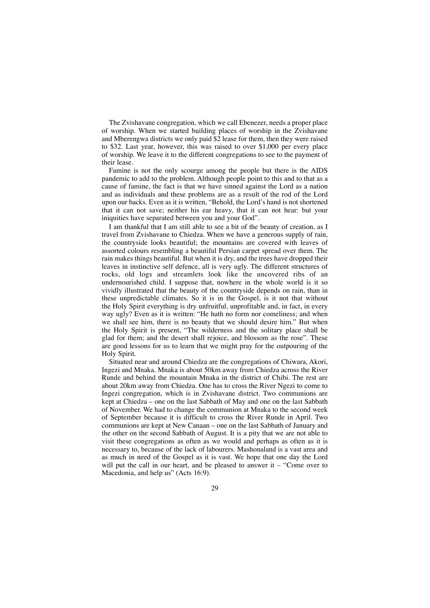The Zvishavane congregation, which we call Ebenezer, needs a proper place of worship. When we started building places of worship in the Zvishavane and Mberengwa districts we only paid \$2 lease for them, then they were raised to \$32. Last year, however, this was raised to over \$1,000 per every place of worship. We leave it to the different congregations to see to the payment of their lease.

Famine is not the only scourge among the people but there is the AIDS pandemic to add to the problem. Although people point to this and to that as a cause of famine, the fact is that we have sinned against the Lord as a nation and as individuals and these problems are as a result of the rod of the Lord upon our backs. Even as it is written, "Behold, the Lord's hand is not shortened that it can not save; neither his ear heavy, that it can not hear: but your iniquities have separated between you and your God".

I am thankful that I am still able to see a bit of the beauty of creation, as I travel from Zvishavane to Chiedza. When we have a generous supply of rain, the countryside looks beautiful; the mountains are covered with leaves of assorted colours resembling a beautiful Persian carpet spread over them. The rain makes things beautiful. But when it is dry, and the trees have dropped their leaves in instinctive self defence, all is very ugly. The different structures of rocks, old logs and streamlets look like the uncovered ribs of an undernourished child. I suppose that, nowhere in the whole world is it so vividly illustrated that the beauty of the countryside depends on rain, than in these unpredictable climates. So it is in the Gospel, is it not that without the Holy Spirit everything is dry unfruitful, unprofitable and, in fact, in every way ugly? Even as it is written: "He hath no form nor comeliness; and when we shall see him, there is no beauty that we should desire him." But when the Holy Spirit is present, "The wilderness and the solitary place shall be glad for them; and the desert shall rejoice, and blossom as the rose". These are good lessons for us to learn that we might pray for the outpouring of the Holy Spirit.

Situated near and around Chiedza are the congregations of Chiwara, Akori, Ingezi and Mnaka. Mnaka is about 50km away from Chiedza across the River Runde and behind the mountain Mnaka in the district of Chibi. The rest are about 20km away from Chiedza. One has to cross the River Ngezi to come to Ingezi congregation, which is in Zvishavane district. Two communions are kept at Chiedza – one on the last Sabbath of May and one on the last Sabbath of November. We had to change the communion at Mnaka to the second week of September because it is difficult to cross the River Runde in April. Two communions are kept at New Canaan – one on the last Sabbath of January and the other on the second Sabbath of August. It is a pity that we are not able to visit these congregations as often as we would and perhaps as often as it is necessary to, because of the lack of labourers. Mashonaland is a vast area and as much in need of the Gospel as it is vast. We hope that one day the Lord will put the call in our heart, and be pleased to answer it – "Come over to Macedonia, and help us" (Acts 16:9).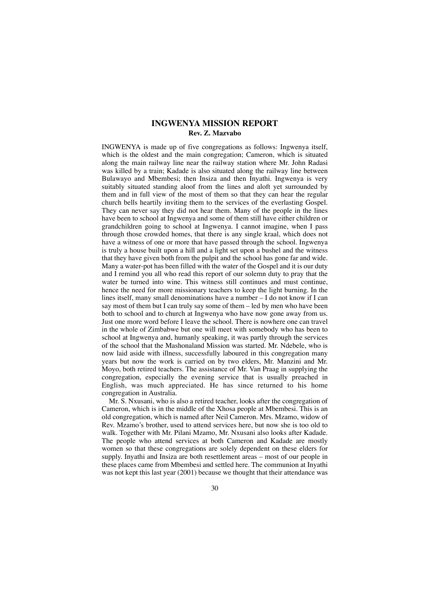### **INGWENYA MISSION REPORT Rev. Z. Mazvabo**

INGWENYA is made up of five congregations as follows: Ingwenya itself, which is the oldest and the main congregation; Cameron, which is situated along the main railway line near the railway station where Mr. John Radasi was killed by a train; Kadade is also situated along the railway line between Bulawayo and Mbembesi; then Insiza and then Inyathi. Ingwenya is very suitably situated standing aloof from the lines and aloft yet surrounded by them and in full view of the most of them so that they can hear the regular church bells heartily inviting them to the services of the everlasting Gospel. They can never say they did not hear them. Many of the people in the lines have been to school at Ingwenya and some of them still have either children or grandchildren going to school at Ingwenya. I cannot imagine, when I pass through those crowded homes, that there is any single kraal, which does not have a witness of one or more that have passed through the school. Ingwenya is truly a house built upon a hill and a light set upon a bushel and the witness that they have given both from the pulpit and the school has gone far and wide. Many a water-pot has been filled with the water of the Gospel and it is our duty and I remind you all who read this report of our solemn duty to pray that the water be turned into wine. This witness still continues and must continue, hence the need for more missionary teachers to keep the light burning. In the lines itself, many small denominations have a number – I do not know if I can say most of them but I can truly say some of them – led by men who have been both to school and to church at Ingwenya who have now gone away from us. Just one more word before I leave the school. There is nowhere one can travel in the whole of Zimbabwe but one will meet with somebody who has been to school at Ingwenya and, humanly speaking, it was partly through the services of the school that the Mashonaland Mission was started. Mr. Ndebele, who is now laid aside with illness, successfully laboured in this congregation many years but now the work is carried on by two elders, Mr. Manzini and Mr. Moyo, both retired teachers. The assistance of Mr. Van Praag in supplying the congregation, especially the evening service that is usually preached in English, was much appreciated. He has since returned to his home congregation in Australia.

Mr. S. Nxusani, who is also a retired teacher, looks after the congregation of Cameron, which is in the middle of the Xhosa people at Mbembesi. This is an old congregation, which is named after Neil Cameron. Mrs. Mzamo, widow of Rev. Mzamo's brother, used to attend services here, but now she is too old to walk. Together with Mr. Pilani Mzamo, Mr. Nxusani also looks after Kadade. The people who attend services at both Cameron and Kadade are mostly women so that these congregations are solely dependent on these elders for supply. Inyathi and Insiza are both resettlement areas – most of our people in these places came from Mbembesi and settled here. The communion at Inyathi was not kept this last year (2001) because we thought that their attendance was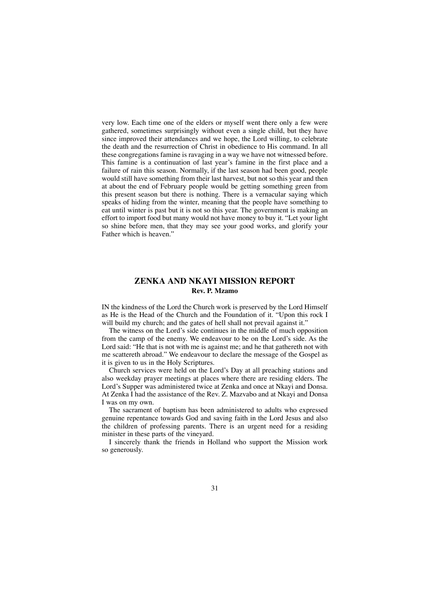very low. Each time one of the elders or myself went there only a few were gathered, sometimes surprisingly without even a single child, but they have since improved their attendances and we hope, the Lord willing, to celebrate the death and the resurrection of Christ in obedience to His command. In all these congregations famine is ravaging in a way we have not witnessed before. This famine is a continuation of last year's famine in the first place and a failure of rain this season. Normally, if the last season had been good, people would still have something from their last harvest, but not so this year and then at about the end of February people would be getting something green from this present season but there is nothing. There is a vernacular saying which speaks of hiding from the winter, meaning that the people have something to eat until winter is past but it is not so this year. The government is making an effort to import food but many would not have money to buy it. "Let your light so shine before men, that they may see your good works, and glorify your Father which is heaven."

## **ZENKA AND NKAYI MISSION REPORT Rev. P. Mzamo**

IN the kindness of the Lord the Church work is preserved by the Lord Himself as He is the Head of the Church and the Foundation of it. "Upon this rock I will build my church; and the gates of hell shall not prevail against it."

The witness on the Lord's side continues in the middle of much opposition from the camp of the enemy. We endeavour to be on the Lord's side. As the Lord said: "He that is not with me is against me; and he that gathereth not with me scattereth abroad." We endeavour to declare the message of the Gospel as it is given to us in the Holy Scriptures.

Church services were held on the Lord's Day at all preaching stations and also weekday prayer meetings at places where there are residing elders. The Lord's Supper was administered twice at Zenka and once at Nkayi and Donsa. At Zenka I had the assistance of the Rev. Z. Mazvabo and at Nkayi and Donsa I was on my own.

The sacrament of baptism has been administered to adults who expressed genuine repentance towards God and saving faith in the Lord Jesus and also the children of professing parents. There is an urgent need for a residing minister in these parts of the vineyard.

I sincerely thank the friends in Holland who support the Mission work so generously.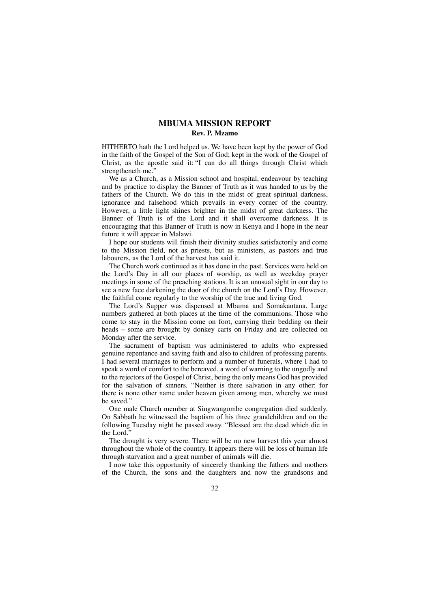## **MBUMA MISSION REPORT Rev. P. Mzamo**

HITHERTO hath the Lord helped us. We have been kept by the power of God in the faith of the Gospel of the Son of God; kept in the work of the Gospel of Christ, as the apostle said it: "I can do all things through Christ which strengtheneth me."

We as a Church, as a Mission school and hospital, endeavour by teaching and by practice to display the Banner of Truth as it was handed to us by the fathers of the Church. We do this in the midst of great spiritual darkness, ignorance and falsehood which prevails in every corner of the country. However, a little light shines brighter in the midst of great darkness. The Banner of Truth is of the Lord and it shall overcome darkness. It is encouraging that this Banner of Truth is now in Kenya and I hope in the near future it will appear in Malawi.

I hope our students will finish their divinity studies satisfactorily and come to the Mission field, not as priests, but as ministers, as pastors and true labourers, as the Lord of the harvest has said it.

The Church work continued as it has done in the past. Services were held on the Lord's Day in all our places of worship, as well as weekday prayer meetings in some of the preaching stations. It is an unusual sight in our day to see a new face darkening the door of the church on the Lord's Day. However, the faithful come regularly to the worship of the true and living God.

The Lord's Supper was dispensed at Mbuma and Somakantana. Large numbers gathered at both places at the time of the communions. Those who come to stay in the Mission come on foot, carrying their bedding on their heads – some are brought by donkey carts on Friday and are collected on Monday after the service.

The sacrament of baptism was administered to adults who expressed genuine repentance and saving faith and also to children of professing parents. I had several marriages to perform and a number of funerals, where I had to speak a word of comfort to the bereaved, a word of warning to the ungodly and to the rejectors of the Gospel of Christ, being the only means God has provided for the salvation of sinners. "Neither is there salvation in any other: for there is none other name under heaven given among men, whereby we must be saved."

One male Church member at Singwangombe congregation died suddenly. On Sabbath he witnessed the baptism of his three grandchildren and on the following Tuesday night he passed away. "Blessed are the dead which die in the Lord."

The drought is very severe. There will be no new harvest this year almost throughout the whole of the country. It appears there will be loss of human life through starvation and a great number of animals will die.

I now take this opportunity of sincerely thanking the fathers and mothers of the Church, the sons and the daughters and now the grandsons and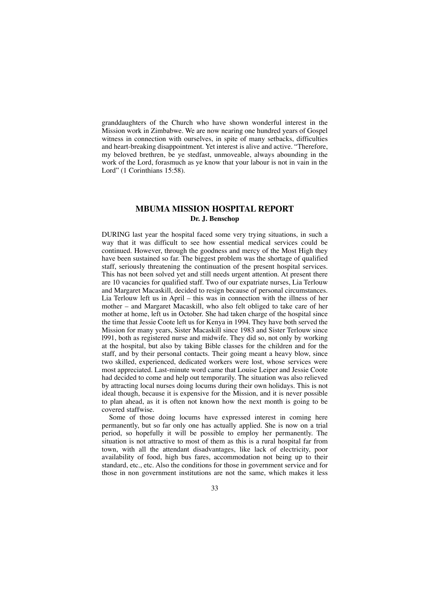granddaughters of the Church who have shown wonderful interest in the Mission work in Zimbabwe. We are now nearing one hundred years of Gospel witness in connection with ourselves, in spite of many setbacks, difficulties and heart-breaking disappointment. Yet interest is alive and active. "Therefore, my beloved brethren, be ye stedfast, unmoveable, always abounding in the work of the Lord, forasmuch as ye know that your labour is not in vain in the Lord" (1 Corinthians 15:58).

## **MBUMA MISSION HOSPITAL REPORT Dr. J. Benschop**

DURING last year the hospital faced some very trying situations, in such a way that it was difficult to see how essential medical services could be continued. However, through the goodness and mercy of the Most High they have been sustained so far. The biggest problem was the shortage of qualified staff, seriously threatening the continuation of the present hospital services. This has not been solved yet and still needs urgent attention. At present there are 10 vacancies for qualified staff. Two of our expatriate nurses, Lia Terlouw and Margaret Macaskill, decided to resign because of personal circumstances. Lia Terlouw left us in April – this was in connection with the illness of her mother – and Margaret Macaskill, who also felt obliged to take care of her mother at home, left us in October. She had taken charge of the hospital since the time that Jessie Coote left us for Kenya in 1994. They have both served the Mission for many years, Sister Macaskill since 1983 and Sister Terlouw since l991, both as registered nurse and midwife. They did so, not only by working at the hospital, but also by taking Bible classes for the children and for the staff, and by their personal contacts. Their going meant a heavy blow, since two skilled, experienced, dedicated workers were lost, whose services were most appreciated. Last-minute word came that Louise Leiper and Jessie Coote had decided to come and help out temporarily. The situation was also relieved by attracting local nurses doing locums during their own holidays. This is not ideal though, because it is expensive for the Mission, and it is never possible to plan ahead, as it is often not known how the next month is going to be covered staffwise.

Some of those doing locums have expressed interest in coming here permanently, but so far only one has actually applied. She is now on a trial period, so hopefully it will be possible to employ her permanently. The situation is not attractive to most of them as this is a rural hospital far from town, with all the attendant disadvantages, like lack of electricity, poor availability of food, high bus fares, accommodation not being up to their standard, etc., etc. Also the conditions for those in government service and for those in non government institutions are not the same, which makes it less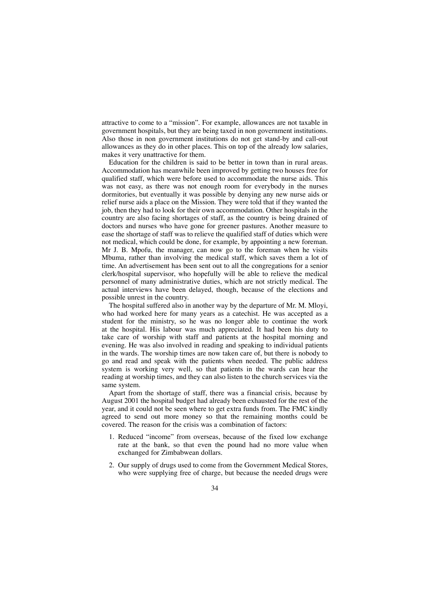attractive to come to a "mission". For example, allowances are not taxable in government hospitals, but they are being taxed in non government institutions. Also those in non government institutions do not get stand-by and call-out allowances as they do in other places. This on top of the already low salaries, makes it very unattractive for them.

Education for the children is said to be better in town than in rural areas. Accommodation has meanwhile been improved by getting two houses free for qualified staff, which were before used to accommodate the nurse aids. This was not easy, as there was not enough room for everybody in the nurses dormitories, but eventually it was possible by denying any new nurse aids or relief nurse aids a place on the Mission. They were told that if they wanted the job, then they had to look for their own accommodation. Other hospitals in the country are also facing shortages of staff, as the country is being drained of doctors and nurses who have gone for greener pastures. Another measure to ease the shortage of staff was to relieve the qualified staff of duties which were not medical, which could be done, for example, by appointing a new foreman. Mr J. B. Mpofu, the manager, can now go to the foreman when he visits Mbuma, rather than involving the medical staff, which saves them a lot of time. An advertisement has been sent out to all the congregations for a senior clerk/hospital supervisor, who hopefully will be able to relieve the medical personnel of many administrative duties, which are not strictly medical. The actual interviews have been delayed, though, because of the elections and possible unrest in the country.

The hospital suffered also in another way by the departure of Mr. M. Mloyi, who had worked here for many years as a catechist. He was accepted as a student for the ministry, so he was no longer able to continue the work at the hospital. His labour was much appreciated. It had been his duty to take care of worship with staff and patients at the hospital morning and evening. He was also involved in reading and speaking to individual patients in the wards. The worship times are now taken care of, but there is nobody to go and read and speak with the patients when needed. The public address system is working very well, so that patients in the wards can hear the reading at worship times, and they can also listen to the church services via the same system.

Apart from the shortage of staff, there was a financial crisis, because by August 2001 the hospital budget had already been exhausted for the rest of the year, and it could not be seen where to get extra funds from. The FMC kindly agreed to send out more money so that the remaining months could be covered. The reason for the crisis was a combination of factors:

- 1. Reduced "income" from overseas, because of the fixed low exchange rate at the bank, so that even the pound had no more value when exchanged for Zimbabwean dollars.
- 2. Our supply of drugs used to come from the Government Medical Stores, who were supplying free of charge, but because the needed drugs were
	- 34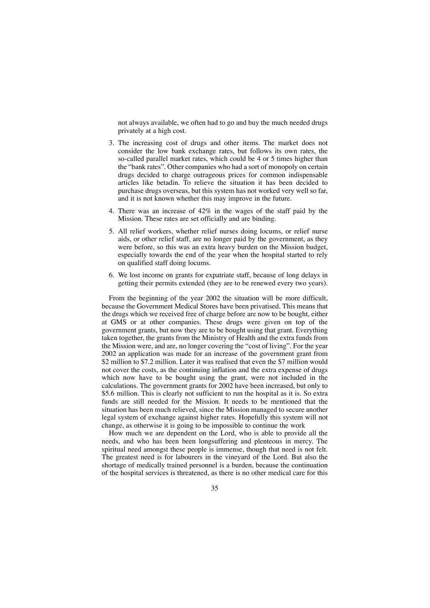not always available, we often had to go and buy the much needed drugs privately at a high cost.

- 3. The increasing cost of drugs and other items. The market does not consider the low bank exchange rates, but follows its own rates, the so-called parallel market rates, which could be 4 or 5 times higher than the "bank rates". Other companies who had a sort of monopoly on certain drugs decided to charge outrageous prices for common indispensable articles like betadin. To relieve the situation it has been decided to purchase drugs overseas, but this system has not worked very well so far, and it is not known whether this may improve in the future.
- 4. There was an increase of 42% in the wages of the staff paid by the Mission. These rates are set officially and are binding.
- 5. All relief workers, whether relief nurses doing locums, or relief nurse aids, or other relief staff, are no longer paid by the government, as they were before, so this was an extra heavy burden on the Mission budget, especially towards the end of the year when the hospital started to rely on qualified staff doing locums.
- 6. We lost income on grants for expatriate staff, because of long delays in getting their permits extended (they are to be renewed every two years).

From the beginning of the year 2002 the situation will be more difficult, because the Government Medical Stores have been privatised. This means that the drugs which we received free of charge before are now to be bought, either at GMS or at other companies. These drugs were given on top of the government grants, but now they are to be bought using that grant. Everything taken together, the grants from the Ministry of Health and the extra funds from the Mission were, and are, no longer covering the "cost of living". For the year 2002 an application was made for an increase of the government grant from \$2 million to \$7.2 million. Later it was realised that even the \$7 million would not cover the costs, as the continuing inflation and the extra expense of drugs which now have to be bought using the grant, were not included in the calculations. The government grants for 2002 have been increased, but only to \$5.6 million. This is clearly not sufficient to run the hospital as it is. So extra funds are still needed for the Mission. It needs to be mentioned that the situation has been much relieved, since the Mission managed to secure another legal system of exchange against higher rates. Hopefully this system will not change, as otherwise it is going to be impossible to continue the work

How much we are dependent on the Lord, who is able to provide all the needs, and who has been been longsuffering and plenteous in mercy. The spiritual need amongst these people is immense, though that need is not felt. The greatest need is for labourers in the vineyard of the Lord. But also the shortage of medically trained personnel is a burden, because the continuation of the hospital services is threatened, as there is no other medical care for this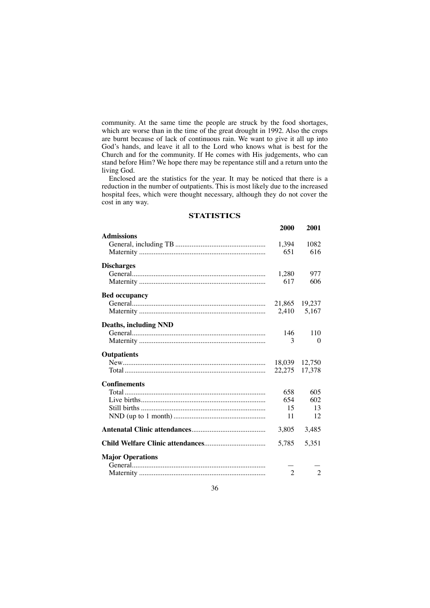community. At the same time the people are struck by the food shortages, which are worse than in the time of the great drought in 1992. Also the crops are burnt because of lack of continuous rain. We want to give it all up into God's hands, and leave it all to the Lord who knows what is best for the Church and for the community. If He comes with His judgements, who can stand before Him? We hope there may be repentance still and a return unto the living God.

Enclosed are the statistics for the year. It may be noticed that there is a reduction in the number of outpatients. This is most likely due to the increased hospital fees, which were thought necessary, although they do not cover the cost in any way.

#### **STATISTICS**

|                              | 2000           | 2001           |
|------------------------------|----------------|----------------|
| <b>Admissions</b>            |                |                |
|                              | 1,394          | 1082           |
|                              | 651            | 616            |
| <b>Discharges</b>            |                |                |
|                              | 1,280          | 977            |
|                              | 617            | 606            |
| <b>Bed occupancy</b>         |                |                |
|                              | 21,865         | 19,237         |
|                              | 2,410          | 5,167          |
| <b>Deaths, including NND</b> |                |                |
|                              | 146            | 110            |
|                              | 3              | $\Omega$       |
| <b>Outpatients</b>           |                |                |
|                              | 18.039         | 12.750         |
|                              | 22,275         | 17,378         |
| <b>Confinements</b>          |                |                |
|                              | 658            | 605            |
|                              | 654            | 602            |
|                              | 15             | 13             |
|                              | 11             | 12             |
|                              | 3,805          | 3,485          |
|                              | 5,785          | 5,351          |
| <b>Major Operations</b>      |                |                |
|                              |                |                |
|                              | $\overline{2}$ | $\mathfrak{D}$ |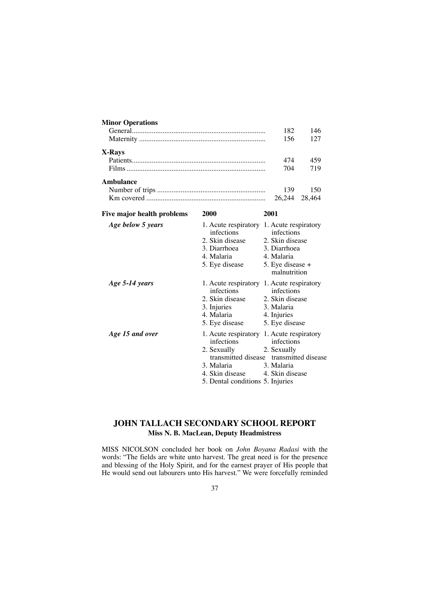| <b>Minor Operations</b>    |                                                                                                                                                                    |                                                                                                                                                      |                                                      |  |  |
|----------------------------|--------------------------------------------------------------------------------------------------------------------------------------------------------------------|------------------------------------------------------------------------------------------------------------------------------------------------------|------------------------------------------------------|--|--|
|                            | 182                                                                                                                                                                | 146                                                                                                                                                  |                                                      |  |  |
|                            | 156                                                                                                                                                                | 127                                                                                                                                                  |                                                      |  |  |
| X-Rays                     |                                                                                                                                                                    |                                                                                                                                                      |                                                      |  |  |
|                            | 474                                                                                                                                                                | 459                                                                                                                                                  |                                                      |  |  |
|                            | 704                                                                                                                                                                | 719                                                                                                                                                  |                                                      |  |  |
| Ambulance                  |                                                                                                                                                                    |                                                                                                                                                      |                                                      |  |  |
|                            | 139                                                                                                                                                                | 150                                                                                                                                                  |                                                      |  |  |
|                            |                                                                                                                                                                    | 26,244                                                                                                                                               | 28,464                                               |  |  |
| Five major health problems | 2000                                                                                                                                                               | 2001<br>1. Acute respiratory 1. Acute respiratory<br>infections<br>2. Skin disease<br>3. Diarrhoea<br>4. Malaria<br>5. Eye disease +<br>malnutrition |                                                      |  |  |
| Age below 5 years          | infections<br>2. Skin disease<br>3. Diarrhoea<br>4. Malaria<br>5. Eye disease                                                                                      |                                                                                                                                                      |                                                      |  |  |
| Age 5-14 years             | 1. Acute respiratory 1. Acute respiratory<br>infections<br>2. Skin disease<br>3. Injuries<br>4. Malaria<br>5. Eye disease                                          | 3. Malaria<br>4. Injuries                                                                                                                            | infections<br>2. Skin disease<br>5. Eye disease      |  |  |
| Age 15 and over            | 1. Acute respiratory 1. Acute respiratory<br>infections<br>2. Sexually<br>transmitted disease<br>3. Malaria<br>4. Skin disease<br>5. Dental conditions 5. Injuries | 2. Sexually<br>3. Malaria                                                                                                                            | infections<br>transmitted disease<br>4. Skin disease |  |  |

# **JOHN TALLACH SECONDARY SCHOOL REPORT Miss N. B. MacLean, Deputy Headmistress**

MISS NICOLSON concluded her book on *John Boyana Radasi* with the words: "The fields are white unto harvest. The great need is for the presence and blessing of the Holy Spirit, and for the earnest prayer of His people that He would send out labourers unto His harvest." We were forcefully reminded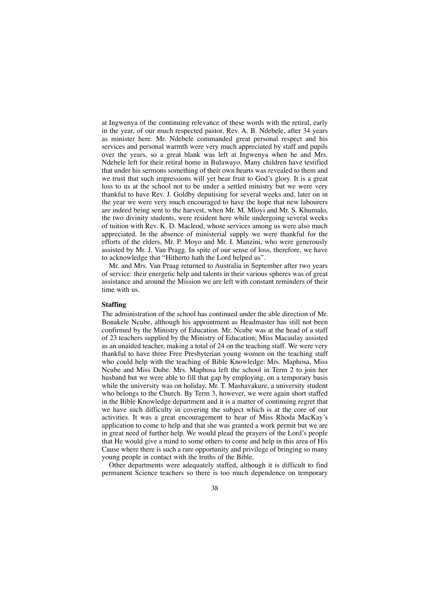at Ingwenya of the continuing relevance of these words with the retiral, early in the year, of our much respected pastor, Rev. A. B. Ndebele, after 34 years as minister here. Mr. Ndebele commanded great personal respect and his services and personal warmth were very much appreciated by staff and pupils over the years, so a great blank was left at Ingwenya when he and Mrs. Ndebele left for their retiral home in Bulawayo. Many children have testified that under his sermons something of their own hearts was revealed to them and we trust that such impressions will yet bear fruit to God's glory. It is a great loss to us at the school not to be under a settled ministry but we were very thankful to have Rev. J. Goldby deputising for several weeks and, later on in the year we were very much encouraged to have the hope that new labourers are indeed being sent to the harvest, when Mr. M. Mloyi and Mr. S. Khumalo, the two divinity students, were resident here while undergoing several weeks of tuition with Rev. K. D. Macleod, whose services among us were also much appreciated. In the absence of ministerial supply we were thankful for the efforts of the elders, Mr. P. Moyo and Mr. I. Manzini, who were generously assisted by Mr. J. Van Pragg. In spite of our sense of loss, therefore, we have to acknowledge that "Hitherto hath the Lord helped us".

Mr. and Mrs. Van Praag returned to Australia in September after two years of service: their energetic help and talents in their various spheres was of great assistance and around the Mission we are left with constant reminders of their time with us.

## **Staffing**

The administration of the school has continued under the able direction of Mr. Bonakele Ncube, although his appointment as Headmaster has still not been confirmed by the Ministry of Education. Mr. Ncube was at the head of a staff of 23 teachers supplied by the Ministry of Education; Miss Macaulay assisted as an unaided teacher, making a total of 24 on the teaching staff. We were very thankful to have three Free Presbyterian young women on the teaching staff who could help with the teaching of Bible Knowledge: Mrs. Maphosa, Miss Ncube and Miss Dube. Mrs. Maphosa left the school in Term 2 to join her husband but we were able to fill that gap by employing, on a temporary basis while the university was on holiday, Mr. T. Mashavakure, a university student who belongs to the Church. By Term 3, however, we were again short staffed in the Bible Knowledge department and it is a matter of continuing regret that we have such difficulty in covering the subject which is at the core of our activities. It was a great encouragement to hear of Miss Rhoda MacKay's application to come to help and that she was granted a work permit but we are in great need of further help. We would plead the prayers of the Lord's people that He would give a mind to some others to come and help in this area of His Cause where there is such a rare opportunity and privilege of bringing so many young people in contact with the truths of the Bible.

Other departments were adequately staffed, although it is difficult to find permanent Science teachers so there is too much dependence on temporary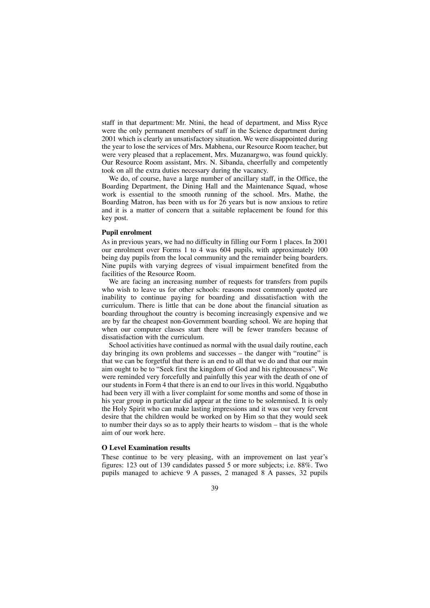staff in that department: Mr. Ntini, the head of department, and Miss Ryce were the only permanent members of staff in the Science department during 2001 which is clearly an unsatisfactory situation. We were disappointed during the year to lose the services of Mrs. Mabhena, our Resource Room teacher, but were very pleased that a replacement, Mrs. Muzanargwo, was found quickly. Our Resource Room assistant, Mrs. N. Sibanda, cheerfully and competently took on all the extra duties necessary during the vacancy.

We do, of course, have a large number of ancillary staff, in the Office, the Boarding Department, the Dining Hall and the Maintenance Squad, whose work is essential to the smooth running of the school. Mrs. Mathe, the Boarding Matron, has been with us for 26 years but is now anxious to retire and it is a matter of concern that a suitable replacement be found for this key post.

### **Pupil enrolment**

As in previous years, we had no difficulty in filling our Form 1 places. In 2001 our enrolment over Forms 1 to 4 was 604 pupils, with approximately 100 being day pupils from the local community and the remainder being boarders. Nine pupils with varying degrees of visual impairment benefited from the facilities of the Resource Room.

We are facing an increasing number of requests for transfers from pupils who wish to leave us for other schools: reasons most commonly quoted are inability to continue paying for boarding and dissatisfaction with the curriculum. There is little that can be done about the financial situation as boarding throughout the country is becoming increasingly expensive and we are by far the cheapest non-Government boarding school. We are hoping that when our computer classes start there will be fewer transfers because of dissatisfaction with the curriculum.

School activities have continued as normal with the usual daily routine, each day bringing its own problems and successes – the danger with "routine" is that we can be forgetful that there is an end to all that we do and that our main aim ought to be to "Seek first the kingdom of God and his righteousness". We were reminded very forcefully and painfully this year with the death of one of our students in Form 4 that there is an end to our lives in this world. Ngqabutho had been very ill with a liver complaint for some months and some of those in his year group in particular did appear at the time to be solemnised. It is only the Holy Spirit who can make lasting impressions and it was our very fervent desire that the children would be worked on by Him so that they would seek to number their days so as to apply their hearts to wisdom – that is the whole aim of our work here.

### **O Level Examination results**

These continue to be very pleasing, with an improvement on last year's figures: 123 out of 139 candidates passed 5 or more subjects; i.e. 88%. Two pupils managed to achieve 9 A passes, 2 managed 8 A passes, 32 pupils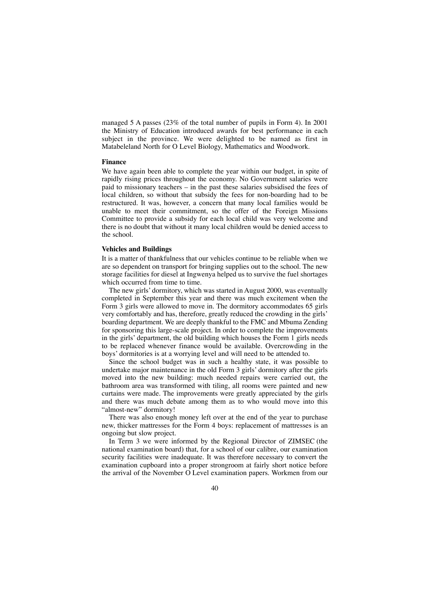managed 5 A passes (23% of the total number of pupils in Form 4). In 2001 the Ministry of Education introduced awards for best performance in each subject in the province. We were delighted to be named as first in Matabeleland North for O Level Biology, Mathematics and Woodwork.

#### **Finance**

We have again been able to complete the year within our budget, in spite of rapidly rising prices throughout the economy. No Government salaries were paid to missionary teachers – in the past these salaries subsidised the fees of local children, so without that subsidy the fees for non-boarding had to be restructured. It was, however, a concern that many local families would be unable to meet their commitment, so the offer of the Foreign Missions Committee to provide a subsidy for each local child was very welcome and there is no doubt that without it many local children would be denied access to the school.

## **Vehicles and Buildings**

It is a matter of thankfulness that our vehicles continue to be reliable when we are so dependent on transport for bringing supplies out to the school. The new storage facilities for diesel at Ingwenya helped us to survive the fuel shortages which occurred from time to time.

The new girls' dormitory, which was started in August 2000, was eventually completed in September this year and there was much excitement when the Form 3 girls were allowed to move in. The dormitory accommodates 65 girls very comfortably and has, therefore, greatly reduced the crowding in the girls' boarding department. We are deeply thankful to the FMC and Mbuma Zending for sponsoring this large-scale project. In order to complete the improvements in the girls' department, the old building which houses the Form 1 girls needs to be replaced whenever finance would be available. Overcrowding in the boys' dormitories is at a worrying level and will need to be attended to.

Since the school budget was in such a healthy state, it was possible to undertake major maintenance in the old Form 3 girls' dormitory after the girls moved into the new building: much needed repairs were carried out, the bathroom area was transformed with tiling, all rooms were painted and new curtains were made. The improvements were greatly appreciated by the girls and there was much debate among them as to who would move into this "almost-new" dormitory!

There was also enough money left over at the end of the year to purchase new, thicker mattresses for the Form 4 boys: replacement of mattresses is an ongoing but slow project.

In Term 3 we were informed by the Regional Director of ZIMSEC (the national examination board) that, for a school of our calibre, our examination security facilities were inadequate. It was therefore necessary to convert the examination cupboard into a proper strongroom at fairly short notice before the arrival of the November O Level examination papers. Workmen from our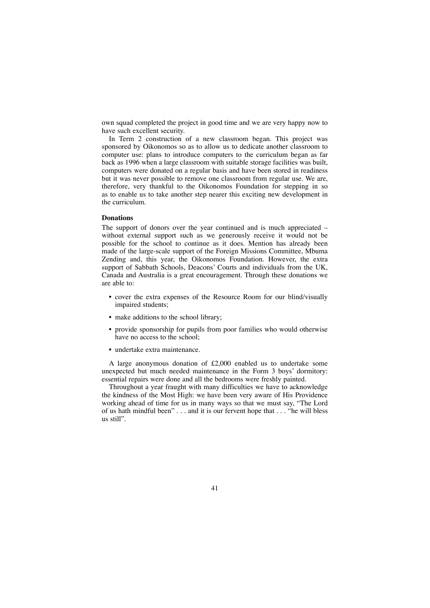own squad completed the project in good time and we are very happy now to have such excellent security.

In Term 2 construction of a new classroom began. This project was sponsored by Oikonomos so as to allow us to dedicate another classroom to computer use: plans to introduce computers to the curriculum began as far back as 1996 when a large classroom with suitable storage facilities was built, computers were donated on a regular basis and have been stored in readiness but it was never possible to remove one classroom from regular use. We are, therefore, very thankful to the Oikonomos Foundation for stepping in so as to enable us to take another step nearer this exciting new development in the curriculum.

### **Donations**

The support of donors over the year continued and is much appreciated – without external support such as we generously receive it would not be possible for the school to continue as it does. Mention has already been made of the large-scale support of the Foreign Missions Committee, Mbuma Zending and, this year, the Oikonomos Foundation. However, the extra support of Sabbath Schools, Deacons' Courts and individuals from the UK, Canada and Australia is a great encouragement. Through these donations we are able to:

- cover the extra expenses of the Resource Room for our blind/visually impaired students;
- make additions to the school library;
- provide sponsorship for pupils from poor families who would otherwise have no access to the school;
- undertake extra maintenance.

A large anonymous donation of £2,000 enabled us to undertake some unexpected but much needed maintenance in the Form 3 boys' dormitory: essential repairs were done and all the bedrooms were freshly painted.

Throughout a year fraught with many difficulties we have to acknowledge the kindness of the Most High: we have been very aware of His Providence working ahead of time for us in many ways so that we must say, "The Lord of us hath mindful been" . . . and it is our fervent hope that . . . "he will bless us still".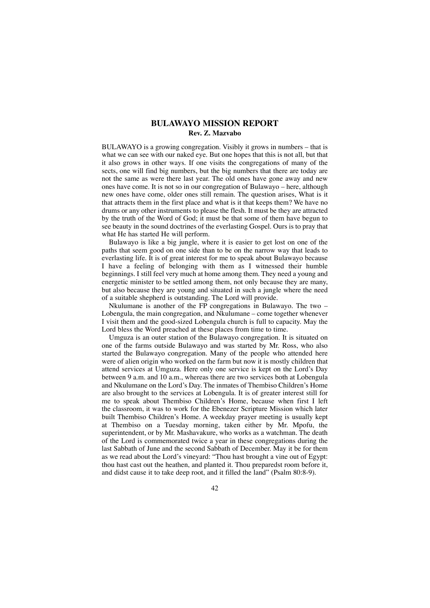# **BULAWAYO MISSION REPORT Rev. Z. Mazvabo**

BULAWAYO is a growing congregation. Visibly it grows in numbers – that is what we can see with our naked eye. But one hopes that this is not all, but that it also grows in other ways. If one visits the congregations of many of the sects, one will find big numbers, but the big numbers that there are today are not the same as were there last year. The old ones have gone away and new ones have come. It is not so in our congregation of Bulawayo – here, although new ones have come, older ones still remain. The question arises, What is it that attracts them in the first place and what is it that keeps them? We have no drums or any other instruments to please the flesh. It must be they are attracted by the truth of the Word of God; it must be that some of them have begun to see beauty in the sound doctrines of the everlasting Gospel. Ours is to pray that what He has started He will perform.

Bulawayo is like a big jungle, where it is easier to get lost on one of the paths that seem good on one side than to be on the narrow way that leads to everlasting life. It is of great interest for me to speak about Bulawayo because I have a feeling of belonging with them as I witnessed their humble beginnings. I still feel very much at home among them. They need a young and energetic minister to be settled among them, not only because they are many, but also because they are young and situated in such a jungle where the need of a suitable shepherd is outstanding. The Lord will provide.

Nkulumane is another of the FP congregations in Bulawayo. The two – Lobengula, the main congregation, and Nkulumane – come together whenever I visit them and the good-sized Lobengula church is full to capacity. May the Lord bless the Word preached at these places from time to time.

Umguza is an outer station of the Bulawayo congregation. It is situated on one of the farms outside Bulawayo and was started by Mr. Ross, who also started the Bulawayo congregation. Many of the people who attended here were of alien origin who worked on the farm but now it is mostly children that attend services at Umguza. Here only one service is kept on the Lord's Day between 9 a.m. and 10 a.m., whereas there are two services both at Lobengula and Nkulumane on the Lord's Day. The inmates of Thembiso Children's Home are also brought to the services at Lobengula. It is of greater interest still for me to speak about Thembiso Children's Home, because when first I left the classroom, it was to work for the Ebenezer Scripture Mission which later built Thembiso Children's Home. A weekday prayer meeting is usually kept at Thembiso on a Tuesday morning, taken either by Mr. Mpofu, the superintendent, or by Mr. Mashavakure, who works as a watchman. The death of the Lord is commemorated twice a year in these congregations during the last Sabbath of June and the second Sabbath of December. May it be for them as we read about the Lord's vineyard: "Thou hast brought a vine out of Egypt: thou hast cast out the heathen, and planted it. Thou preparedst room before it, and didst cause it to take deep root, and it filled the land" (Psalm 80:8-9).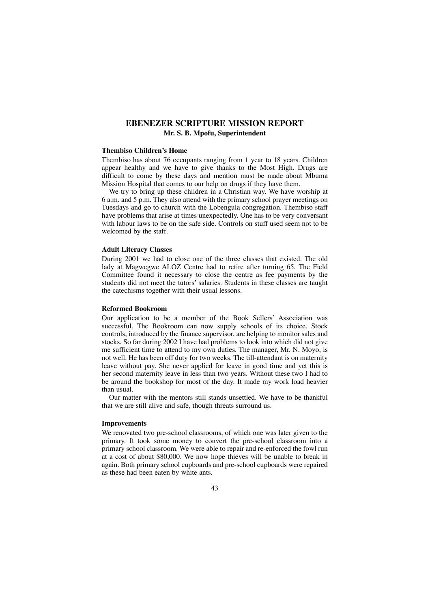# **EBENEZER SCRIPTURE MISSION REPORT Mr. S. B. Mpofu, Superintendent**

## **Thembiso Children's Home**

Thembiso has about 76 occupants ranging from 1 year to 18 years. Children appear healthy and we have to give thanks to the Most High. Drugs are difficult to come by these days and mention must be made about Mbuma Mission Hospital that comes to our help on drugs if they have them.

We try to bring up these children in a Christian way. We have worship at 6 a.m. and 5 p.m. They also attend with the primary school prayer meetings on Tuesdays and go to church with the Lobengula congregation. Thembiso staff have problems that arise at times unexpectedly. One has to be very conversant with labour laws to be on the safe side. Controls on stuff used seem not to be welcomed by the staff.

### **Adult Literacy Classes**

During 2001 we had to close one of the three classes that existed. The old lady at Magwegwe ALOZ Centre had to retire after turning 65. The Field Committee found it necessary to close the centre as fee payments by the students did not meet the tutors' salaries. Students in these classes are taught the catechisms together with their usual lessons.

#### **Reformed Bookroom**

Our application to be a member of the Book Sellers' Association was successful. The Bookroom can now supply schools of its choice. Stock controls, introduced by the finance supervisor, are helping to monitor sales and stocks. So far during 2002 I have had problems to look into which did not give me sufficient time to attend to my own duties. The manager, Mr. N. Moyo, is not well. He has been off duty for two weeks. The till-attendant is on maternity leave without pay. She never applied for leave in good time and yet this is her second maternity leave in less than two years. Without these two I had to be around the bookshop for most of the day. It made my work load heavier than usual.

Our matter with the mentors still stands unsettled. We have to be thankful that we are still alive and safe, though threats surround us.

### **Improvements**

We renovated two pre-school classrooms, of which one was later given to the primary. It took some money to convert the pre-school classroom into a primary school classroom. We were able to repair and re-enforced the fowl run at a cost of about \$80,000. We now hope thieves will be unable to break in again. Both primary school cupboards and pre-school cupboards were repaired as these had been eaten by white ants.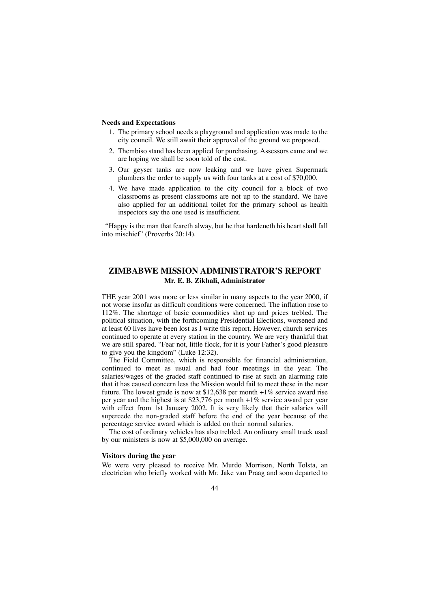### **Needs and Expectations**

- 1. The primary school needs a playground and application was made to the city council. We still await their approval of the ground we proposed.
- 2. Thembiso stand has been applied for purchasing. Assessors came and we are hoping we shall be soon told of the cost.
- 3. Our geyser tanks are now leaking and we have given Supermark plumbers the order to supply us with four tanks at a cost of \$70,000.
- 4. We have made application to the city council for a block of two classrooms as present classrooms are not up to the standard. We have also applied for an additional toilet for the primary school as health inspectors say the one used is insufficient.

"Happy is the man that feareth alway, but he that hardeneth his heart shall fall into mischief" (Proverbs 20:14).

# **ZIMBABWE MISSION ADMINISTRATOR'S REPORT Mr. E. B. Zikhali, Administrator**

THE year 2001 was more or less similar in many aspects to the year 2000, if not worse insofar as difficult conditions were concerned. The inflation rose to 112%. The shortage of basic commodities shot up and prices trebled. The political situation, with the forthcoming Presidential Elections, worsened and at least 60 lives have been lost as I write this report. However, church services continued to operate at every station in the country. We are very thankful that we are still spared. "Fear not, little flock, for it is your Father's good pleasure to give you the kingdom" (Luke 12:32).

The Field Committee, which is responsible for financial administration, continued to meet as usual and had four meetings in the year. The salaries/wages of the graded staff continued to rise at such an alarming rate that it has caused concern less the Mission would fail to meet these in the near future. The lowest grade is now at  $$12,638$  per month  $+1\%$  service award rise per year and the highest is at \$23,776 per month +1% service award per year with effect from 1st January 2002. It is very likely that their salaries will supercede the non-graded staff before the end of the year because of the percentage service award which is added on their normal salaries.

The cost of ordinary vehicles has also trebled. An ordinary small truck used by our ministers is now at \$5,000,000 on average.

### **Visitors during the year**

We were very pleased to receive Mr. Murdo Morrison, North Tolsta, an electrician who briefly worked with Mr. Jake van Praag and soon departed to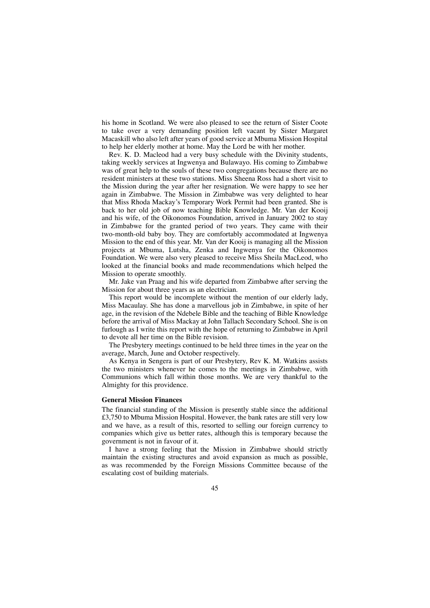his home in Scotland. We were also pleased to see the return of Sister Coote to take over a very demanding position left vacant by Sister Margaret Macaskill who also left after years of good service at Mbuma Mission Hospital to help her elderly mother at home. May the Lord be with her mother.

Rev. K. D. Macleod had a very busy schedule with the Divinity students, taking weekly services at Ingwenya and Bulawayo. His coming to Zimbabwe was of great help to the souls of these two congregations because there are no resident ministers at these two stations. Miss Sheena Ross had a short visit to the Mission during the year after her resignation. We were happy to see her again in Zimbabwe. The Mission in Zimbabwe was very delighted to hear that Miss Rhoda Mackay's Temporary Work Permit had been granted. She is back to her old job of now teaching Bible Knowledge. Mr. Van der Kooij and his wife, of the Oikonomos Foundation, arrived in January 2002 to stay in Zimbabwe for the granted period of two years. They came with their two-month-old baby boy. They are comfortably accommodated at Ingwenya Mission to the end of this year. Mr. Van der Kooij is managing all the Mission projects at Mbuma, Lutsha, Zenka and Ingwenya for the Oikonomos Foundation. We were also very pleased to receive Miss Sheila MacLeod, who looked at the financial books and made recommendations which helped the Mission to operate smoothly.

Mr. Jake van Praag and his wife departed from Zimbabwe after serving the Mission for about three years as an electrician.

This report would be incomplete without the mention of our elderly lady, Miss Macaulay. She has done a marvellous job in Zimbabwe, in spite of her age, in the revision of the Ndebele Bible and the teaching of Bible Knowledge before the arrival of Miss Mackay at John Tallach Secondary School. She is on furlough as I write this report with the hope of returning to Zimbabwe in April to devote all her time on the Bible revision.

The Presbytery meetings continued to be held three times in the year on the average, March, June and October respectively.

As Kenya in Sengera is part of our Presbytery, Rev K. M. Watkins assists the two ministers whenever he comes to the meetings in Zimbabwe, with Communions which fall within those months. We are very thankful to the Almighty for this providence.

### **General Mission Finances**

The financial standing of the Mission is presently stable since the additional £3,750 to Mbuma Mission Hospital. However, the bank rates are still very low and we have, as a result of this, resorted to selling our foreign currency to companies which give us better rates, although this is temporary because the government is not in favour of it.

I have a strong feeling that the Mission in Zimbabwe should strictly maintain the existing structures and avoid expansion as much as possible, as was recommended by the Foreign Missions Committee because of the escalating cost of building materials.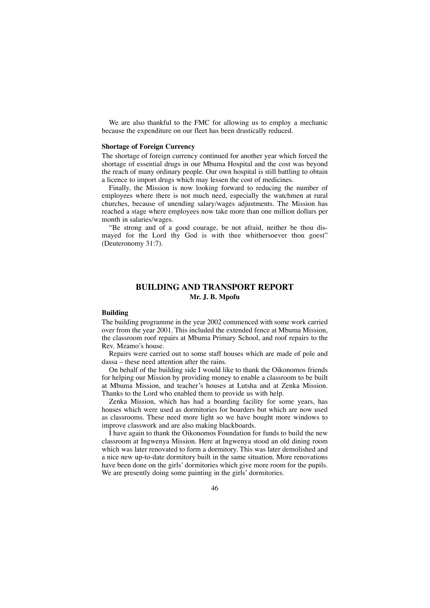We are also thankful to the FMC for allowing us to employ a mechanic because the expenditure on our fleet has been drastically reduced.

## **Shortage of Foreign Currency**

The shortage of foreign currency continued for another year which forced the shortage of essential drugs in our Mbuma Hospital and the cost was beyond the reach of many ordinary people. Our own hospital is still battling to obtain a licence to import drugs which may lessen the cost of medicines.

Finally, the Mission is now looking forward to reducing the number of employees where there is not much need, especially the watchmen at rural churches, because of unending salary/wages adjustments. The Mission has reached a stage where employees now take more than one million dollars per month in salaries/wages.

"Be strong and of a good courage, be not afraid, neither be thou dismayed for the Lord thy God is with thee whithersoever thou goest" (Deuteronomy 31:7).

# **BUILDING AND TRANSPORT REPORT Mr. J. B. Mpofu**

### **Building**

The building programme in the year 2002 commenced with some work carried over from the year 2001. This included the extended fence at Mbuma Mission, the classroom roof repairs at Mbuma Primary School, and roof repairs to the Rev. Mzamo's house.

Repairs were carried out to some staff houses which are made of pole and dassa – these need attention after the rains.

On behalf of the building side I would like to thank the Oikonomos friends for helping our Mission by providing money to enable a classroom to be built at Mbuma Mission, and teacher's houses at Lutsha and at Zenka Mission. Thanks to the Lord who enabled them to provide us with help.

Zenka Mission, which has had a boarding facility for some years, has houses which were used as dormitories for boarders but which are now used as classrooms. These need more light so we have bought more windows to improve classwork and are also making blackboards.

I have again to thank the Oikonomos Foundation for funds to build the new classroom at Ingwenya Mission. Here at Ingwenya stood an old dining room which was later renovated to form a dormitory. This was later demolished and a nice new up-to-date dormitory built in the same situation. More renovations have been done on the girls' dormitories which give more room for the pupils. We are presently doing some painting in the girls' dormitories.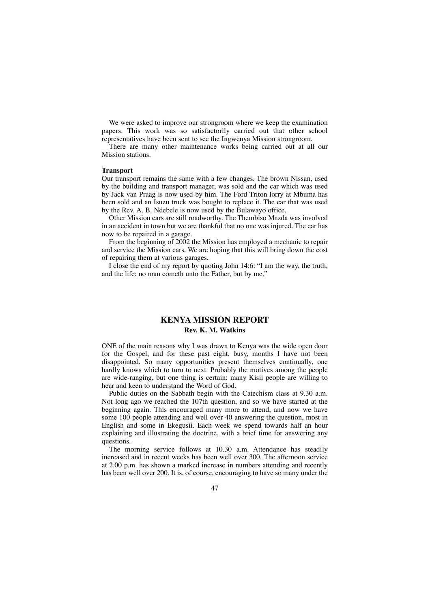We were asked to improve our strongroom where we keep the examination papers. This work was so satisfactorily carried out that other school representatives have been sent to see the Ingwenya Mission strongroom.

There are many other maintenance works being carried out at all our Mission stations.

## **Transport**

Our transport remains the same with a few changes. The brown Nissan, used by the building and transport manager, was sold and the car which was used by Jack van Praag is now used by him. The Ford Triton lorry at Mbuma has been sold and an Isuzu truck was bought to replace it. The car that was used by the Rev. A. B. Ndebele is now used by the Bulawayo office.

Other Mission cars are still roadworthy. The Thembiso Mazda was involved in an accident in town but we are thankful that no one was injured. The car has now to be repaired in a garage.

From the beginning of 2002 the Mission has employed a mechanic to repair and service the Mission cars. We are hoping that this will bring down the cost of repairing them at various garages.

I close the end of my report by quoting John 14:6: "I am the way, the truth, and the life: no man cometh unto the Father, but by me."

# **KENYA MISSION REPORT Rev. K. M. Watkins**

ONE of the main reasons why I was drawn to Kenya was the wide open door for the Gospel, and for these past eight, busy, months I have not been disappointed. So many opportunities present themselves continually, one hardly knows which to turn to next. Probably the motives among the people are wide-ranging, but one thing is certain: many Kisii people are willing to hear and keen to understand the Word of God.

Public duties on the Sabbath begin with the Catechism class at 9.30 a.m. Not long ago we reached the 107th question, and so we have started at the beginning again. This encouraged many more to attend, and now we have some 100 people attending and well over 40 answering the question, most in English and some in Ekegusii. Each week we spend towards half an hour explaining and illustrating the doctrine, with a brief time for answering any questions.

The morning service follows at 10.30 a.m. Attendance has steadily increased and in recent weeks has been well over 300. The afternoon service at 2.00 p.m. has shown a marked increase in numbers attending and recently has been well over 200. It is, of course, encouraging to have so many under the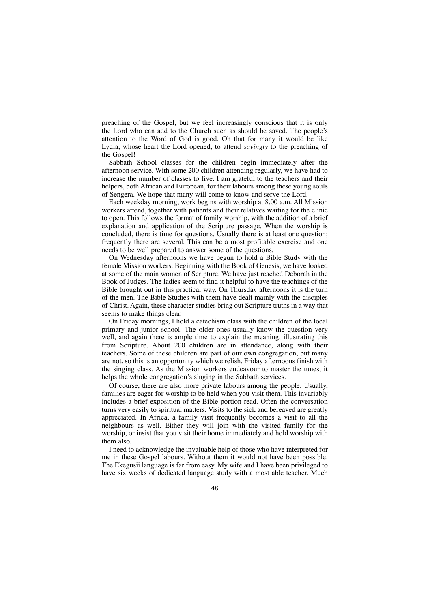preaching of the Gospel, but we feel increasingly conscious that it is only the Lord who can add to the Church such as should be saved. The people's attention to the Word of God is good. Oh that for many it would be like Lydia, whose heart the Lord opened, to attend *savingly* to the preaching of the Gospel!

Sabbath School classes for the children begin immediately after the afternoon service. With some 200 children attending regularly, we have had to increase the number of classes to five. I am grateful to the teachers and their helpers, both African and European, for their labours among these young souls of Sengera. We hope that many will come to know and serve the Lord.

Each weekday morning, work begins with worship at 8.00 a.m. All Mission workers attend, together with patients and their relatives waiting for the clinic to open. This follows the format of family worship, with the addition of a brief explanation and application of the Scripture passage. When the worship is concluded, there is time for questions. Usually there is at least one question; frequently there are several. This can be a most profitable exercise and one needs to be well prepared to answer some of the questions.

On Wednesday afternoons we have begun to hold a Bible Study with the female Mission workers. Beginning with the Book of Genesis, we have looked at some of the main women of Scripture. We have just reached Deborah in the Book of Judges. The ladies seem to find it helpful to have the teachings of the Bible brought out in this practical way. On Thursday afternoons it is the turn of the men. The Bible Studies with them have dealt mainly with the disciples of Christ. Again, these character studies bring out Scripture truths in a way that seems to make things clear.

On Friday mornings, I hold a catechism class with the children of the local primary and junior school. The older ones usually know the question very well, and again there is ample time to explain the meaning, illustrating this from Scripture. About 200 children are in attendance, along with their teachers. Some of these children are part of our own congregation, but many are not, so this is an opportunity which we relish. Friday afternoons finish with the singing class. As the Mission workers endeavour to master the tunes, it helps the whole congregation's singing in the Sabbath services.

Of course, there are also more private labours among the people. Usually, families are eager for worship to be held when you visit them. This invariably includes a brief exposition of the Bible portion read. Often the conversation turns very easily to spiritual matters. Visits to the sick and bereaved are greatly appreciated. In Africa, a family visit frequently becomes a visit to all the neighbours as well. Either they will join with the visited family for the worship, or insist that you visit their home immediately and hold worship with them also.

I need to acknowledge the invaluable help of those who have interpreted for me in these Gospel labours. Without them it would not have been possible. The Ekegusii language is far from easy. My wife and I have been privileged to have six weeks of dedicated language study with a most able teacher. Much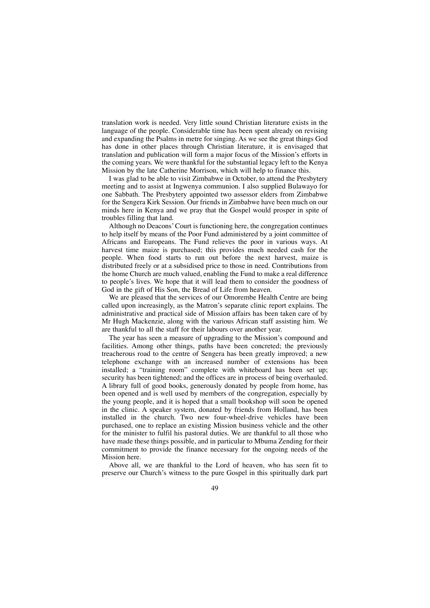translation work is needed. Very little sound Christian literature exists in the language of the people. Considerable time has been spent already on revising and expanding the Psalms in metre for singing. As we see the great things God has done in other places through Christian literature, it is envisaged that translation and publication will form a major focus of the Mission's efforts in the coming years. We were thankful for the substantial legacy left to the Kenya Mission by the late Catherine Morrison, which will help to finance this.

I was glad to be able to visit Zimbabwe in October, to attend the Presbytery meeting and to assist at Ingwenya communion. I also supplied Bulawayo for one Sabbath. The Presbytery appointed two assessor elders from Zimbabwe for the Sengera Kirk Session. Our friends in Zimbabwe have been much on our minds here in Kenya and we pray that the Gospel would prosper in spite of troubles filling that land.

Although no Deacons'Court is functioning here, the congregation continues to help itself by means of the Poor Fund administered by a joint committee of Africans and Europeans. The Fund relieves the poor in various ways. At harvest time maize is purchased; this provides much needed cash for the people. When food starts to run out before the next harvest, maize is distributed freely or at a subsidised price to those in need. Contributions from the home Church are much valued, enabling the Fund to make a real difference to people's lives. We hope that it will lead them to consider the goodness of God in the gift of His Son, the Bread of Life from heaven.

We are pleased that the services of our Omorembe Health Centre are being called upon increasingly, as the Matron's separate clinic report explains. The administrative and practical side of Mission affairs has been taken care of by Mr Hugh Mackenzie, along with the various African staff assisting him. We are thankful to all the staff for their labours over another year.

The year has seen a measure of upgrading to the Mission's compound and facilities. Among other things, paths have been concreted; the previously treacherous road to the centre of Sengera has been greatly improved; a new telephone exchange with an increased number of extensions has been installed; a "training room" complete with whiteboard has been set up; security has been tightened; and the offices are in process of being overhauled. A library full of good books, generously donated by people from home, has been opened and is well used by members of the congregation, especially by the young people, and it is hoped that a small bookshop will soon be opened in the clinic. A speaker system, donated by friends from Holland, has been installed in the church. Two new four-wheel-drive vehicles have been purchased, one to replace an existing Mission business vehicle and the other for the minister to fulfil his pastoral duties. We are thankful to all those who have made these things possible, and in particular to Mbuma Zending for their commitment to provide the finance necessary for the ongoing needs of the Mission here.

Above all, we are thankful to the Lord of heaven, who has seen fit to preserve our Church's witness to the pure Gospel in this spiritually dark part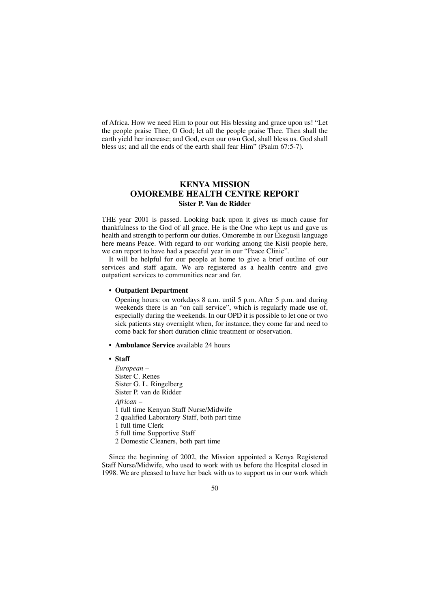of Africa. How we need Him to pour out His blessing and grace upon us! "Let the people praise Thee, O God; let all the people praise Thee. Then shall the earth yield her increase; and God, even our own God, shall bless us. God shall bless us; and all the ends of the earth shall fear Him" (Psalm 67:5-7).

# **KENYA MISSION OMOREMBE HEALTH CENTRE REPORT Sister P. Van de Ridder**

THE year 2001 is passed. Looking back upon it gives us much cause for thankfulness to the God of all grace. He is the One who kept us and gave us health and strength to perform our duties. Omorembe in our Ekegusii language here means Peace. With regard to our working among the Kisii people here, we can report to have had a peaceful year in our "Peace Clinic".

It will be helpful for our people at home to give a brief outline of our services and staff again. We are registered as a health centre and give outpatient services to communities near and far.

## **• Outpatient Department**

Opening hours: on workdays 8 a.m. until 5 p.m. After 5 p.m. and during weekends there is an "on call service", which is regularly made use of, especially during the weekends. In our OPD it is possible to let one or two sick patients stay overnight when, for instance, they come far and need to come back for short duration clinic treatment or observation.

- **Ambulance Service** available 24 hours
- **Staff**

*European –* Sister C. Renes Sister G. L. Ringelberg Sister P. van de Ridder *African –* 1 full time Kenyan Staff Nurse/Midwife 2 qualified Laboratory Staff, both part time 1 full time Clerk

5 full time Supportive Staff

2 Domestic Cleaners, both part time

Since the beginning of 2002, the Mission appointed a Kenya Registered Staff Nurse/Midwife, who used to work with us before the Hospital closed in 1998. We are pleased to have her back with us to support us in our work which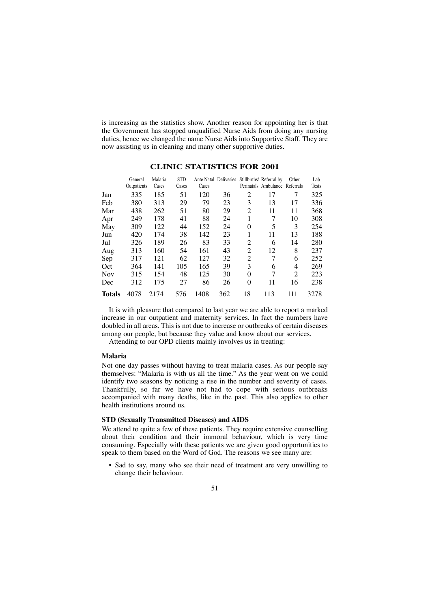is increasing as the statistics show. Another reason for appointing her is that the Government has stopped unqualified Nurse Aids from doing any nursing duties, hence we changed the name Nurse Aids into Supportive Staff. They are now assisting us in cleaning and many other supportive duties.

|               | General<br>Outpatients | Malaria<br>Cases | <b>STD</b><br>Cases | Cases | Ante Natal Deliveries |                | Stillbirths/ Referral by<br>Perinatals Ambulance Referrals | Other          | Lab<br>Tests |
|---------------|------------------------|------------------|---------------------|-------|-----------------------|----------------|------------------------------------------------------------|----------------|--------------|
| Jan           | 335                    | 185              | 51                  | 120   | 36                    | $\overline{c}$ | 17                                                         | 7              | 325          |
| Feb           | 380                    | 313              | 29                  | 79    | 23                    | 3              | 13                                                         | 17             | 336          |
| Mar           | 438                    | 262              | 51                  | 80    | 29                    | $\overline{2}$ | 11                                                         | 11             | 368          |
| Apr           | 249                    | 178              | 41                  | 88    | 24                    | 1              | 7                                                          | 10             | 308          |
| May           | 309                    | 122              | 44                  | 152   | 24                    | $\theta$       | 5                                                          | 3              | 254          |
| Jun           | 420                    | 174              | 38                  | 142   | 23                    | 1              | 11                                                         | 13             | 188          |
| Jul           | 326                    | 189              | 26                  | 83    | 33                    | $\overline{c}$ | 6                                                          | 14             | 280          |
| Aug           | 313                    | 160              | 54                  | 161   | 43                    | 2              | 12                                                         | 8              | 237          |
| Sep           | 317                    | 121              | 62                  | 127   | 32                    | 2              | 7                                                          | 6              | 252          |
| Oct           | 364                    | 141              | 105                 | 165   | 39                    | 3              | 6                                                          | 4              | 269          |
| <b>Nov</b>    | 315                    | 154              | 48                  | 125   | 30                    | $\Omega$       | 7                                                          | $\mathfrak{D}$ | 223          |
| Dec           | 312                    | 175              | 27                  | 86    | 26                    | $\theta$       | 11                                                         | 16             | 238          |
| <b>Totals</b> | 4078                   | 2174             | 576                 | 1408  | 362                   | 18             | 113                                                        | 111            | 3278         |

## **CLINIC STATISTICS FOR 2001**

It is with pleasure that compared to last year we are able to report a marked increase in our outpatient and maternity services. In fact the numbers have doubled in all areas. This is not due to increase or outbreaks of certain diseases among our people, but because they value and know about our services.

Attending to our OPD clients mainly involves us in treating:

#### **Malaria**

Not one day passes without having to treat malaria cases. As our people say themselves: "Malaria is with us all the time." As the year went on we could identify two seasons by noticing a rise in the number and severity of cases. Thankfully, so far we have not had to cope with serious outbreaks accompanied with many deaths, like in the past. This also applies to other health institutions around us.

### **STD (Sexually Transmitted Diseases) and AIDS**

We attend to quite a few of these patients. They require extensive counselling about their condition and their immoral behaviour, which is very time consuming. Especially with these patients we are given good opportunities to speak to them based on the Word of God. The reasons we see many are:

• Sad to say, many who see their need of treatment are very unwilling to change their behaviour.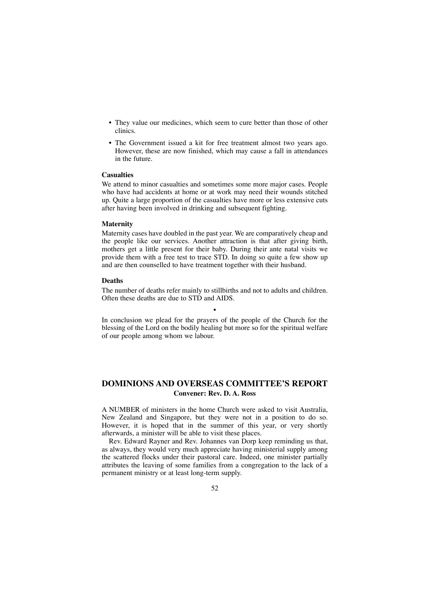- They value our medicines, which seem to cure better than those of other clinics.
- The Government issued a kit for free treatment almost two years ago. However, these are now finished, which may cause a fall in attendances in the future.

## **Casualties**

We attend to minor casualties and sometimes some more major cases. People who have had accidents at home or at work may need their wounds stitched up. Quite a large proportion of the casualties have more or less extensive cuts after having been involved in drinking and subsequent fighting.

#### **Maternity**

Maternity cases have doubled in the past year. We are comparatively cheap and the people like our services. Another attraction is that after giving birth, mothers get a little present for their baby. During their ante natal visits we provide them with a free test to trace STD. In doing so quite a few show up and are then counselled to have treatment together with their husband.

### **Deaths**

The number of deaths refer mainly to stillbirths and not to adults and children. Often these deaths are due to STD and AIDS.

•

In conclusion we plead for the prayers of the people of the Church for the blessing of the Lord on the bodily healing but more so for the spiritual welfare of our people among whom we labour.

# **DOMINIONS AND OVERSEAS COMMITTEE'S REPORT Convener: Rev. D. A. Ross**

A NUMBER of ministers in the home Church were asked to visit Australia, New Zealand and Singapore, but they were not in a position to do so. However, it is hoped that in the summer of this year, or very shortly afterwards, a minister will be able to visit these places.

Rev. Edward Rayner and Rev. Johannes van Dorp keep reminding us that, as always, they would very much appreciate having ministerial supply among the scattered flocks under their pastoral care. Indeed, one minister partially attributes the leaving of some families from a congregation to the lack of a permanent ministry or at least long-term supply.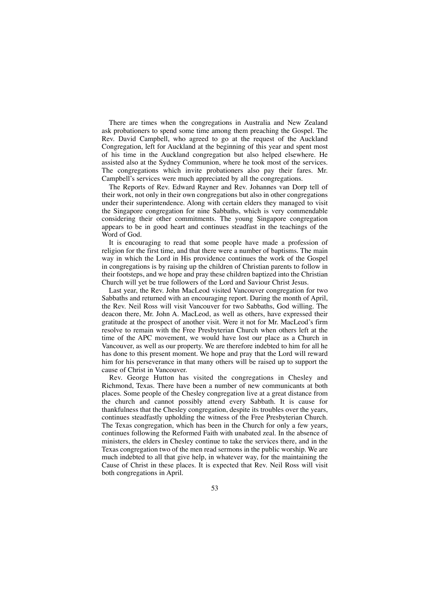There are times when the congregations in Australia and New Zealand ask probationers to spend some time among them preaching the Gospel. The Rev. David Campbell, who agreed to go at the request of the Auckland Congregation, left for Auckland at the beginning of this year and spent most of his time in the Auckland congregation but also helped elsewhere. He assisted also at the Sydney Communion, where he took most of the services. The congregations which invite probationers also pay their fares. Mr. Campbell's services were much appreciated by all the congregations.

The Reports of Rev. Edward Rayner and Rev. Johannes van Dorp tell of their work, not only in their own congregations but also in other congregations under their superintendence. Along with certain elders they managed to visit the Singapore congregation for nine Sabbaths, which is very commendable considering their other commitments. The young Singapore congregation appears to be in good heart and continues steadfast in the teachings of the Word of God.

It is encouraging to read that some people have made a profession of religion for the first time, and that there were a number of baptisms. The main way in which the Lord in His providence continues the work of the Gospel in congregations is by raising up the children of Christian parents to follow in their footsteps, and we hope and pray these children baptized into the Christian Church will yet be true followers of the Lord and Saviour Christ Jesus.

Last year, the Rev. John MacLeod visited Vancouver congregation for two Sabbaths and returned with an encouraging report. During the month of April, the Rev. Neil Ross will visit Vancouver for two Sabbaths, God willing. The deacon there, Mr. John A. MacLeod, as well as others, have expressed their gratitude at the prospect of another visit. Were it not for Mr. MacLeod's firm resolve to remain with the Free Presbyterian Church when others left at the time of the APC movement, we would have lost our place as a Church in Vancouver, as well as our property. We are therefore indebted to him for all he has done to this present moment. We hope and pray that the Lord will reward him for his perseverance in that many others will be raised up to support the cause of Christ in Vancouver.

Rev. George Hutton has visited the congregations in Chesley and Richmond, Texas. There have been a number of new communicants at both places. Some people of the Chesley congregation live at a great distance from the church and cannot possibly attend every Sabbath. It is cause for thankfulness that the Chesley congregation, despite its troubles over the years, continues steadfastly upholding the witness of the Free Presbyterian Church. The Texas congregation, which has been in the Church for only a few years, continues following the Reformed Faith with unabated zeal. In the absence of ministers, the elders in Chesley continue to take the services there, and in the Texas congregation two of the men read sermons in the public worship. We are much indebted to all that give help, in whatever way, for the maintaining the Cause of Christ in these places. It is expected that Rev. Neil Ross will visit both congregations in April.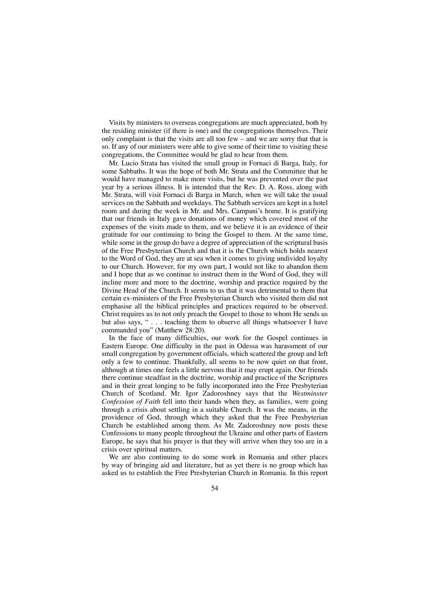Visits by ministers to overseas congregations are much appreciated, both by the residing minister (if there is one) and the congregations themselves. Their only complaint is that the visits are all too few – and we are sorry that that is so. If any of our ministers were able to give some of their time to visiting these congregations, the Committee would be glad to hear from them.

Mr. Lucio Strata has visited the small group in Fornaci di Barga, Italy, for some Sabbaths. It was the hope of both Mr. Strata and the Committee that he would have managed to make more visits, but he was prevented over the past year by a serious illness. It is intended that the Rev. D. A. Ross, along with Mr. Strata, will visit Fornaci di Barga in March, when we will take the usual services on the Sabbath and weekdays. The Sabbath services are kept in a hotel room and during the week in Mr. and Mrs. Campani's home. It is gratifying that our friends in Italy gave donations of money which covered most of the expenses of the visits made to them, and we believe it is an evidence of their gratitude for our continuing to bring the Gospel to them. At the same time, while some in the group do have a degree of appreciation of the scriptural basis of the Free Presbyterian Church and that it is the Church which holds nearest to the Word of God, they are at sea when it comes to giving undivided loyalty to our Church. However, for my own part, I would not like to abandon them and I hope that as we continue to instruct them in the Word of God, they will incline more and more to the doctrine, worship and practice required by the Divine Head of the Church. It seems to us that it was detrimental to them that certain ex-ministers of the Free Presbyterian Church who visited them did not emphasise all the biblical principles and practices required to be observed. Christ requires us to not only preach the Gospel to those to whom He sends us but also says, " . . . teaching them to observe all things whatsoever I have commanded you" (Matthew 28:20).

In the face of many difficulties, our work for the Gospel continues in Eastern Europe. One difficulty in the past in Odessa was harassment of our small congregation by government officials, which scattered the group and left only a few to continue. Thankfully, all seems to be now quiet on that front, although at times one feels a little nervous that it may erupt again. Our friends there continue steadfast in the doctrine, worship and practice of the Scriptures and in their great longing to be fully incorporated into the Free Presbyterian Church of Scotland. Mr. Igor Zadoroshney says that the *Westminster Confession of Faith* fell into their hands when they, as families, were going through a crisis about settling in a suitable Church. It was the means, in the providence of God, through which they asked that the Free Presbyterian Church be established among them. As Mr. Zadoroshney now posts these Confessions to many people throughout the Ukraine and other parts of Eastern Europe, he says that his prayer is that they will arrive when they too are in a crisis over spiritual matters.

We are also continuing to do some work in Romania and other places by way of bringing aid and literature, but as yet there is no group which has asked us to establish the Free Presbyterian Church in Romania. In this report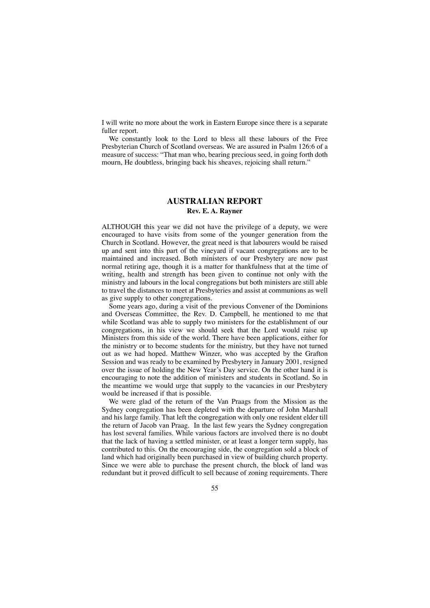I will write no more about the work in Eastern Europe since there is a separate fuller report.

We constantly look to the Lord to bless all these labours of the Free Presbyterian Church of Scotland overseas. We are assured in Psalm 126:6 of a measure of success: "That man who, bearing precious seed, in going forth doth mourn, He doubtless, bringing back his sheaves, rejoicing shall return."

## **AUSTRALIAN REPORT Rev. E. A. Rayner**

ALTHOUGH this year we did not have the privilege of a deputy, we were encouraged to have visits from some of the younger generation from the Church in Scotland. However, the great need is that labourers would be raised up and sent into this part of the vineyard if vacant congregations are to be maintained and increased. Both ministers of our Presbytery are now past normal retiring age, though it is a matter for thankfulness that at the time of writing, health and strength has been given to continue not only with the ministry and labours in the local congregations but both ministers are still able to travel the distances to meet at Presbyteries and assist at communions as well as give supply to other congregations.

Some years ago, during a visit of the previous Convener of the Dominions and Overseas Committee, the Rev. D. Campbell, he mentioned to me that while Scotland was able to supply two ministers for the establishment of our congregations, in his view we should seek that the Lord would raise up Ministers from this side of the world. There have been applications, either for the ministry or to become students for the ministry, but they have not turned out as we had hoped. Matthew Winzer, who was accepted by the Grafton Session and was ready to be examined by Presbytery in January 2001, resigned over the issue of holding the New Year's Day service. On the other hand it is encouraging to note the addition of ministers and students in Scotland. So in the meantime we would urge that supply to the vacancies in our Presbytery would be increased if that is possible.

We were glad of the return of the Van Praags from the Mission as the Sydney congregation has been depleted with the departure of John Marshall and his large family. That left the congregation with only one resident elder till the return of Jacob van Praag. In the last few years the Sydney congregation has lost several families. While various factors are involved there is no doubt that the lack of having a settled minister, or at least a longer term supply, has contributed to this. On the encouraging side, the congregation sold a block of land which had originally been purchased in view of building church property. Since we were able to purchase the present church, the block of land was redundant but it proved difficult to sell because of zoning requirements. There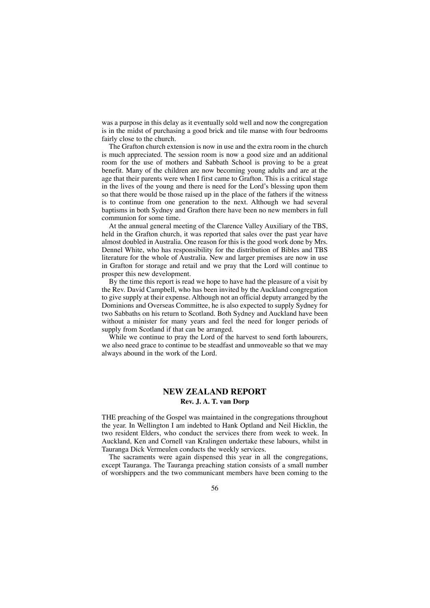was a purpose in this delay as it eventually sold well and now the congregation is in the midst of purchasing a good brick and tile manse with four bedrooms fairly close to the church.

The Grafton church extension is now in use and the extra room in the church is much appreciated. The session room is now a good size and an additional room for the use of mothers and Sabbath School is proving to be a great benefit. Many of the children are now becoming young adults and are at the age that their parents were when I first came to Grafton. This is a critical stage in the lives of the young and there is need for the Lord's blessing upon them so that there would be those raised up in the place of the fathers if the witness is to continue from one generation to the next. Although we had several baptisms in both Sydney and Grafton there have been no new members in full communion for some time.

At the annual general meeting of the Clarence Valley Auxiliary of the TBS, held in the Grafton church, it was reported that sales over the past year have almost doubled in Australia. One reason for this is the good work done by Mrs. Dennel White, who has responsibility for the distribution of Bibles and TBS literature for the whole of Australia. New and larger premises are now in use in Grafton for storage and retail and we pray that the Lord will continue to prosper this new development.

By the time this report is read we hope to have had the pleasure of a visit by the Rev. David Campbell, who has been invited by the Auckland congregation to give supply at their expense. Although not an official deputy arranged by the Dominions and Overseas Committee, he is also expected to supply Sydney for two Sabbaths on his return to Scotland. Both Sydney and Auckland have been without a minister for many years and feel the need for longer periods of supply from Scotland if that can be arranged.

While we continue to pray the Lord of the harvest to send forth labourers, we also need grace to continue to be steadfast and unmoveable so that we may always abound in the work of the Lord.

# **NEW ZEALAND REPORT Rev. J. A. T. van Dorp**

THE preaching of the Gospel was maintained in the congregations throughout the year. In Wellington I am indebted to Hank Optland and Neil Hicklin, the two resident Elders, who conduct the services there from week to week. In Auckland, Ken and Cornell van Kralingen undertake these labours, whilst in Tauranga Dick Vermeulen conducts the weekly services.

The sacraments were again dispensed this year in all the congregations, except Tauranga. The Tauranga preaching station consists of a small number of worshippers and the two communicant members have been coming to the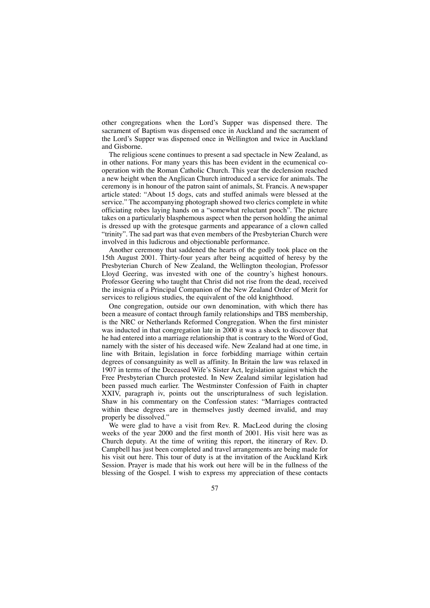other congregations when the Lord's Supper was dispensed there. The sacrament of Baptism was dispensed once in Auckland and the sacrament of the Lord's Supper was dispensed once in Wellington and twice in Auckland and Gisborne.

The religious scene continues to present a sad spectacle in New Zealand, as in other nations. For many years this has been evident in the ecumenical cooperation with the Roman Catholic Church. This year the declension reached a new height when the Anglican Church introduced a service for animals. The ceremony is in honour of the patron saint of animals, St. Francis. A newspaper article stated: "About 15 dogs, cats and stuffed animals were blessed at the service." The accompanying photograph showed two clerics complete in white officiating robes laying hands on a "somewhat reluctant pooch". The picture takes on a particularly blasphemous aspect when the person holding the animal is dressed up with the grotesque garments and appearance of a clown called "trinity". The sad part was that even members of the Presbyterian Church were involved in this ludicrous and objectionable performance.

Another ceremony that saddened the hearts of the godly took place on the 15th August 2001. Thirty-four years after being acquitted of heresy by the Presbyterian Church of New Zealand, the Wellington theologian, Professor Lloyd Geering, was invested with one of the country's highest honours. Professor Geering who taught that Christ did not rise from the dead, received the insignia of a Principal Companion of the New Zealand Order of Merit for services to religious studies, the equivalent of the old knighthood.

One congregation, outside our own denomination, with which there has been a measure of contact through family relationships and TBS membership, is the NRC or Netherlands Reformed Congregation. When the first minister was inducted in that congregation late in 2000 it was a shock to discover that he had entered into a marriage relationship that is contrary to the Word of God, namely with the sister of his deceased wife. New Zealand had at one time, in line with Britain, legislation in force forbidding marriage within certain degrees of consanguinity as well as affinity. In Britain the law was relaxed in 1907 in terms of the Deceased Wife's Sister Act, legislation against which the Free Presbyterian Church protested. In New Zealand similar legislation had been passed much earlier. The Westminster Confession of Faith in chapter XXIV, paragraph iv, points out the unscripturalness of such legislation. Shaw in his commentary on the Confession states: "Marriages contracted within these degrees are in themselves justly deemed invalid, and may properly be dissolved."

We were glad to have a visit from Rev. R. MacLeod during the closing weeks of the year 2000 and the first month of 2001. His visit here was as Church deputy. At the time of writing this report, the itinerary of Rev. D. Campbell has just been completed and travel arrangements are being made for his visit out here. This tour of duty is at the invitation of the Auckland Kirk Session. Prayer is made that his work out here will be in the fullness of the blessing of the Gospel. I wish to express my appreciation of these contacts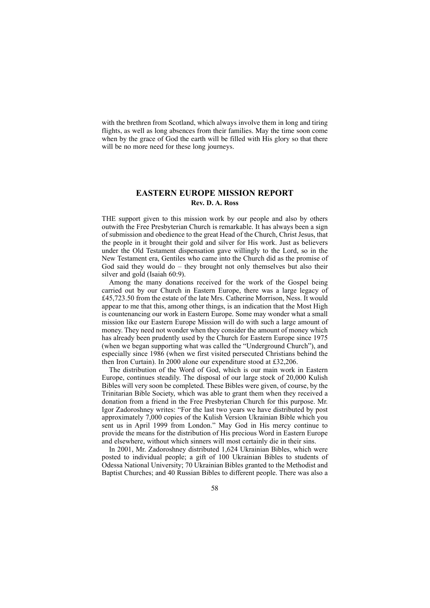with the brethren from Scotland, which always involve them in long and tiring flights, as well as long absences from their families. May the time soon come when by the grace of God the earth will be filled with His glory so that there will be no more need for these long journeys.

# **EASTERN EUROPE MISSION REPORT Rev. D. A. Ross**

THE support given to this mission work by our people and also by others outwith the Free Presbyterian Church is remarkable. It has always been a sign of submission and obedience to the great Head of the Church, Christ Jesus, that the people in it brought their gold and silver for His work. Just as believers under the Old Testament dispensation gave willingly to the Lord, so in the New Testament era, Gentiles who came into the Church did as the promise of God said they would do – they brought not only themselves but also their silver and gold (Isaiah 60:9).

Among the many donations received for the work of the Gospel being carried out by our Church in Eastern Europe, there was a large legacy of £45,723.50 from the estate of the late Mrs. Catherine Morrison, Ness. It would appear to me that this, among other things, is an indication that the Most High is countenancing our work in Eastern Europe. Some may wonder what a small mission like our Eastern Europe Mission will do with such a large amount of money. They need not wonder when they consider the amount of money which has already been prudently used by the Church for Eastern Europe since 1975 (when we began supporting what was called the "Underground Church"), and especially since 1986 (when we first visited persecuted Christians behind the then Iron Curtain). In 2000 alone our expenditure stood at £32,206.

The distribution of the Word of God, which is our main work in Eastern Europe, continues steadily. The disposal of our large stock of 20,000 Kulish Bibles will very soon be completed. These Bibles were given, of course, by the Trinitarian Bible Society, which was able to grant them when they received a donation from a friend in the Free Presbyterian Church for this purpose. Mr. Igor Zadoroshney writes: "For the last two years we have distributed by post approximately 7,000 copies of the Kulish Version Ukrainian Bible which you sent us in April 1999 from London." May God in His mercy continue to provide the means for the distribution of His precious Word in Eastern Europe and elsewhere, without which sinners will most certainly die in their sins.

In 2001, Mr. Zadoroshney distributed 1,624 Ukrainian Bibles, which were posted to individual people; a gift of 100 Ukrainian Bibles to students of Odessa National University; 70 Ukrainian Bibles granted to the Methodist and Baptist Churches; and 40 Russian Bibles to different people. There was also a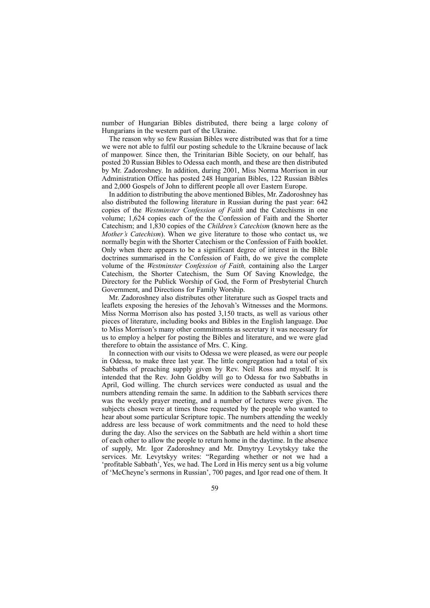number of Hungarian Bibles distributed, there being a large colony of Hungarians in the western part of the Ukraine.

The reason why so few Russian Bibles were distributed was that for a time we were not able to fulfil our posting schedule to the Ukraine because of lack of manpower. Since then, the Trinitarian Bible Society, on our behalf, has posted 20 Russian Bibles to Odessa each month, and these are then distributed by Mr. Zadoroshney. In addition, during 2001, Miss Norma Morrison in our Administration Office has posted 248 Hungarian Bibles, 122 Russian Bibles and 2,000 Gospels of John to different people all over Eastern Europe.

In addition to distributing the above mentioned Bibles, Mr. Zadoroshney has also distributed the following literature in Russian during the past year: 642 copies of the *Westminster Confession of Faith* and the Catechisms in one volume; 1,624 copies each of the the Confession of Faith and the Shorter Catechism; and 1,830 copies of the *Children's Catechism* (known here as the *Mother's Catechism*). When we give literature to those who contact us, we normally begin with the Shorter Catechism or the Confession of Faith booklet. Only when there appears to be a significant degree of interest in the Bible doctrines summarised in the Confession of Faith, do we give the complete volume of the *Westminster Confession of Faith,* containing also the Larger Catechism, the Shorter Catechism, the Sum Of Saving Knowledge, the Directory for the Publick Worship of God, the Form of Presbyterial Church Government, and Directions for Family Worship.

Mr. Zadoroshney also distributes other literature such as Gospel tracts and leaflets exposing the heresies of the Jehovah's Witnesses and the Mormons. Miss Norma Morrison also has posted 3,150 tracts, as well as various other pieces of literature, including books and Bibles in the English language. Due to Miss Morrison's many other commitments as secretary it was necessary for us to employ a helper for posting the Bibles and literature, and we were glad therefore to obtain the assistance of Mrs. C. King.

In connection with our visits to Odessa we were pleased, as were our people in Odessa, to make three last year. The little congregation had a total of six Sabbaths of preaching supply given by Rev. Neil Ross and myself. It is intended that the Rev. John Goldby will go to Odessa for two Sabbaths in April, God willing. The church services were conducted as usual and the numbers attending remain the same. In addition to the Sabbath services there was the weekly prayer meeting, and a number of lectures were given. The subjects chosen were at times those requested by the people who wanted to hear about some particular Scripture topic. The numbers attending the weekly address are less because of work commitments and the need to hold these during the day. Also the services on the Sabbath are held within a short time of each other to allow the people to return home in the daytime. In the absence of supply, Mr. Igor Zadoroshney and Mr. Dmytryy Levytskyy take the services. Mr. Levytskyy writes: "Regarding whether or not we had a 'profitable Sabbath', Yes, we had. The Lord in His mercy sent us a big volume of 'McCheyne's sermons in Russian', 700 pages, and Igor read one of them. It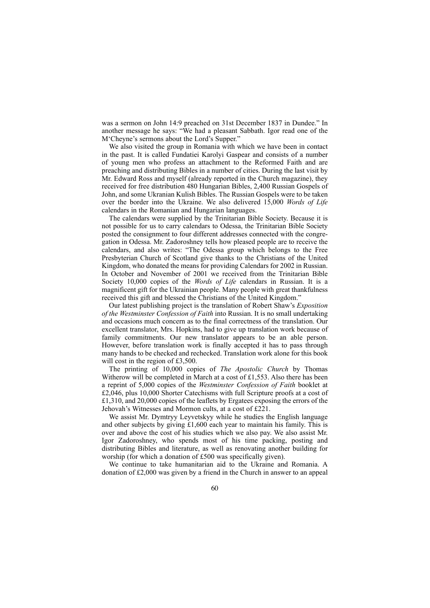was a sermon on John 14:9 preached on 31st December 1837 in Dundee." In another message he says: "We had a pleasant Sabbath. Igor read one of the M'Cheyne's sermons about the Lord's Supper."

We also visited the group in Romania with which we have been in contact in the past. It is called Fundatiei Karolyi Gaspear and consists of a number of young men who profess an attachment to the Reformed Faith and are preaching and distributing Bibles in a number of cities. During the last visit by Mr. Edward Ross and myself (already reported in the Church magazine), they received for free distribution 480 Hungarian Bibles, 2,400 Russian Gospels of John, and some Ukranian Kulish Bibles. The Russian Gospels were to be taken over the border into the Ukraine. We also delivered 15,000 *Words of Life* calendars in the Romanian and Hungarian languages.

The calendars were supplied by the Trinitarian Bible Society. Because it is not possible for us to carry calendars to Odessa, the Trinitarian Bible Society posted the consignment to four different addresses connected with the congregation in Odessa. Mr. Zadoroshney tells how pleased people are to receive the calendars, and also writes: "The Odessa group which belongs to the Free Presbyterian Church of Scotland give thanks to the Christians of the United Kingdom, who donated the means for providing Calendars for 2002 in Russian. In October and November of 2001 we received from the Trinitarian Bible Society 10,000 copies of the *Words of Life* calendars in Russian. It is a magnificent gift for the Ukrainian people. Many people with great thankfulness received this gift and blessed the Christians of the United Kingdom."

Our latest publishing project is the translation of Robert Shaw's *Exposition of the Westminster Confession of Faith* into Russian. It is no small undertaking and occasions much concern as to the final correctness of the translation. Our excellent translator, Mrs. Hopkins, had to give up translation work because of family commitments. Our new translator appears to be an able person. However, before translation work is finally accepted it has to pass through many hands to be checked and rechecked. Translation work alone for this book will cost in the region of £3,500.

The printing of 10,000 copies of *The Apostolic Church* by Thomas Witherow will be completed in March at a cost of £1,553. Also there has been a reprint of 5,000 copies of the *Westminster Confession of Faith* booklet at £2,046, plus 10,000 Shorter Catechisms with full Scripture proofs at a cost of £1,310, and 20,000 copies of the leaflets by Ergatees exposing the errors of the Jehovah's Witnesses and Mormon cults, at a cost of £221.

We assist Mr. Dymtryy Leyvetskyy while he studies the English language and other subjects by giving £1,600 each year to maintain his family. This is over and above the cost of his studies which we also pay. We also assist Mr. Igor Zadoroshney, who spends most of his time packing, posting and distributing Bibles and literature, as well as renovating another building for worship (for which a donation of £500 was specifically given).

We continue to take humanitarian aid to the Ukraine and Romania. A donation of £2,000 was given by a friend in the Church in answer to an appeal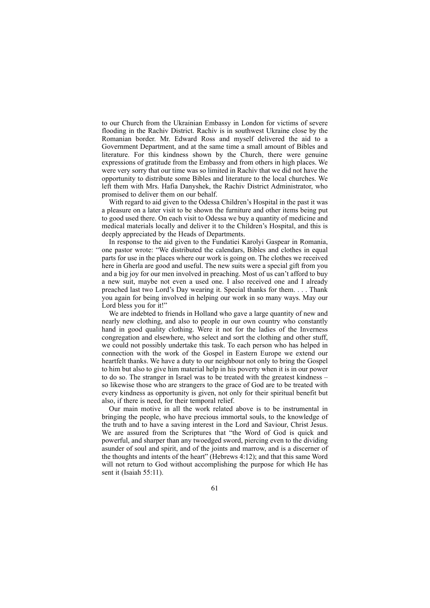to our Church from the Ukrainian Embassy in London for victims of severe flooding in the Rachiv District. Rachiv is in southwest Ukraine close by the Romanian border. Mr. Edward Ross and myself delivered the aid to a Government Department, and at the same time a small amount of Bibles and literature. For this kindness shown by the Church, there were genuine expressions of gratitude from the Embassy and from others in high places. We were very sorry that our time was so limited in Rachiv that we did not have the opportunity to distribute some Bibles and literature to the local churches. We left them with Mrs. Hafia Danyshek, the Rachiv District Administrator, who promised to deliver them on our behalf.

With regard to aid given to the Odessa Children's Hospital in the past it was a pleasure on a later visit to be shown the furniture and other items being put to good used there. On each visit to Odessa we buy a quantity of medicine and medical materials locally and deliver it to the Children's Hospital, and this is deeply appreciated by the Heads of Departments.

In response to the aid given to the Fundatiei Karolyi Gaspear in Romania, one pastor wrote: "We distributed the calendars, Bibles and clothes in equal parts for use in the places where our work is going on. The clothes we received here in Gherla are good and useful. The new suits were a special gift from you and a big joy for our men involved in preaching. Most of us can't afford to buy a new suit, maybe not even a used one. I also received one and I already preached last two Lord's Day wearing it. Special thanks for them. . . . Thank you again for being involved in helping our work in so many ways. May our Lord bless you for it!"

We are indebted to friends in Holland who gave a large quantity of new and nearly new clothing, and also to people in our own country who constantly hand in good quality clothing. Were it not for the ladies of the Inverness congregation and elsewhere, who select and sort the clothing and other stuff, we could not possibly undertake this task. To each person who has helped in connection with the work of the Gospel in Eastern Europe we extend our heartfelt thanks. We have a duty to our neighbour not only to bring the Gospel to him but also to give him material help in his poverty when it is in our power to do so. The stranger in Israel was to be treated with the greatest kindness – so likewise those who are strangers to the grace of God are to be treated with every kindness as opportunity is given, not only for their spiritual benefit but also, if there is need, for their temporal relief.

Our main motive in all the work related above is to be instrumental in bringing the people, who have precious immortal souls, to the knowledge of the truth and to have a saving interest in the Lord and Saviour, Christ Jesus. We are assured from the Scriptures that "the Word of God is quick and powerful, and sharper than any twoedged sword, piercing even to the dividing asunder of soul and spirit, and of the joints and marrow, and is a discerner of the thoughts and intents of the heart" (Hebrews 4:12); and that this same Word will not return to God without accomplishing the purpose for which He has sent it (Isaiah 55:11).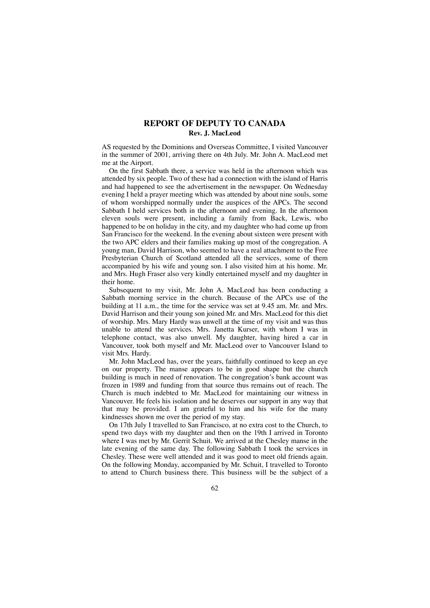# **REPORT OF DEPUTY TO CANADA Rev. J. MacLeod**

AS requested by the Dominions and Overseas Committee, I visited Vancouver in the summer of 2001, arriving there on 4th July. Mr. John A. MacLeod met me at the Airport.

On the first Sabbath there, a service was held in the afternoon which was attended by six people. Two of these had a connection with the island of Harris and had happened to see the advertisement in the newspaper. On Wednesday evening I held a prayer meeting which was attended by about nine souls, some of whom worshipped normally under the auspices of the APCs. The second Sabbath I held services both in the afternoon and evening. In the afternoon eleven souls were present, including a family from Back, Lewis, who happened to be on holiday in the city, and my daughter who had come up from San Francisco for the weekend. In the evening about sixteen were present with the two APC elders and their families making up most of the congregation. A young man, David Harrison, who seemed to have a real attachment to the Free Presbyterian Church of Scotland attended all the services, some of them accompanied by his wife and young son. I also visited him at his home. Mr. and Mrs. Hugh Fraser also very kindly entertained myself and my daughter in their home.

Subsequent to my visit. Mr. John A. MacLeod has been conducting a Sabbath morning service in the church. Because of the APCs use of the building at 11 a.m., the time for the service was set at 9.45 am. Mr. and Mrs. David Harrison and their young son joined Mr. and Mrs. MacLeod for this diet of worship. Mrs. Mary Hardy was unwell at the time of my visit and was thus unable to attend the services. Mrs. Janetta Kurser, with whom I was in telephone contact, was also unwell. My daughter, having hired a car in Vancouver, took both myself and Mr. MacLeod over to Vancouver Island to visit Mrs. Hardy.

Mr. John MacLeod has, over the years, faithfully continued to keep an eye on our property. The manse appears to be in good shape but the church building is much in need of renovation. The congregation's bank account was frozen in 1989 and funding from that source thus remains out of reach. The Church is much indebted to Mr. MacLeod for maintaining our witness in Vancouver. He feels his isolation and he deserves our support in any way that that may be provided. I am grateful to him and his wife for the many kindnesses shown me over the period of my stay.

On 17th July I travelled to San Francisco, at no extra cost to the Church, to spend two days with my daughter and then on the 19th I arrived in Toronto where I was met by Mr. Gerrit Schuit. We arrived at the Chesley manse in the late evening of the same day. The following Sabbath I took the services in Chesley. These were well attended and it was good to meet old friends again. On the following Monday, accompanied by Mr. Schuit, I travelled to Toronto to attend to Church business there. This business will be the subject of a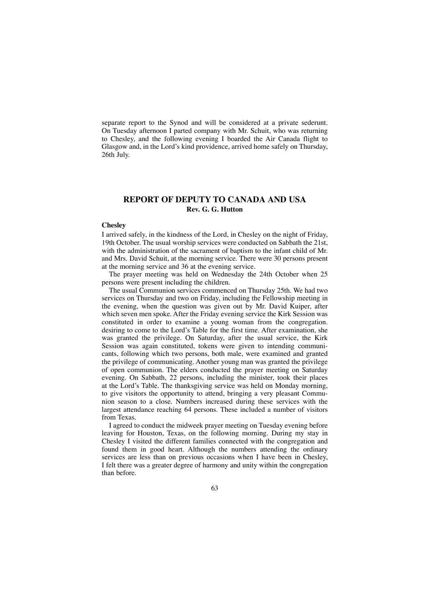separate report to the Synod and will be considered at a private sederunt. On Tuesday afternoon I parted company with Mr. Schuit, who was returning to Chesley, and the following evening I boarded the Air Canada flight to Glasgow and, in the Lord's kind providence, arrived home safely on Thursday, 26th July.

# **REPORT OF DEPUTY TO CANADA AND USA Rev. G. G. Hutton**

### **Chesley**

I arrived safely, in the kindness of the Lord, in Chesley on the night of Friday, 19th October. The usual worship services were conducted on Sabbath the 21st, with the administration of the sacrament of baptism to the infant child of Mr. and Mrs. David Schuit, at the morning service. There were 30 persons present at the morning service and 36 at the evening service.

The prayer meeting was held on Wednesday the 24th October when 25 persons were present including the children.

The usual Communion services commenced on Thursday 25th. We had two services on Thursday and two on Friday, including the Fellowship meeting in the evening, when the question was given out by Mr. David Kuiper, after which seven men spoke. After the Friday evening service the Kirk Session was constituted in order to examine a young woman from the congregation. desiring to come to the Lord's Table for the first time. After examination, she was granted the privilege. On Saturday, after the usual service, the Kirk Session was again constituted, tokens were given to intending communicants, following which two persons, both male, were examined and granted the privilege of communicating. Another young man was granted the privilege of open communion. The elders conducted the prayer meeting on Saturday evening. On Sabbath, 22 persons, including the minister, took their places at the Lord's Table. The thanksgiving service was held on Monday morning, to give visitors the opportunity to attend, bringing a very pleasant Communion season to a close. Numbers increased during these services with the largest attendance reaching 64 persons. These included a number of visitors from Texas.

I agreed to conduct the midweek prayer meeting on Tuesday evening before leaving for Houston, Texas, on the following morning. During my stay in Chesley I visited the different families connected with the congregation and found them in good heart. Although the numbers attending the ordinary services are less than on previous occasions when I have been in Chesley, I felt there was a greater degree of harmony and unity within the congregation than before.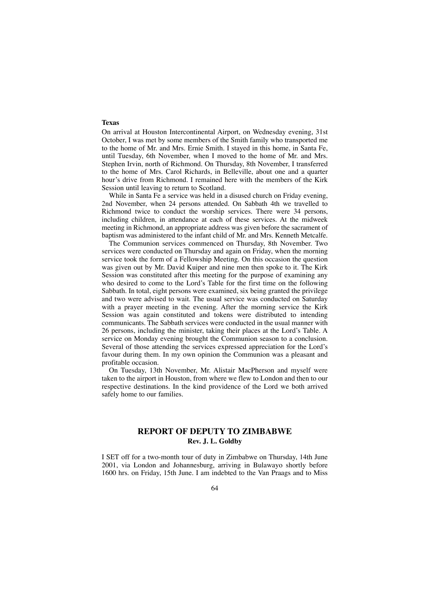## **Texas**

On arrival at Houston Intercontinental Airport, on Wednesday evening, 31st October, I was met by some members of the Smith family who transported me to the home of Mr. and Mrs. Ernie Smith. I stayed in this home, in Santa Fe, until Tuesday, 6th November, when I moved to the home of Mr. and Mrs. Stephen Irvin, north of Richmond. On Thursday, 8th November, I transferred to the home of Mrs. Carol Richards, in Belleville, about one and a quarter hour's drive from Richmond. I remained here with the members of the Kirk Session until leaving to return to Scotland.

While in Santa Fe a service was held in a disused church on Friday evening, 2nd November, when 24 persons attended. On Sabbath 4th we travelled to Richmond twice to conduct the worship services. There were 34 persons, including children, in attendance at each of these services. At the midweek meeting in Richmond, an appropriate address was given before the sacrament of baptism was administered to the infant child of Mr. and Mrs. Kenneth Metcalfe.

The Communion services commenced on Thursday, 8th November. Two services were conducted on Thursday and again on Friday, when the morning service took the form of a Fellowship Meeting. On this occasion the question was given out by Mr. David Kuiper and nine men then spoke to it. The Kirk Session was constituted after this meeting for the purpose of examining any who desired to come to the Lord's Table for the first time on the following Sabbath. In total, eight persons were examined, six being granted the privilege and two were advised to wait. The usual service was conducted on Saturday with a prayer meeting in the evening. After the morning service the Kirk Session was again constituted and tokens were distributed to intending communicants. The Sabbath services were conducted in the usual manner with 26 persons, including the minister, taking their places at the Lord's Table. A service on Monday evening brought the Communion season to a conclusion. Several of those attending the services expressed appreciation for the Lord's favour during them. In my own opinion the Communion was a pleasant and profitable occasion.

On Tuesday, 13th November, Mr. Alistair MacPherson and myself were taken to the airport in Houston, from where we flew to London and then to our respective destinations. In the kind providence of the Lord we both arrived safely home to our families.

# **REPORT OF DEPUTY TO ZIMBABWE Rev. J. L. Goldby**

I SET off for a two-month tour of duty in Zimbabwe on Thursday, 14th June 2001, via London and Johannesburg, arriving in Bulawayo shortly before 1600 hrs. on Friday, 15th June. I am indebted to the Van Praags and to Miss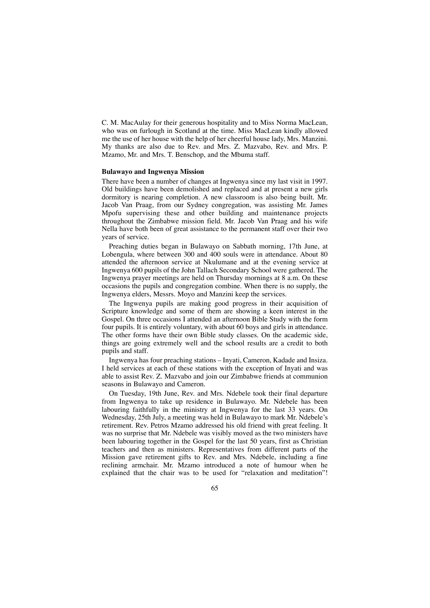C. M. MacAulay for their generous hospitality and to Miss Norma MacLean, who was on furlough in Scotland at the time. Miss MacLean kindly allowed me the use of her house with the help of her cheerful house lady, Mrs. Manzini. My thanks are also due to Rev. and Mrs. Z. Mazvabo, Rev. and Mrs. P. Mzamo, Mr. and Mrs. T. Benschop, and the Mbuma staff.

### **Bulawayo and Ingwenya Mission**

There have been a number of changes at Ingwenya since my last visit in 1997. Old buildings have been demolished and replaced and at present a new girls dormitory is nearing completion. A new classroom is also being built. Mr. Jacob Van Praag, from our Sydney congregation, was assisting Mr. James Mpofu supervising these and other building and maintenance projects throughout the Zimbabwe mission field. Mr. Jacob Van Praag and his wife Nella have both been of great assistance to the permanent staff over their two years of service.

Preaching duties began in Bulawayo on Sabbath morning, 17th June, at Lobengula, where between 300 and 400 souls were in attendance. About 80 attended the afternoon service at Nkulumane and at the evening service at Ingwenya 600 pupils of the John Tallach Secondary School were gathered. The Ingwenya prayer meetings are held on Thursday mornings at 8 a.m. On these occasions the pupils and congregation combine. When there is no supply, the Ingwenya elders, Messrs. Moyo and Manzini keep the services.

The Ingwenya pupils are making good progress in their acquisition of Scripture knowledge and some of them are showing a keen interest in the Gospel. On three occasions I attended an afternoon Bible Study with the form four pupils. It is entirely voluntary, with about 60 boys and girls in attendance. The other forms have their own Bible study classes. On the academic side, things are going extremely well and the school results are a credit to both pupils and staff.

Ingwenya has four preaching stations – Inyati, Cameron, Kadade and Insiza. I held services at each of these stations with the exception of Inyati and was able to assist Rev. Z. Mazvabo and join our Zimbabwe friends at communion seasons in Bulawayo and Cameron.

On Tuesday, 19th June, Rev. and Mrs. Ndebele took their final departure from Ingwenya to take up residence in Bulawayo. Mr. Ndebele has been labouring faithfully in the ministry at Ingwenya for the last 33 years. On Wednesday, 25th July, a meeting was held in Bulawayo to mark Mr. Ndebele's retirement. Rev. Petros Mzamo addressed his old friend with great feeling. It was no surprise that Mr. Ndebele was visibly moved as the two ministers have been labouring together in the Gospel for the last 50 years, first as Christian teachers and then as ministers. Representatives from different parts of the Mission gave retirement gifts to Rev. and Mrs. Ndebele, including a fine reclining armchair. Mr. Mzamo introduced a note of humour when he explained that the chair was to be used for "relaxation and meditation"!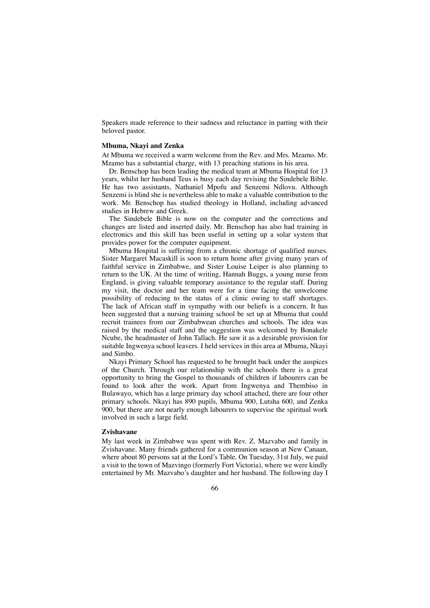Speakers made reference to their sadness and reluctance in parting with their beloved pastor.

### **Mbuma, Nkayi and Zenka**

At Mbuma we received a warm welcome from the Rev. and Mrs. Mzamo. Mr. Mzamo has a substantial charge, with 13 preaching stations in his area.

Dr. Benschop has been leading the medical team at Mbuma Hospital for 13 years, whilst her husband Teus is busy each day revising the Sindebele Bible. He has two assistants, Nathaniel Mpofu and Senzemi Ndlovu. Although Senzemi is blind she is nevertheless able to make a valuable contribution to the work. Mr. Benschop has studied theology in Holland, including advanced studies in Hebrew and Greek.

The Sindebele Bible is now on the computer and the corrections and changes are listed and inserted daily. Mr. Benschop has also had training in electronics and this skill has been useful in setting up a solar system that provides power for the computer equipment.

Mbuma Hospital is suffering from a chronic shortage of qualified nurses. Sister Margaret Macaskill is soon to return home after giving many years of faithful service in Zimbabwe, and Sister Louise Leiper is also planning to return to the UK. At the time of writing, Hannah Buggs, a young nurse from England, is giving valuable temporary assistance to the regular staff. During my visit, the doctor and her team were for a time facing the unwelcome possibility of reducing to the status of a clinic owing to staff shortages. The lack of African staff in sympathy with our beliefs is a concern. It has been suggested that a nursing training school be set up at Mbuma that could recruit trainees from our Zimbabwean churches and schools. The idea was raised by the medical staff and the suggestion was welcomed by Bonakele Ncube, the headmaster of John Tallach. He saw it as a desirable provision for suitable Ingwenya school leavers. I held services in this area at Mbuma, Nkayi and Simbo.

Nkayi Primary School has requested to be brought back under the auspices of the Church. Through our relationship with the schools there is a great opportunity to bring the Gospel to thousands of children if labourers can be found to look after the work. Apart from Ingwenya and Thembiso in Bulawayo, which has a large primary day school attached, there are four other primary schools. Nkayi has 890 pupils, Mbuma 900, Lutsha 600, and Zenka 900, but there are not nearly enough labourers to supervise the spiritual work involved in such a large field.

### **Zvishavane**

My last week in Zimbabwe was spent with Rev. Z. Mazvabo and family in Zvishavane. Many friends gathered for a communion season at New Canaan, where about 80 persons sat at the Lord's Table. On Tuesday, 31st July, we paid a visit to the town of Mazvingo (formerly Fort Victoria), where we were kindly entertained by Mr. Mazvabo's daughter and her husband. The following day I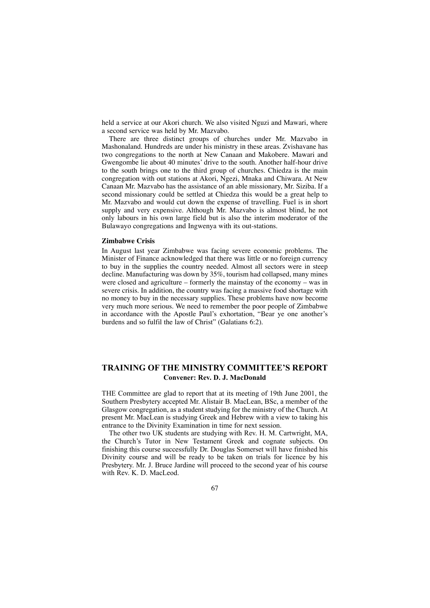held a service at our Akori church. We also visited Nguzi and Mawari, where a second service was held by Mr. Mazvabo.

There are three distinct groups of churches under Mr. Mazvabo in Mashonaland. Hundreds are under his ministry in these areas. Zvishavane has two congregations to the north at New Canaan and Makobere. Mawari and Gwengombe lie about 40 minutes' drive to the south. Another half-hour drive to the south brings one to the third group of churches. Chiedza is the main congregation with out stations at Akori, Ngezi, Mnaka and Chiwara. At New Canaan Mr. Mazvabo has the assistance of an able missionary, Mr. Siziba. If a second missionary could be settled at Chiedza this would be a great help to Mr. Mazvabo and would cut down the expense of travelling. Fuel is in short supply and very expensive. Although Mr. Mazvabo is almost blind, he not only labours in his own large field but is also the interim moderator of the Bulawayo congregations and Ingwenya with its out-stations.

### **Zimbabwe Crisis**

In August last year Zimbabwe was facing severe economic problems. The Minister of Finance acknowledged that there was little or no foreign currency to buy in the supplies the country needed. Almost all sectors were in steep decline. Manufacturing was down by 35%, tourism had collapsed, many mines were closed and agriculture – formerly the mainstay of the economy – was in severe crisis. In addition, the country was facing a massive food shortage with no money to buy in the necessary supplies. These problems have now become very much more serious. We need to remember the poor people of Zimbabwe in accordance with the Apostle Paul's exhortation, "Bear ye one another's burdens and so fulfil the law of Christ" (Galatians 6:2).

# **TRAINING OF THE MINISTRY COMMITTEE'S REPORT Convener: Rev. D. J. MacDonald**

THE Committee are glad to report that at its meeting of 19th June 2001, the Southern Presbytery accepted Mr. Alistair B. MacLean, BSc, a member of the Glasgow congregation, as a student studying for the ministry of the Church. At present Mr. MacLean is studying Greek and Hebrew with a view to taking his entrance to the Divinity Examination in time for next session.

The other two UK students are studying with Rev. H. M. Cartwright, MA, the Church's Tutor in New Testament Greek and cognate subjects. On finishing this course successfully Dr. Douglas Somerset will have finished his Divinity course and will be ready to be taken on trials for licence by his Presbytery. Mr. J. Bruce Jardine will proceed to the second year of his course with Rev. K. D. MacLeod.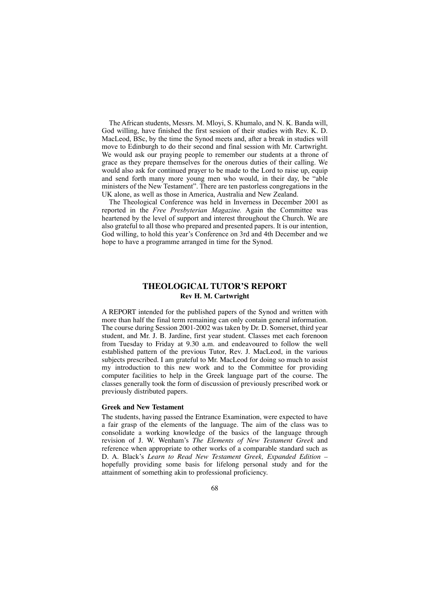The African students, Messrs. M. Mloyi, S. Khumalo, and N. K. Banda will, God willing, have finished the first session of their studies with Rev. K. D. MacLeod, BSc, by the time the Synod meets and, after a break in studies will move to Edinburgh to do their second and final session with Mr. Cartwright. We would ask our praying people to remember our students at a throne of grace as they prepare themselves for the onerous duties of their calling. We would also ask for continued prayer to be made to the Lord to raise up, equip and send forth many more young men who would, in their day, be "able ministers of the New Testament". There are ten pastorless congregations in the UK alone, as well as those in America, Australia and New Zealand.

The Theological Conference was held in Inverness in December 2001 as reported in the *Free Presbyterian Magazine.* Again the Committee was heartened by the level of support and interest throughout the Church. We are also grateful to all those who prepared and presented papers. It is our intention, God willing, to hold this year's Conference on 3rd and 4th December and we hope to have a programme arranged in time for the Synod.

# **THEOLOGICAL TUTOR'S REPORT Rev H. M. Cartwright**

A REPORT intended for the published papers of the Synod and written with more than half the final term remaining can only contain general information. The course during Session 2001-2002 was taken by Dr. D. Somerset, third year student, and Mr. J. B. Jardine, first year student. Classes met each forenoon from Tuesday to Friday at 9.30 a.m. and endeavoured to follow the well established pattern of the previous Tutor, Rev. J. MacLeod, in the various subjects prescribed. I am grateful to Mr. MacLeod for doing so much to assist my introduction to this new work and to the Committee for providing computer facilities to help in the Greek language part of the course. The classes generally took the form of discussion of previously prescribed work or previously distributed papers.

## **Greek and New Testament**

The students, having passed the Entrance Examination, were expected to have a fair grasp of the elements of the language. The aim of the class was to consolidate a working knowledge of the basics of the language through revision of J. W. Wenham's *The Elements of New Testament Greek* and reference when appropriate to other works of a comparable standard such as D. A. Black's *Learn to Read New Testament Greek, Expanded Edition –* hopefully providing some basis for lifelong personal study and for the attainment of something akin to professional proficiency.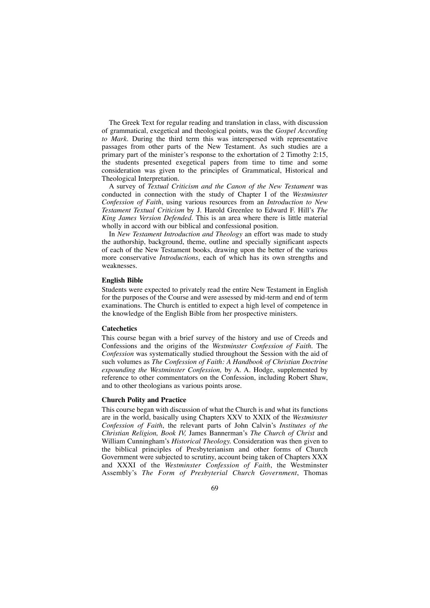The Greek Text for regular reading and translation in class, with discussion of grammatical, exegetical and theological points, was the *Gospel According to Mark*. During the third term this was interspersed with representative passages from other parts of the New Testament. As such studies are a primary part of the minister's response to the exhortation of 2 Timothy 2:15, the students presented exegetical papers from time to time and some consideration was given to the principles of Grammatical, Historical and Theological Interpretation.

A survey of *Textual Criticism and the Canon of the New Testament* was conducted in connection with the study of Chapter I of the *Westminster Confession of Faith*, using various resources from an *Introduction to New Testament Textual Criticism* by J. Harold Greenlee to Edward F. Hill's *The King James Version Defended*. This is an area where there is little material wholly in accord with our biblical and confessional position.

In *New Testament Introduction and Theology* an effort was made to study the authorship, background, theme, outline and specially significant aspects of each of the New Testament books, drawing upon the better of the various more conservative *Introductions*, each of which has its own strengths and weaknesses.

#### **English Bible**

Students were expected to privately read the entire New Testament in English for the purposes of the Course and were assessed by mid-term and end of term examinations. The Church is entitled to expect a high level of competence in the knowledge of the English Bible from her prospective ministers.

### **Catechetics**

This course began with a brief survey of the history and use of Creeds and Confessions and the origins of the *Westminster Confession of Faith.* The *Confession* was systematically studied throughout the Session with the aid of such volumes as *The Confession of Faith: A Handbook of Christian Doctrine expounding the Westminster Confession,* by A. A. Hodge, supplemented by reference to other commentators on the Confession, including Robert Shaw, and to other theologians as various points arose.

#### **Church Polity and Practice**

This course began with discussion of what the Church is and what its functions are in the world, basically using Chapters XXV to XXIX of the *Westminster Confession of Faith*, the relevant parts of John Calvin's *Institutes of the Christian Religion, Book IV,* James Bannerman's *The Church of Christ* and William Cunningham's *Historical Theology.* Consideration was then given to the biblical principles of Presbyterianism and other forms of Church Government were subjected to scrutiny, account being taken of Chapters XXX and XXXI of the *Westminster Confession of Faith*, the Westminster Assembly's *The Form of Presbyterial Church Government*, Thomas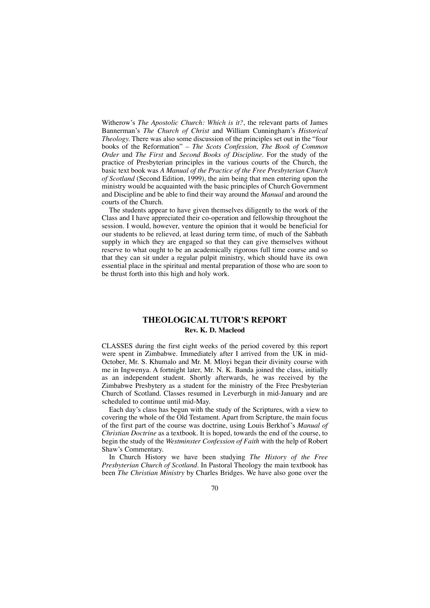Witherow's *The Apostolic Church: Which is it?*, the relevant parts of James Bannerman's *The Church of Christ* and William Cunningham's *Historical Theology.* There was also some discussion of the principles set out in the "four books of the Reformation" – *The Scots Confession, The Book of Common Order* and *The First* and *Second Books of Discipline.* For the study of the practice of Presbyterian principles in the various courts of the Church, the basic text book was *A Manual of the Practice of the Free Presbyterian Church of Scotland* (Second Edition, 1999), the aim being that men entering upon the ministry would be acquainted with the basic principles of Church Government and Discipline and be able to find their way around the *Manual* and around the courts of the Church.

The students appear to have given themselves diligently to the work of the Class and I have appreciated their co-operation and fellowship throughout the session. I would, however, venture the opinion that it would be beneficial for our students to be relieved, at least during term time, of much of the Sabbath supply in which they are engaged so that they can give themselves without reserve to what ought to be an academically rigorous full time course and so that they can sit under a regular pulpit ministry, which should have its own essential place in the spiritual and mental preparation of those who are soon to be thrust forth into this high and holy work.

# **THEOLOGICAL TUTOR'S REPORT Rev. K. D. Macleod**

CLASSES during the first eight weeks of the period covered by this report were spent in Zimbabwe. Immediately after I arrived from the UK in mid-October, Mr. S. Khumalo and Mr. M. Mloyi began their divinity course with me in Ingwenya. A fortnight later, Mr. N. K. Banda joined the class, initially as an independent student. Shortly afterwards, he was received by the Zimbabwe Presbytery as a student for the ministry of the Free Presbyterian Church of Scotland. Classes resumed in Leverburgh in mid-January and are scheduled to continue until mid-May.

Each day's class has begun with the study of the Scriptures, with a view to covering the whole of the Old Testament. Apart from Scripture, the main focus of the first part of the course was doctrine, using Louis Berkhof's *Manual of Christian Doctrine* as a textbook. It is hoped, towards the end of the course, to begin the study of the *Westminster Confession of Faith* with the help of Robert Shaw's Commentary.

In Church History we have been studying *The History of the Free Presbyterian Church of Scotland.* In Pastoral Theology the main textbook has been *The Christian Ministry* by Charles Bridges. We have also gone over the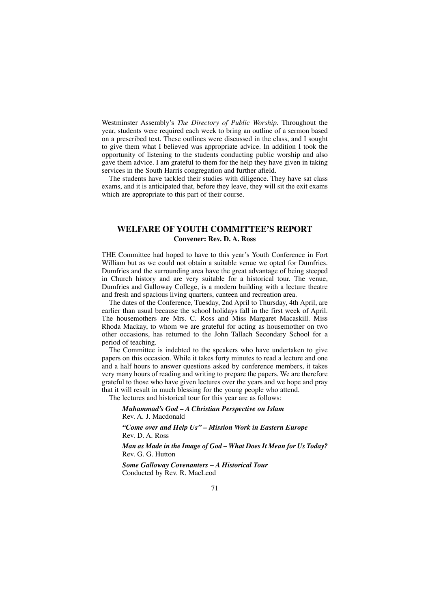Westminster Assembly's *The Directory of Public Worship.* Throughout the year, students were required each week to bring an outline of a sermon based on a prescribed text. These outlines were discussed in the class, and I sought to give them what I believed was appropriate advice. In addition I took the opportunity of listening to the students conducting public worship and also gave them advice. I am grateful to them for the help they have given in taking services in the South Harris congregation and further afield.

The students have tackled their studies with diligence. They have sat class exams, and it is anticipated that, before they leave, they will sit the exit exams which are appropriate to this part of their course.

# **WELFARE OF YOUTH COMMITTEE'S REPORT Convener: Rev. D. A. Ross**

THE Committee had hoped to have to this year's Youth Conference in Fort William but as we could not obtain a suitable venue we opted for Dumfries. Dumfries and the surrounding area have the great advantage of being steeped in Church history and are very suitable for a historical tour. The venue, Dumfries and Galloway College, is a modern building with a lecture theatre and fresh and spacious living quarters, canteen and recreation area.

The dates of the Conference, Tuesday, 2nd April to Thursday, 4th April, are earlier than usual because the school holidays fall in the first week of April. The housemothers are Mrs. C. Ross and Miss Margaret Macaskill. Miss Rhoda Mackay, to whom we are grateful for acting as housemother on two other occasions, has returned to the John Tallach Secondary School for a period of teaching.

The Committee is indebted to the speakers who have undertaken to give papers on this occasion. While it takes forty minutes to read a lecture and one and a half hours to answer questions asked by conference members, it takes very many hours of reading and writing to prepare the papers. We are therefore grateful to those who have given lectures over the years and we hope and pray that it will result in much blessing for the young people who attend.

The lectures and historical tour for this year are as follows:

## *Muhammad's God – A Christian Perspective on Islam* Rev. A. J. Macdonald

*"Come over and Help Us" – Mission Work in Eastern Europe* Rev. D. A. Ross

*Man as Made in the Image of God – What Does It Mean for Us Today?* Rev. G. G. Hutton

*Some Galloway Covenanters – A Historical Tour* Conducted by Rev. R. MacLeod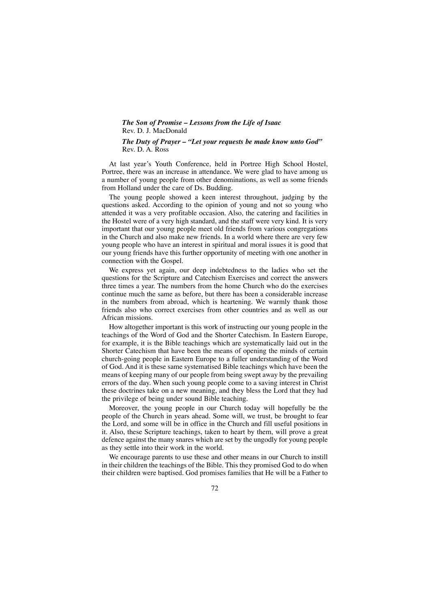## *The Son of Promise – Lessons from the Life of Isaac* Rev. D. J. MacDonald

*The Duty of Prayer – "Let your requests be made know unto God"* Rev. D. A. Ross

At last year's Youth Conference, held in Portree High School Hostel, Portree, there was an increase in attendance. We were glad to have among us a number of young people from other denominations, as well as some friends from Holland under the care of Ds. Budding.

The young people showed a keen interest throughout, judging by the questions asked. According to the opinion of young and not so young who attended it was a very profitable occasion. Also, the catering and facilities in the Hostel were of a very high standard, and the staff were very kind. It is very important that our young people meet old friends from various congregations in the Church and also make new friends. In a world where there are very few young people who have an interest in spiritual and moral issues it is good that our young friends have this further opportunity of meeting with one another in connection with the Gospel.

We express yet again, our deep indebtedness to the ladies who set the questions for the Scripture and Catechism Exercises and correct the answers three times a year. The numbers from the home Church who do the exercises continue much the same as before, but there has been a considerable increase in the numbers from abroad, which is heartening. We warmly thank those friends also who correct exercises from other countries and as well as our African missions.

How altogether important is this work of instructing our young people in the teachings of the Word of God and the Shorter Catechism. In Eastern Europe, for example, it is the Bible teachings which are systematically laid out in the Shorter Catechism that have been the means of opening the minds of certain church-going people in Eastern Europe to a fuller understanding of the Word of God. And it is these same systematised Bible teachings which have been the means of keeping many of our people from being swept away by the prevailing errors of the day. When such young people come to a saving interest in Christ these doctrines take on a new meaning, and they bless the Lord that they had the privilege of being under sound Bible teaching.

Moreover, the young people in our Church today will hopefully be the people of the Church in years ahead. Some will, we trust, be brought to fear the Lord, and some will be in office in the Church and fill useful positions in it. Also, these Scripture teachings, taken to heart by them, will prove a great defence against the many snares which are set by the ungodly for young people as they settle into their work in the world.

We encourage parents to use these and other means in our Church to instill in their children the teachings of the Bible. This they promised God to do when their children were baptised. God promises families that He will be a Father to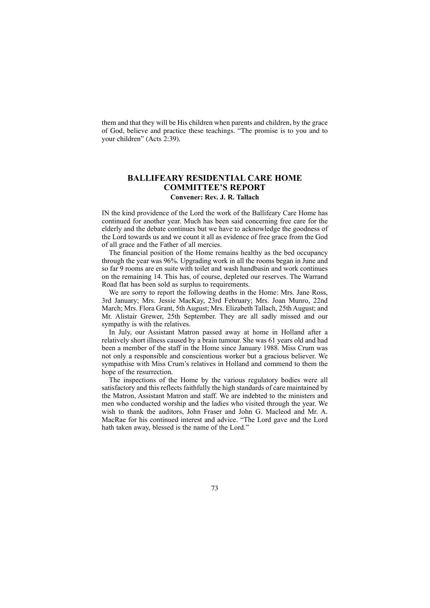them and that they will be His children when parents and children, by the grace of God, believe and practice these teachings. "The promise is to you and to your children" (Acts 2:39).

### **BALLIFEARY RESIDENTIAL CARE HOME COMMITTEE'S REPORT Convener: Rev. J. R. Tallach**

IN the kind providence of the Lord the work of the Ballifeary Care Home has continued for another year. Much has been said concerning free care for the elderly and the debate continues but we have to acknowledge the goodness of the Lord towards us and we count it all as evidence of free grace from the God of all grace and the Father of all mercies.

The financial position of the Home remains healthy as the bed occupancy through the year was 96%. Upgrading work in all the rooms began in June and so far 9 rooms are en suite with toilet and wash handbasin and work continues on the remaining 14. This has, of course, depleted our reserves. The Warrand Road flat has been sold as surplus to requirements.

We are sorry to report the following deaths in the Home: Mrs. Jane Ross, 3rd January; Mrs. Jessie MacKay, 23rd February; Mrs. Joan Munro, 22nd March; Mrs. Flora Grant, 5th August; Mrs. Elizabeth Tallach, 25th August; and Mr. Alistair Grewer, 25th September. They are all sadly missed and our sympathy is with the relatives.

In July, our Assistant Matron passed away at home in Holland after a relatively short illness caused by a brain tumour. She was 61 years old and had been a member of the staff in the Home since January 1988. Miss Crum was not only a responsible and conscientious worker but a gracious believer. We sympathise with Miss Crum's relatives in Holland and commend to them the hope of the resurrection.

The inspections of the Home by the various regulatory bodies were all satisfactory and this reflects faithfully the high standards of care maintained by the Matron, Assistant Matron and staff. We are indebted to the ministers and men who conducted worship and the ladies who visited through the year. We wish to thank the auditors, John Fraser and John G. Macleod and Mr. A. MacRae for his continued interest and advice. "The Lord gave and the Lord hath taken away, blessed is the name of the Lord."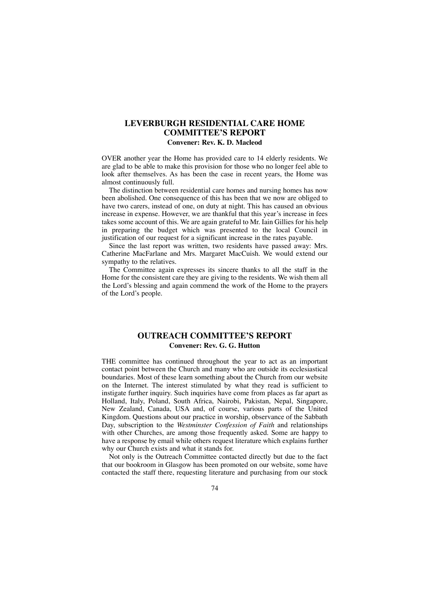# **LEVERBURGH RESIDENTIAL CARE HOME COMMITTEE'S REPORT**

### **Convener: Rev. K. D. Macleod**

OVER another year the Home has provided care to 14 elderly residents. We are glad to be able to make this provision for those who no longer feel able to look after themselves. As has been the case in recent years, the Home was almost continuously full.

The distinction between residential care homes and nursing homes has now been abolished. One consequence of this has been that we now are obliged to have two carers, instead of one, on duty at night. This has caused an obvious increase in expense. However, we are thankful that this year's increase in fees takes some account of this. We are again grateful to Mr. Iain Gillies for his help in preparing the budget which was presented to the local Council in justification of our request for a significant increase in the rates payable.

Since the last report was written, two residents have passed away: Mrs. Catherine MacFarlane and Mrs. Margaret MacCuish. We would extend our sympathy to the relatives.

The Committee again expresses its sincere thanks to all the staff in the Home for the consistent care they are giving to the residents. We wish them all the Lord's blessing and again commend the work of the Home to the prayers of the Lord's people.

# **OUTREACH COMMITTEE'S REPORT Convener: Rev. G. G. Hutton**

THE committee has continued throughout the year to act as an important contact point between the Church and many who are outside its ecclesiastical boundaries. Most of these learn something about the Church from our website on the Internet. The interest stimulated by what they read is sufficient to instigate further inquiry. Such inquiries have come from places as far apart as Holland, Italy, Poland, South Africa, Nairobi, Pakistan, Nepal, Singapore, New Zealand, Canada, USA and, of course, various parts of the United Kingdom. Questions about our practice in worship, observance of the Sabbath Day, subscription to the *Westminster Confession of Faith* and relationships with other Churches, are among those frequently asked. Some are happy to have a response by email while others request literature which explains further why our Church exists and what it stands for.

Not only is the Outreach Committee contacted directly but due to the fact that our bookroom in Glasgow has been promoted on our website, some have contacted the staff there, requesting literature and purchasing from our stock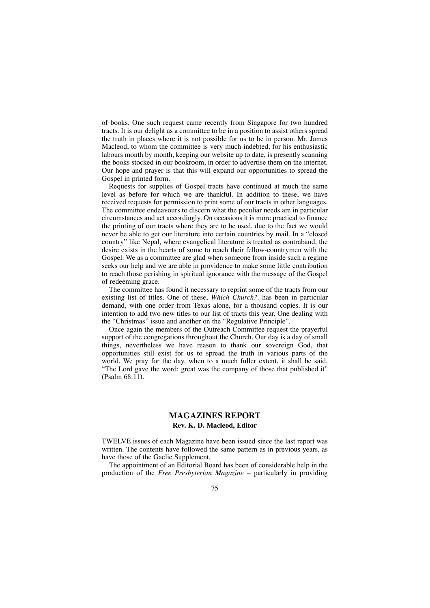of books. One such request came recently from Singapore for two hundred tracts. It is our delight as a committee to be in a position to assist others spread the truth in places where it is not possible for us to be in person. Mr. James Macleod, to whom the committee is very much indebted, for his enthusiastic labours month by month, keeping our website up to date, is presently scanning the books stocked in our bookroom, in order to advertise them on the internet. Our hope and prayer is that this will expand our opportunities to spread the Gospel in printed form.

Requests for supplies of Gospel tracts have continued at much the same level as before for which we are thankful. In addition to these, we have received requests for permission to print some of our tracts in other languages. The committee endeavours to discern what the peculiar needs are in particular circumstances and act accordingly. On occasions it is more practical to finance the printing of our tracts where they are to be used, due to the fact we would never be able to get our literature into certain countries by mail. In a "closed country" like Nepal, where evangelical literature is treated as contraband, the desire exists in the hearts of some to reach their fellow-countrymen with the Gospel. We as a committee are glad when someone from inside such a regime seeks our help and we are able in providence to make some little contribution to reach those perishing in spiritual ignorance with the message of the Gospel of redeeming grace.

The committee has found it necessary to reprint some of the tracts from our existing list of titles. One of these, *Which Church?,* has been in particular demand, with one order from Texas alone, for a thousand copies. It is our intention to add two new titles to our list of tracts this year. One dealing with the "Christmas" issue and another on the "Regulative Principle".

Once again the members of the Outreach Committee request the prayerful support of the congregations throughout the Church. Our day is a day of small things, nevertheless we have reason to thank our sovereign God, that opportunities still exist for us to spread the truth in various parts of the world. We pray for the day, when to a much fuller extent, it shall be said, "The Lord gave the word: great was the company of those that published it" (Psalm 68:11).

### **MAGAZINES REPORT Rev. K. D. Macleod, Editor**

TWELVE issues of each Magazine have been issued since the last report was written. The contents have followed the same pattern as in previous years, as have those of the Gaelic Supplement.

The appointment of an Editorial Board has been of considerable help in the production of the *Free Presbyterian Magazine* – particularly in providing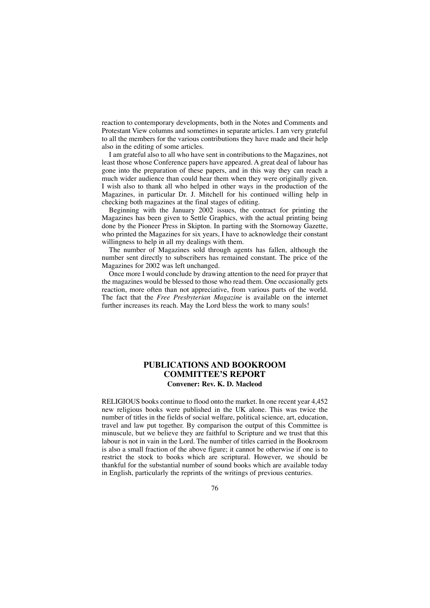reaction to contemporary developments, both in the Notes and Comments and Protestant View columns and sometimes in separate articles. I am very grateful to all the members for the various contributions they have made and their help also in the editing of some articles.

I am grateful also to all who have sent in contributions to the Magazines, not least those whose Conference papers have appeared. A great deal of labour has gone into the preparation of these papers, and in this way they can reach a much wider audience than could hear them when they were originally given. I wish also to thank all who helped in other ways in the production of the Magazines, in particular Dr. J. Mitchell for his continued willing help in checking both magazines at the final stages of editing.

Beginning with the January 2002 issues, the contract for printing the Magazines has been given to Settle Graphics, with the actual printing being done by the Pioneer Press in Skipton. In parting with the Stornoway Gazette, who printed the Magazines for six years, I have to acknowledge their constant willingness to help in all my dealings with them.

The number of Magazines sold through agents has fallen, although the number sent directly to subscribers has remained constant. The price of the Magazines for 2002 was left unchanged.

Once more I would conclude by drawing attention to the need for prayer that the magazines would be blessed to those who read them. One occasionally gets reaction, more often than not appreciative, from various parts of the world. The fact that the *Free Presbyterian Magazine* is available on the internet further increases its reach. May the Lord bless the work to many souls!

# **PUBLICATIONS AND BOOKROOM COMMITTEE'S REPORT Convener: Rev. K. D. Macleod**

RELIGIOUS books continue to flood onto the market. In one recent year 4,452 new religious books were published in the UK alone. This was twice the number of titles in the fields of social welfare, political science, art, education, travel and law put together. By comparison the output of this Committee is minuscule, but we believe they are faithful to Scripture and we trust that this labour is not in vain in the Lord. The number of titles carried in the Bookroom is also a small fraction of the above figure; it cannot be otherwise if one is to restrict the stock to books which are scriptural. However, we should be thankful for the substantial number of sound books which are available today in English, particularly the reprints of the writings of previous centuries.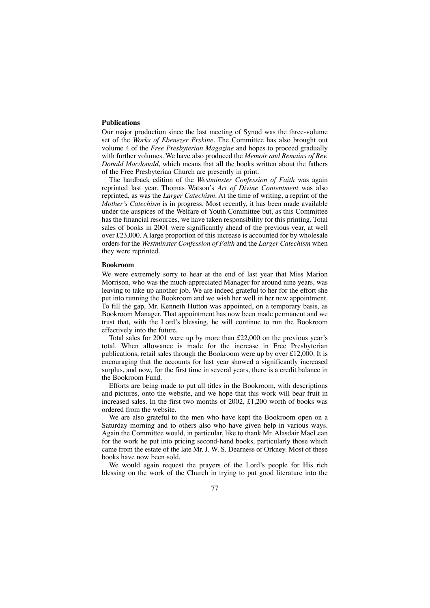### **Publications**

Our major production since the last meeting of Synod was the three-volume set of the *Works of Ebenezer Erskine*. The Committee has also brought out volume 4 of the *Free Presbyterian Magazine* and hopes to proceed gradually with further volumes. We have also produced the *Memoir and Remains of Rev. Donald Macdonald*, which means that all the books written about the fathers of the Free Presbyterian Church are presently in print.

The hardback edition of the *Westminster Confession of Faith* was again reprinted last year. Thomas Watson's *Art of Divine Contentment* was also reprinted, as was the *Larger Catechism*. At the time of writing, a reprint of the *Mother's Catechism* is in progress. Most recently, it has been made available under the auspices of the Welfare of Youth Committee but, as this Committee has the financial resources, we have taken responsibility for this printing. Total sales of books in 2001 were significantly ahead of the previous year, at well over £23,000. A large proportion of this increase is accounted for by wholesale orders for the *Westminster Confession of Faith* and the *Larger Catechism* when they were reprinted.

### **Bookroom**

We were extremely sorry to hear at the end of last year that Miss Marion Morrison, who was the much-appreciated Manager for around nine years, was leaving to take up another job. We are indeed grateful to her for the effort she put into running the Bookroom and we wish her well in her new appointment. To fill the gap, Mr. Kenneth Hutton was appointed, on a temporary basis, as Bookroom Manager. That appointment has now been made permanent and we trust that, with the Lord's blessing, he will continue to run the Bookroom effectively into the future.

Total sales for 2001 were up by more than £22,000 on the previous year's total. When allowance is made for the increase in Free Presbyterian publications, retail sales through the Bookroom were up by over £12,000. It is encouraging that the accounts for last year showed a significantly increased surplus, and now, for the first time in several years, there is a credit balance in the Bookroom Fund.

Efforts are being made to put all titles in the Bookroom, with descriptions and pictures, onto the website, and we hope that this work will bear fruit in increased sales. In the first two months of 2002, £1,200 worth of books was ordered from the website.

We are also grateful to the men who have kept the Bookroom open on a Saturday morning and to others also who have given help in various ways. Again the Committee would, in particular, like to thank Mr. Alasdair MacLean for the work he put into pricing second-hand books, particularly those which came from the estate of the late Mr. J. W. S. Dearness of Orkney. Most of these books have now been sold.

We would again request the prayers of the Lord's people for His rich blessing on the work of the Church in trying to put good literature into the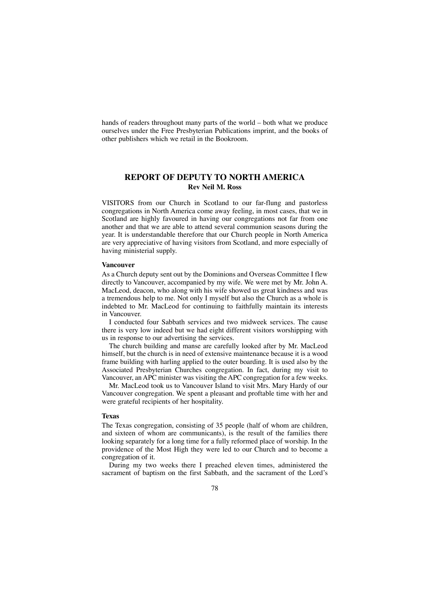hands of readers throughout many parts of the world – both what we produce ourselves under the Free Presbyterian Publications imprint, and the books of other publishers which we retail in the Bookroom.

## **REPORT OF DEPUTY TO NORTH AMERICA Rev Neil M. Ross**

VISITORS from our Church in Scotland to our far-flung and pastorless congregations in North America come away feeling, in most cases, that we in Scotland are highly favoured in having our congregations not far from one another and that we are able to attend several communion seasons during the year. It is understandable therefore that our Church people in North America are very appreciative of having visitors from Scotland, and more especially of having ministerial supply.

### **Vancouver**

As a Church deputy sent out by the Dominions and Overseas Committee I flew directly to Vancouver, accompanied by my wife. We were met by Mr. John A. MacLeod, deacon, who along with his wife showed us great kindness and was a tremendous help to me. Not only I myself but also the Church as a whole is indebted to Mr. MacLeod for continuing to faithfully maintain its interests in Vancouver.

I conducted four Sabbath services and two midweek services. The cause there is very low indeed but we had eight different visitors worshipping with us in response to our advertising the services.

The church building and manse are carefully looked after by Mr. MacLeod himself, but the church is in need of extensive maintenance because it is a wood frame building with harling applied to the outer boarding. It is used also by the Associated Presbyterian Churches congregation. In fact, during my visit to Vancouver, an APC minister was visiting the APC congregation for a few weeks.

Mr. MacLeod took us to Vancouver Island to visit Mrs. Mary Hardy of our Vancouver congregation. We spent a pleasant and proftable time with her and were grateful recipients of her hospitality.

### **Texas**

The Texas congregation, consisting of 35 people (half of whom are children, and sixteen of whom are communicants), is the result of the families there looking separately for a long time for a fully reformed place of worship. In the providence of the Most High they were led to our Church and to become a congregation of it.

During my two weeks there I preached eleven times, administered the sacrament of baptism on the first Sabbath, and the sacrament of the Lord's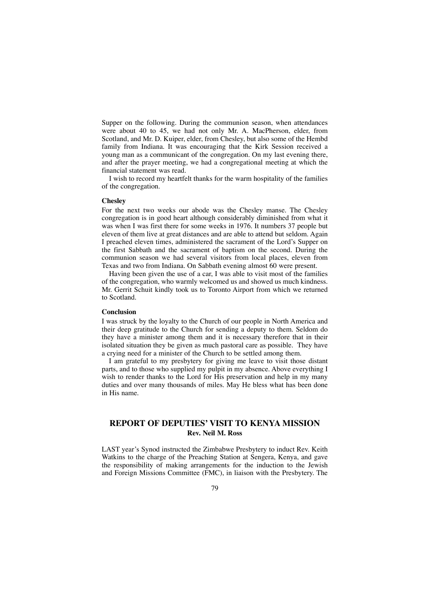Supper on the following. During the communion season, when attendances were about 40 to 45, we had not only Mr. A. MacPherson, elder, from Scotland, and Mr. D. Kuiper, elder, from Chesley, but also some of the Hembd family from Indiana. It was encouraging that the Kirk Session received a young man as a communicant of the congregation. On my last evening there, and after the prayer meeting, we had a congregational meeting at which the financial statement was read.

I wish to record my heartfelt thanks for the warm hospitality of the families of the congregation.

### **Chesley**

For the next two weeks our abode was the Chesley manse. The Chesley congregation is in good heart although considerably diminished from what it was when I was first there for some weeks in 1976. It numbers 37 people but eleven of them live at great distances and are able to attend but seldom. Again I preached eleven times, administered the sacrament of the Lord's Supper on the first Sabbath and the sacrament of baptism on the second. During the communion season we had several visitors from local places, eleven from Texas and two from Indiana. On Sabbath evening almost 60 were present.

Having been given the use of a car, I was able to visit most of the families of the congregation, who warmly welcomed us and showed us much kindness. Mr. Gerrit Schuit kindly took us to Toronto Airport from which we returned to Scotland.

#### **Conclusion**

I was struck by the loyalty to the Church of our people in North America and their deep gratitude to the Church for sending a deputy to them. Seldom do they have a minister among them and it is necessary therefore that in their isolated situation they be given as much pastoral care as possible. They have a crying need for a minister of the Church to be settled among them.

I am grateful to my presbytery for giving me leave to visit those distant parts, and to those who supplied my pulpit in my absence. Above everything I wish to render thanks to the Lord for His preservation and help in my many duties and over many thousands of miles. May He bless what has been done in His name.

# **REPORT OF DEPUTIES' VISIT TO KENYA MISSION Rev. Neil M. Ross**

LAST year's Synod instructed the Zimbabwe Presbytery to induct Rev. Keith Watkins to the charge of the Preaching Station at Sengera, Kenya, and gave the responsibility of making arrangements for the induction to the Jewish and Foreign Missions Committee (FMC), in liaison with the Presbytery. The